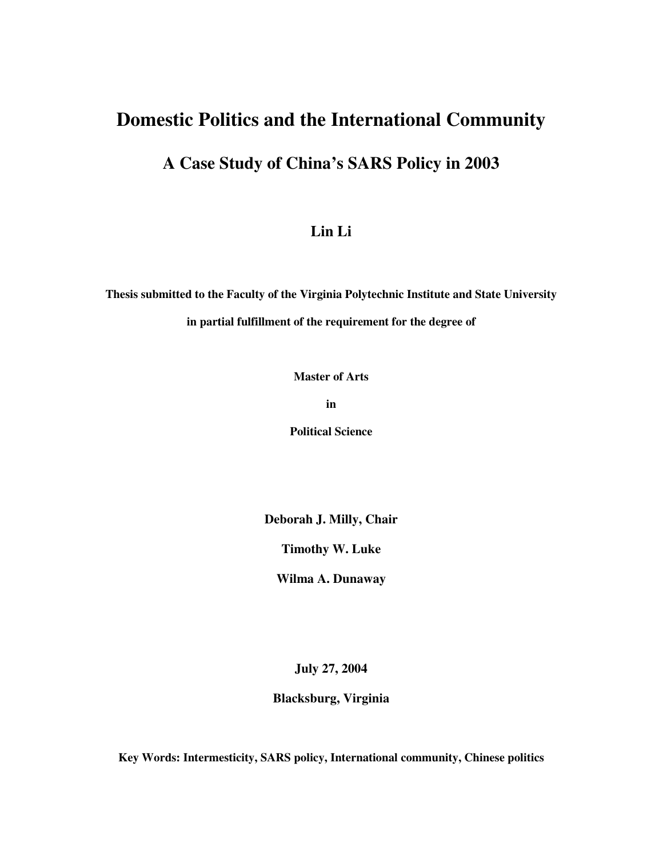## **Domestic Politics and the International Community**

## **A Case Study of China's SARS Policy in 2003**

### **Lin Li**

**Thesis submitted to the Faculty of the Virginia Polytechnic Institute and State University in partial fulfillment of the requirement for the degree of**

**Master of Arts**

**in**

**Political Science**

**Deborah J. Milly, Chair**

**Timothy W. Luke**

**Wilma A. Dunaway**

**July 27, 2004**

**Blacksburg, Virginia**

**Key Words: Intermesticity, SARS policy, International community, Chinese politics**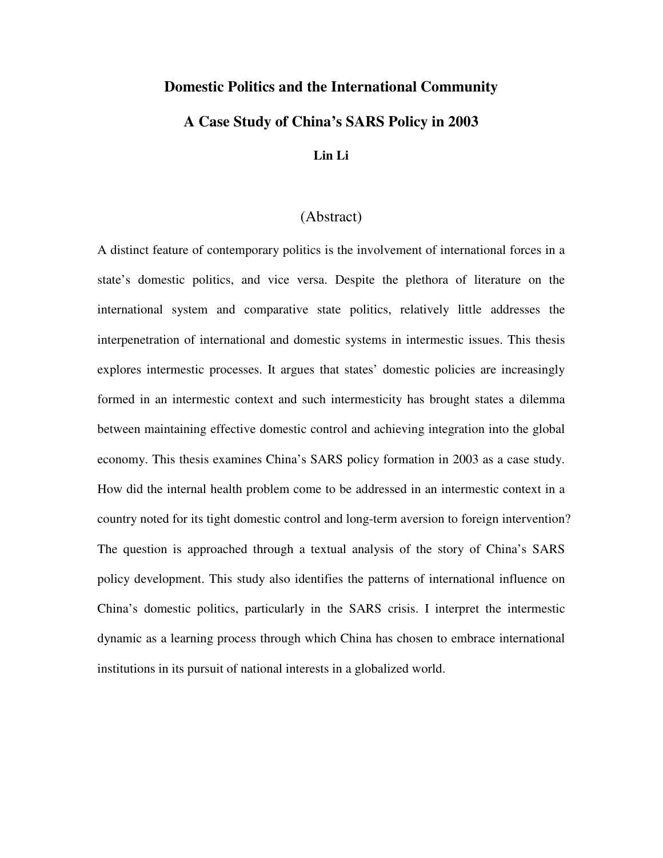#### **Domestic Politics and the International Community**

### **A Case Study of China's SARS Policy in 2003**

#### **Lin Li**

### (Abstract)

A distinct feature of contemporary politics is the involvement of international forces in a state's domestic politics, and vice versa. Despite the plethora of literature on the international system and comparative state politics, relatively little addresses the interpenetration of international and domestic systems in intermestic issues. This thesis explores intermestic processes. It argues that states' domestic policies are increasingly formed in an intermestic context and such intermesticity has brought states a dilemma between maintaining effective domestic control and achieving integration into the global economy. This thesis examines China's SARS policy formation in 2003 as a case study. How did the internal health problem come to be addressed in an intermestic context in a country noted for its tight domestic control and long-term aversion to foreign intervention? The question is approached through a textual analysis of the story of China's SARS policy development. This study also identifies the patterns of international influence on China's domestic politics, particularly in the SARS crisis. I interpret the intermestic dynamic as a learning process through which China has chosen to embrace international institutions in its pursuit of national interests in a globalized world.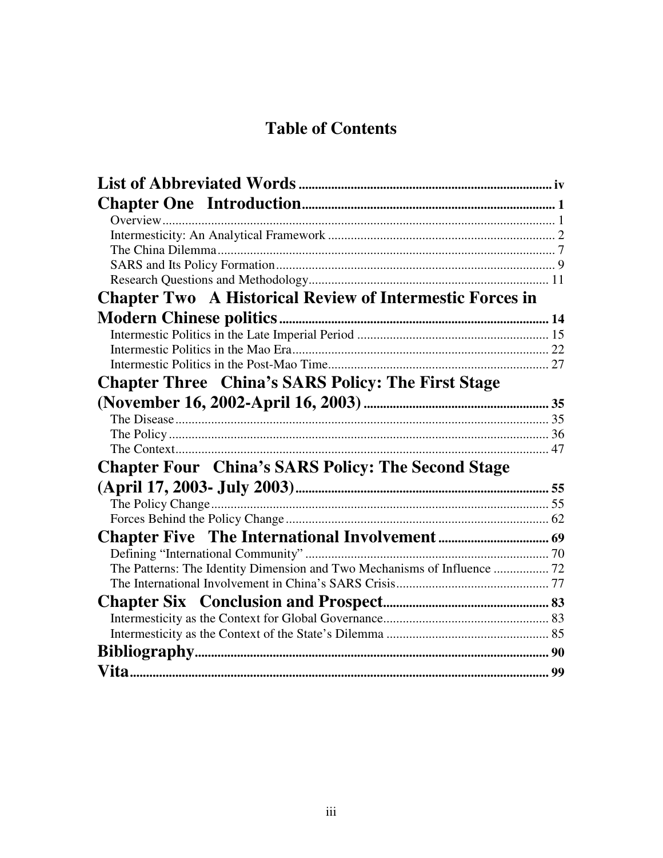# **Table of Contents**

| <b>Chapter Two A Historical Review of Intermestic Forces in</b>          |  |
|--------------------------------------------------------------------------|--|
|                                                                          |  |
|                                                                          |  |
|                                                                          |  |
|                                                                          |  |
| <b>Chapter Three</b> China's SARS Policy: The First Stage                |  |
|                                                                          |  |
|                                                                          |  |
|                                                                          |  |
|                                                                          |  |
| <b>Chapter Four China's SARS Policy: The Second Stage</b>                |  |
|                                                                          |  |
|                                                                          |  |
|                                                                          |  |
|                                                                          |  |
|                                                                          |  |
| The Patterns: The Identity Dimension and Two Mechanisms of Influence  72 |  |
|                                                                          |  |
|                                                                          |  |
|                                                                          |  |
|                                                                          |  |
|                                                                          |  |
|                                                                          |  |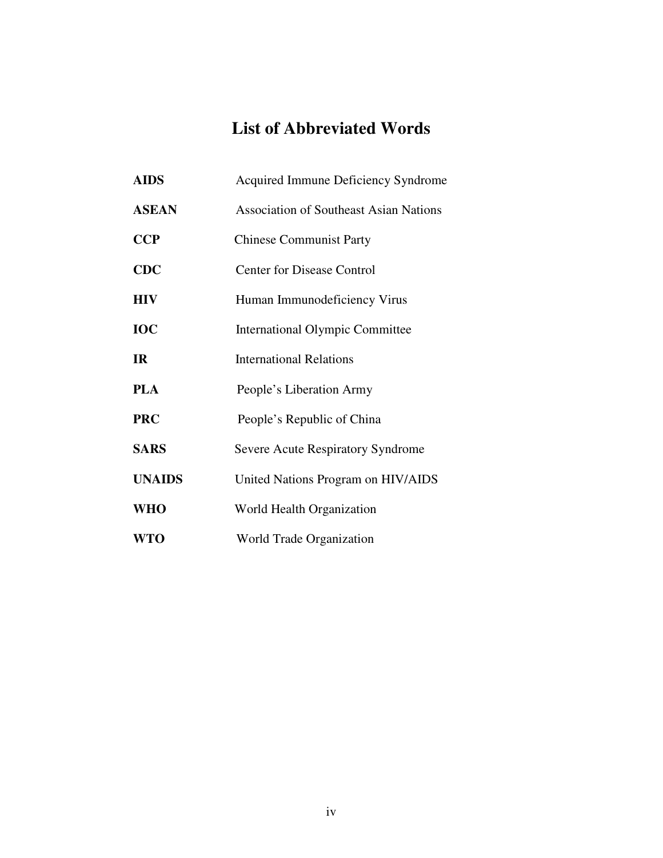# **List of Abbreviated Words**

| <b>AIDS</b>   | <b>Acquired Immune Deficiency Syndrome</b>    |
|---------------|-----------------------------------------------|
| <b>ASEAN</b>  | <b>Association of Southeast Asian Nations</b> |
| <b>CCP</b>    | <b>Chinese Communist Party</b>                |
| <b>CDC</b>    | <b>Center for Disease Control</b>             |
| <b>HIV</b>    | Human Immunodeficiency Virus                  |
| <b>IOC</b>    | <b>International Olympic Committee</b>        |
| <b>IR</b>     | <b>International Relations</b>                |
| <b>PLA</b>    | People's Liberation Army                      |
| <b>PRC</b>    | People's Republic of China                    |
| <b>SARS</b>   | Severe Acute Respiratory Syndrome             |
| <b>UNAIDS</b> | United Nations Program on HIV/AIDS            |
| <b>WHO</b>    | World Health Organization                     |
| <b>WTO</b>    | World Trade Organization                      |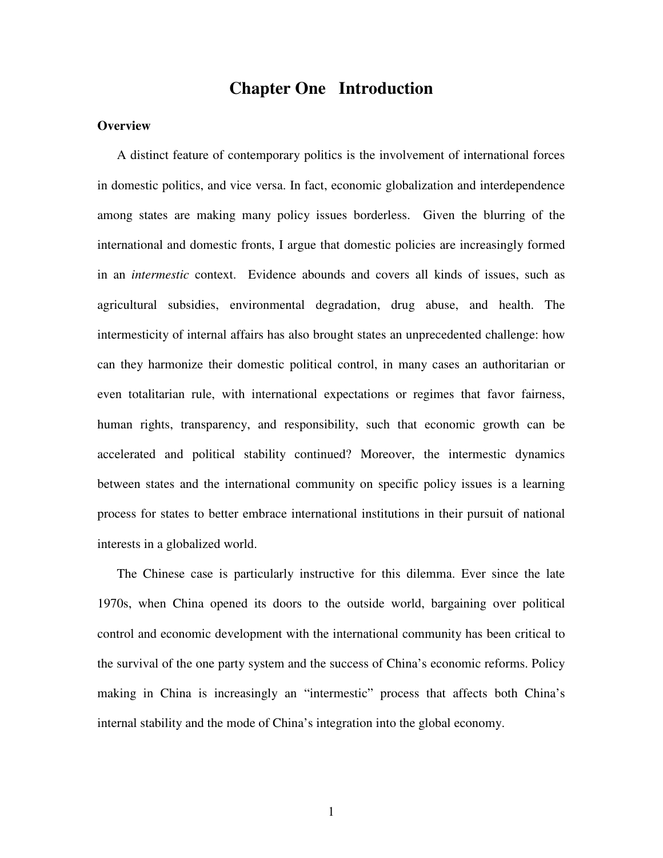### **Chapter One Introduction**

#### **Overview**

A distinct feature of contemporary politics is the involvement of international forces in domestic politics, and vice versa. In fact, economic globalization and interdependence among states are making many policy issues borderless. Given the blurring of the international and domestic fronts, I argue that domestic policies are increasingly formed in an *intermestic* context. Evidence abounds and covers all kinds of issues, such as agricultural subsidies, environmental degradation, drug abuse, and health. The intermesticity of internal affairs has also brought states an unprecedented challenge: how can they harmonize their domestic political control, in many cases an authoritarian or even totalitarian rule, with international expectations or regimes that favor fairness, human rights, transparency, and responsibility, such that economic growth can be accelerated and political stability continued? Moreover, the intermestic dynamics between states and the international community on specific policy issues is a learning process for states to better embrace international institutions in their pursuit of national interests in a globalized world.

The Chinese case is particularly instructive for this dilemma. Ever since the late 1970s, when China opened its doors to the outside world, bargaining over political control and economic development with the international community has been critical to the survival of the one party system and the success of China's economic reforms. Policy making in China is increasingly an "intermestic" process that affects both China's internal stability and the mode of China's integration into the global economy.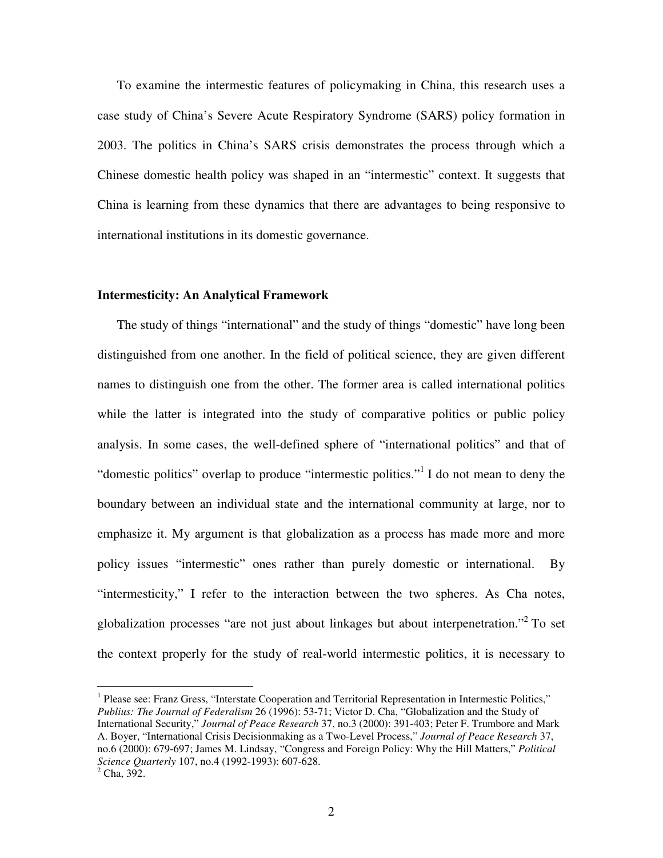To examine the intermestic features of policymaking in China, this research uses a case study of China's Severe Acute Respiratory Syndrome (SARS) policy formation in 2003. The politics in China's SARS crisis demonstrates the process through which a Chinese domestic health policy was shaped in an "intermestic" context. It suggests that China is learning from these dynamics that there are advantages to being responsive to international institutions in its domestic governance.

#### **Intermesticity: An Analytical Framework**

The study of things "international" and the study of things "domestic" have long been distinguished from one another. In the field of political science, they are given different names to distinguish one from the other. The former area is called international politics while the latter is integrated into the study of comparative politics or public policy analysis. In some cases, the well-defined sphere of "international politics" and that of "domestic politics" overlap to produce "intermestic politics."<sup>1</sup> I do not mean to deny the boundary between an individual state and the international community at large, nor to emphasize it. My argument is that globalization as a process has made more and more policy issues "intermestic" ones rather than purely domestic or international. By "intermesticity," I refer to the interaction between the two spheres. As Cha notes, globalization processes "are not just about linkages but about interpenetration."<sup>2</sup> To set the context properly for the study of real-world intermestic politics, it is necessary to

<sup>&</sup>lt;sup>1</sup> Please see: Franz Gress, "Interstate Cooperation and Territorial Representation in Intermestic Politics," *Publius: The Journal of Federalism* 26 (1996): 53-71; Victor D. Cha, "Globalization and the Study of International Security," *Journal of Peace Research* 37, no.3 (2000): 391-403; Peter F. Trumbore and Mark A. Boyer, "International Crisis Decisionmaking as a Two-Level Process," *Journal of Peace Research* 37, no.6 (2000): 679-697; James M. Lindsay, "Congress and Foreign Policy: Why the Hill Matters," *Political Science Quarterly* 107, no.4 (1992-1993): 607-628.  $^{2}$  Cha, 392.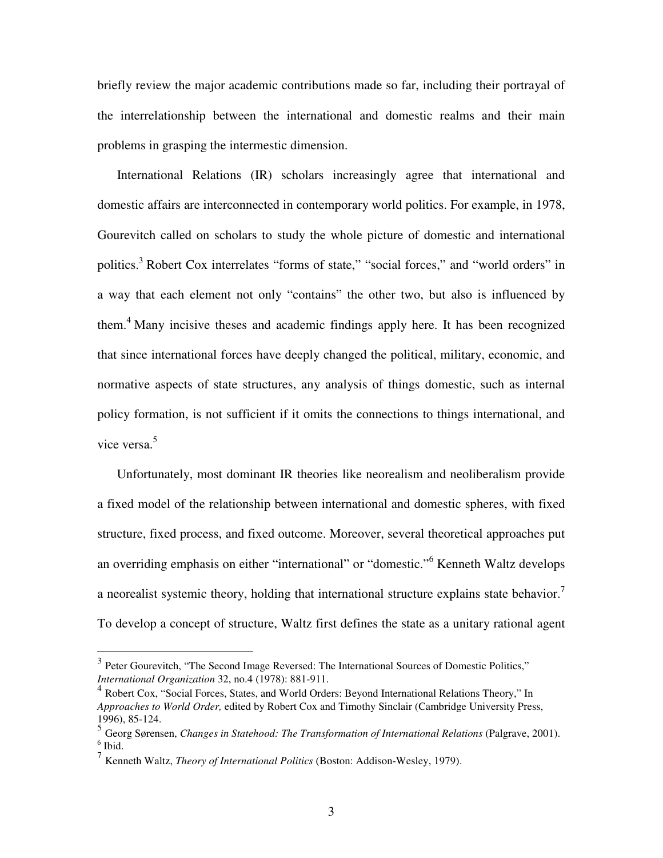briefly review the major academic contributions made so far, including their portrayal of the interrelationship between the international and domestic realms and their main problems in grasping the intermestic dimension.

International Relations (IR) scholars increasingly agree that international and domestic affairs are interconnected in contemporary world politics. For example, in 1978, Gourevitch called on scholars to study the whole picture of domestic and international politics.<sup>3</sup> Robert Cox interrelates "forms of state," "social forces," and "world orders" in a way that each element not only "contains" the other two, but also is influenced by them. <sup>4</sup> Many incisive theses and academic findings apply here. It has been recognized that since international forces have deeply changed the political, military, economic, and normative aspects of state structures, any analysis of things domestic, such as internal policy formation, is not sufficient if it omits the connections to things international, and vice versa. 5

Unfortunately, most dominant IR theories like neorealism and neoliberalism provide a fixed model of the relationship between international and domestic spheres, with fixed structure, fixed process, and fixed outcome. Moreover, several theoretical approaches put an overriding emphasis on either "international" or "domestic." <sup>6</sup> Kenneth Waltz develops a neorealist systemic theory, holding that international structure explains state behavior.<sup>7</sup> To develop a concept of structure, Waltz first defines the state as a unitary rational agent

<sup>&</sup>lt;sup>3</sup> Peter Gourevitch, "The Second Image Reversed: The International Sources of Domestic Politics," *International Organization* 32, no.4 (1978): 881-911.

<sup>&</sup>lt;sup>4</sup> Robert Cox, "Social Forces, States, and World Orders: Beyond International Relations Theory," In *Approaches to World Order,* edited by Robert Cox and Timothy Sinclair (Cambridge University Press, 1996), 85-124.

<sup>5</sup> Georg Sørensen, *Changes in Statehood: The Transformation of International Relations* (Palgrave, 2001).  $<sup>6</sup>$  Ibid.</sup>

<sup>7</sup> Kenneth Waltz, *Theory of International Politics* (Boston: Addison-Wesley, 1979).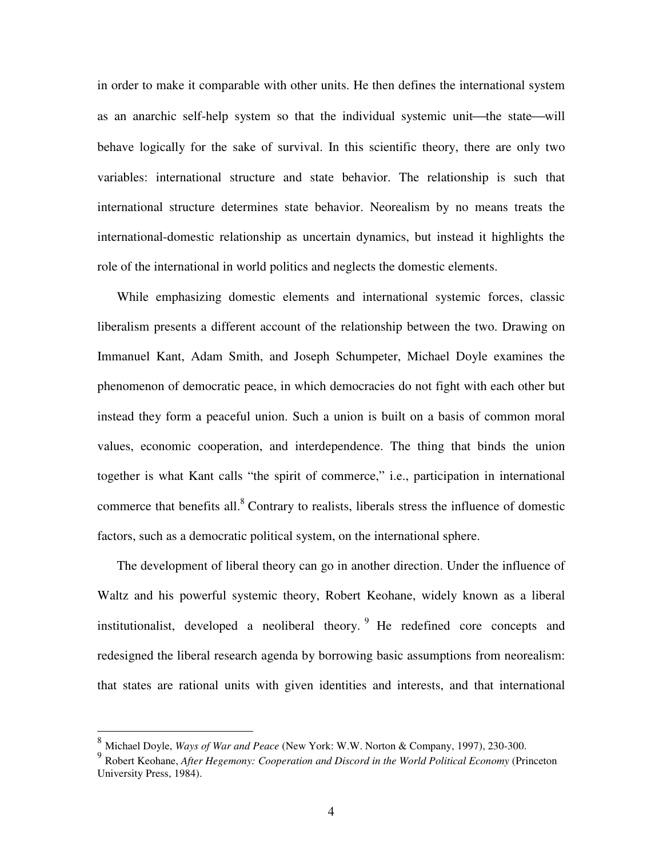in order to make it comparable with other units. He then defines the international system as an anarchic self-help system so that the individual systemic unit—the state—will behave logically for the sake of survival. In this scientific theory, there are only two variables: international structure and state behavior. The relationship is such that international structure determines state behavior. Neorealism by no means treats the international-domestic relationship as uncertain dynamics, but instead it highlights the role of the international in world politics and neglects the domestic elements.

While emphasizing domestic elements and international systemic forces, classic liberalism presents a different account of the relationship between the two. Drawing on Immanuel Kant, Adam Smith, and Joseph Schumpeter, Michael Doyle examines the phenomenon of democratic peace, in which democracies do not fight with each other but instead they form a peaceful union. Such a union is built on a basis of common moral values, economic cooperation, and interdependence. The thing that binds the union together is what Kant calls "the spirit of commerce," i.e., participation in international commerce that benefits all.<sup>8</sup> Contrary to realists, liberals stress the influence of domestic factors, such as a democratic political system, on the international sphere.

The development of liberal theory can go in another direction. Under the influence of Waltz and his powerful systemic theory, Robert Keohane, widely known as a liberal institutionalist, developed a neoliberal theory. <sup>9</sup> He redefined core concepts and redesigned the liberal research agenda by borrowing basic assumptions from neorealism: that states are rational units with given identities and interests, and that international

<sup>8</sup> Michael Doyle, *Ways of War and Peace* (New York: W.W. Norton & Company, 1997), 230-300.

<sup>9</sup> Robert Keohane, *After Hegemony: Cooperation and Discord in the World Political Economy* (Princeton University Press, 1984).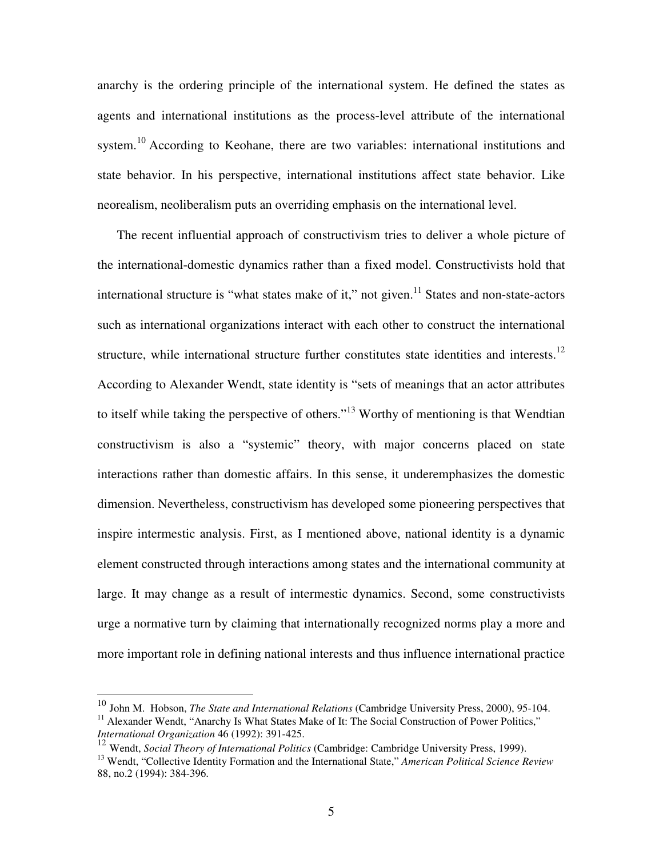anarchy is the ordering principle of the international system. He defined the states as agents and international institutions as the process-level attribute of the international system.<sup>10</sup> According to Keohane, there are two variables: international institutions and state behavior. In his perspective, international institutions affect state behavior. Like neorealism, neoliberalism puts an overriding emphasis on the international level.

The recent influential approach of constructivism tries to deliver a whole picture of the international-domestic dynamics rather than a fixed model. Constructivists hold that international structure is "what states make of it," not given.<sup>11</sup> States and non-state-actors such as international organizations interact with each other to construct the international structure, while international structure further constitutes state identities and interests.<sup>12</sup> According to Alexander Wendt, state identity is "sets of meanings that an actor attributes to itself while taking the perspective of others."<sup>13</sup> Worthy of mentioning is that Wendtian constructivism is also a "systemic" theory, with major concerns placed on state interactions rather than domestic affairs. In this sense, it underemphasizes the domestic dimension. Nevertheless, constructivism has developed some pioneering perspectives that inspire intermestic analysis. First, as I mentioned above, national identity is a dynamic element constructed through interactions among states and the international community at large. It may change as a result of intermestic dynamics. Second, some constructivists urge a normative turn by claiming that internationally recognized norms play a more and more important role in defining national interests and thus influence international practice

<sup>10</sup> John M. Hobson, *The State and International Relations* (Cambridge University Press, 2000), 95-104. <sup>11</sup> Alexander Wendt, "Anarchy Is What States Make of It: The Social Construction of Power Politics," *International Organization* 46 (1992): 391-425.

<sup>12</sup> Wendt, *Social Theory of International Politics* (Cambridge: Cambridge University Press, 1999). <sup>13</sup> Wendt, "Collective Identity Formation and the International State," *American Political Science Review* 88, no.2 (1994): 384-396.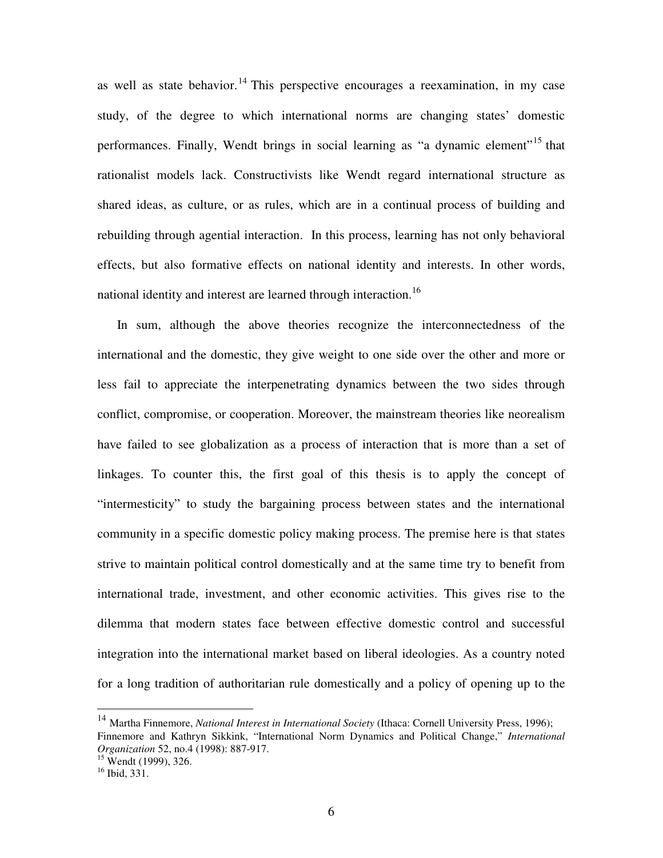as well as state behavior.<sup>14</sup> This perspective encourages a reexamination, in my case study, of the degree to which international norms are changing states' domestic performances. Finally, Wendt brings in social learning as "a dynamic element"<sup>15</sup> that rationalist models lack. Constructivists like Wendt regard international structure as shared ideas, as culture, or as rules, which are in a continual process of building and rebuilding through agential interaction. In this process, learning has not only behavioral effects, but also formative effects on national identity and interests. In other words, national identity and interest are learned through interaction.<sup>16</sup>

In sum, although the above theories recognize the interconnectedness of the international and the domestic, they give weight to one side over the other and more or less fail to appreciate the interpenetrating dynamics between the two sides through conflict, compromise, or cooperation. Moreover, the mainstream theories like neorealism have failed to see globalization as a process of interaction that is more than a set of linkages. To counter this, the first goal of this thesis is to apply the concept of "intermesticity" to study the bargaining process between states and the international community in a specific domestic policy making process. The premise here is that states strive to maintain political control domestically and at the same time try to benefit from international trade, investment, and other economic activities. This gives rise to the dilemma that modern states face between effective domestic control and successful integration into the international market based on liberal ideologies. As a country noted for a long tradition of authoritarian rule domestically and a policy of opening up to the

<sup>14</sup> Martha Finnemore, *National Interest in International Society* (Ithaca: Cornell University Press, 1996); Finnemore and Kathryn Sikkink, "International Norm Dynamics and Political Change," *International Organization* 52, no.4 (1998): 887-917.

 $15$  Wendt (1999), 326.

<sup>16</sup> Ibid, 331.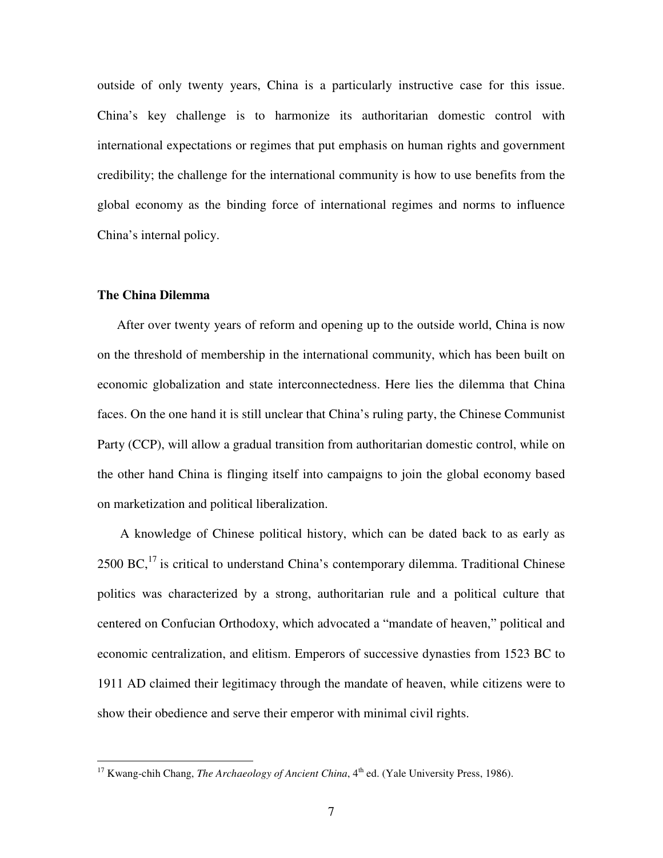outside of only twenty years, China is a particularly instructive case for this issue. China's key challenge is to harmonize its authoritarian domestic control with international expectations or regimes that put emphasis on human rights and government credibility; the challenge for the international community is how to use benefits from the global economy as the binding force of international regimes and norms to influence China's internal policy.

#### **The China Dilemma**

After over twenty years of reform and opening up to the outside world, China is now on the threshold of membership in the international community, which has been built on economic globalization and state interconnectedness. Here lies the dilemma that China faces. On the one hand it is still unclear that China's ruling party, the Chinese Communist Party (CCP), will allow a gradual transition from authoritarian domestic control, while on the other hand China is flinging itself into campaigns to join the global economy based on marketization and political liberalization.

A knowledge of Chinese political history, which can be dated back to as early as  $2500$  BC,<sup>17</sup> is critical to understand China's contemporary dilemma. Traditional Chinese politics was characterized by a strong, authoritarian rule and a political culture that centered on Confucian Orthodoxy, which advocated a "mandate of heaven," political and economic centralization, and elitism. Emperors of successive dynasties from 1523 BC to 1911 AD claimed their legitimacy through the mandate of heaven, while citizens were to show their obedience and serve their emperor with minimal civil rights.

<sup>&</sup>lt;sup>17</sup> Kwang-chih Chang, *The Archaeology of Ancient China*, 4<sup>th</sup> ed. (Yale University Press, 1986).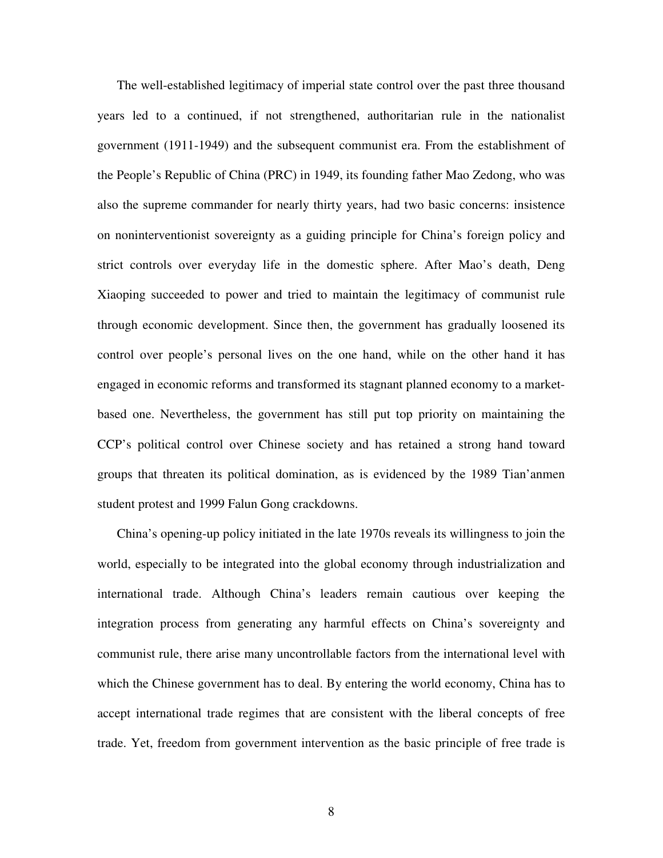The well-established legitimacy of imperial state control over the past three thousand years led to a continued, if not strengthened, authoritarian rule in the nationalist government (1911-1949) and the subsequent communist era. From the establishment of the People's Republic of China (PRC) in 1949, its founding father Mao Zedong, who was also the supreme commander for nearly thirty years, had two basic concerns: insistence on noninterventionist sovereignty as a guiding principle for China's foreign policy and strict controls over everyday life in the domestic sphere. After Mao's death, Deng Xiaoping succeeded to power and tried to maintain the legitimacy of communist rule through economic development. Since then, the government has gradually loosened its control over people's personal lives on the one hand, while on the other hand it has engaged in economic reforms and transformed its stagnant planned economy to a marketbased one. Nevertheless, the government has still put top priority on maintaining the CCP's political control over Chinese society and has retained a strong hand toward groups that threaten its political domination, as is evidenced by the 1989 Tian'anmen student protest and 1999 Falun Gong crackdowns.

China's opening-up policy initiated in the late 1970s reveals its willingness to join the world, especially to be integrated into the global economy through industrialization and international trade. Although China's leaders remain cautious over keeping the integration process from generating any harmful effects on China's sovereignty and communist rule, there arise many uncontrollable factors from the international level with which the Chinese government has to deal. By entering the world economy, China has to accept international trade regimes that are consistent with the liberal concepts of free trade. Yet, freedom from government intervention as the basic principle of free trade is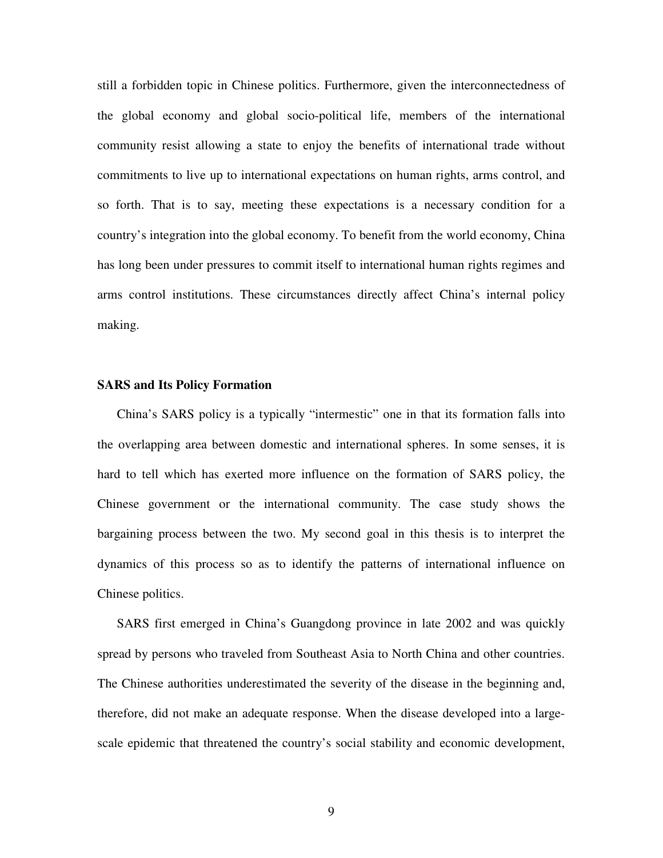still a forbidden topic in Chinese politics. Furthermore, given the interconnectedness of the global economy and global socio-political life, members of the international community resist allowing a state to enjoy the benefits of international trade without commitments to live up to international expectations on human rights, arms control, and so forth. That is to say, meeting these expectations is a necessary condition for a country's integration into the global economy. To benefit from the world economy, China has long been under pressures to commit itself to international human rights regimes and arms control institutions. These circumstances directly affect China's internal policy making.

#### **SARS and Its Policy Formation**

China's SARS policy is a typically "intermestic" one in that its formation falls into the overlapping area between domestic and international spheres. In some senses, it is hard to tell which has exerted more influence on the formation of SARS policy, the Chinese government or the international community. The case study shows the bargaining process between the two. My second goal in this thesis is to interpret the dynamics of this process so as to identify the patterns of international influence on Chinese politics.

SARS first emerged in China's Guangdong province in late 2002 and was quickly spread by persons who traveled from Southeast Asia to North China and other countries. The Chinese authorities underestimated the severity of the disease in the beginning and, therefore, did not make an adequate response. When the disease developed into a largescale epidemic that threatened the country's social stability and economic development,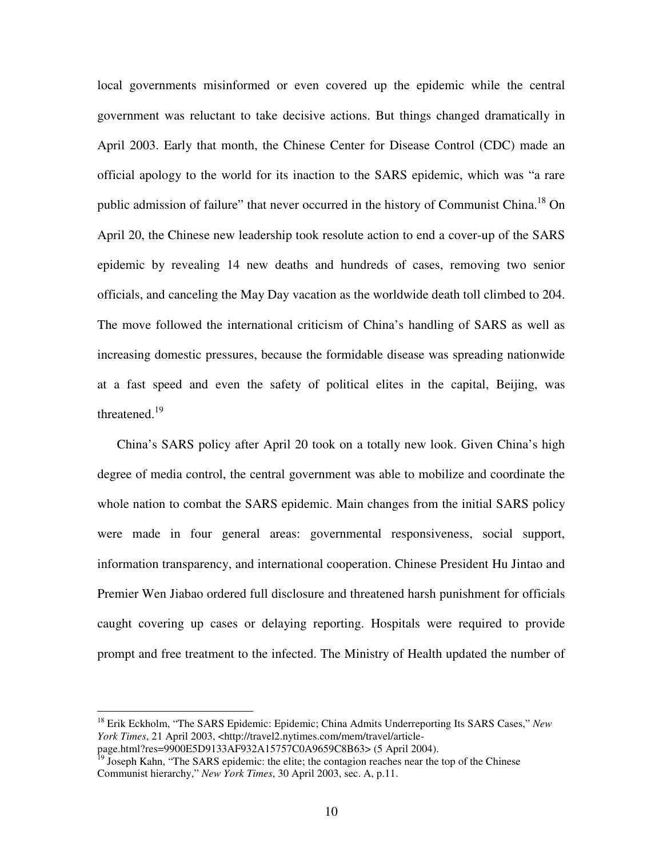local governments misinformed or even covered up the epidemic while the central government was reluctant to take decisive actions. But things changed dramatically in April 2003. Early that month, the Chinese Center for Disease Control (CDC) made an official apology to the world for its inaction to the SARS epidemic, which was "a rare public admission of failure" that never occurred in the history of Communist China.<sup>18</sup> On April 20, the Chinese new leadership took resolute action to end a cover-up of the SARS epidemic by revealing 14 new deaths and hundreds of cases, removing two senior officials, and canceling the May Day vacation as the worldwide death toll climbed to 204. The move followed the international criticism of China's handling of SARS as well as increasing domestic pressures, because the formidable disease was spreading nationwide at a fast speed and even the safety of political elites in the capital, Beijing, was threatened.<sup>19</sup>

China's SARS policy after April 20 took on a totally new look. Given China's high degree of media control, the central government was able to mobilize and coordinate the whole nation to combat the SARS epidemic. Main changes from the initial SARS policy were made in four general areas: governmental responsiveness, social support, information transparency, and international cooperation. Chinese President Hu Jintao and Premier Wen Jiabao ordered full disclosure and threatened harsh punishment for officials caught covering up cases or delaying reporting. Hospitals were required to provide prompt and free treatment to the infected. The Ministry of Health updated the number of

<sup>18</sup> Erik Eckholm, "The SARS Epidemic: Epidemic; China Admits Underreporting Its SARS Cases," *New York Times*, 21 April 2003, <http://travel2.nytimes.com/mem/travel/article-

page.html?res=9900E5D9133AF932A15757C0A9659C8B63> (5 April 2004).<br><sup>19</sup> Joseph Kahn, "The SARS epidemic: the elite; the contagion reaches near the top of the Chinese

Communist hierarchy," *New York Times*, 30 April 2003, sec. A, p.11.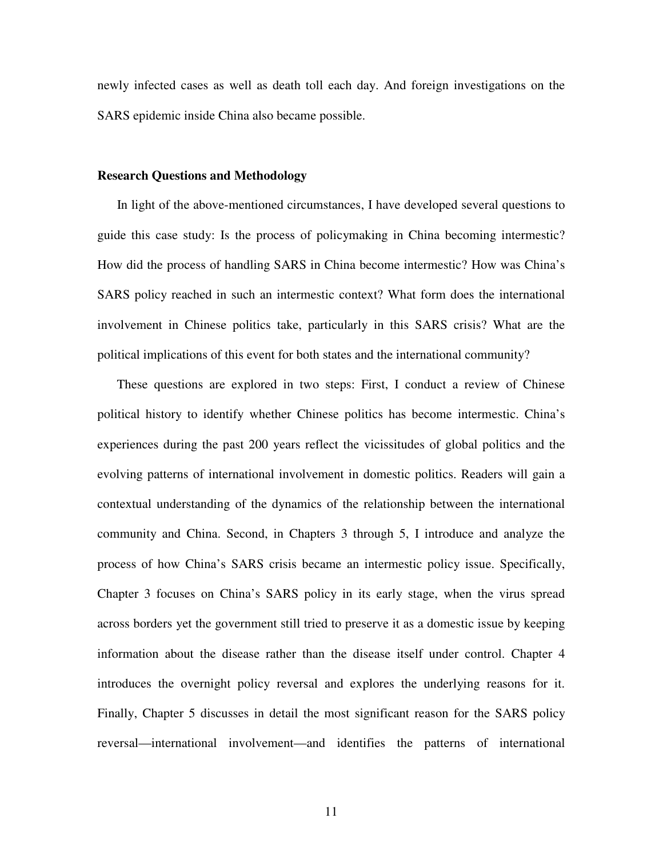newly infected cases as well as death toll each day. And foreign investigations on the SARS epidemic inside China also became possible.

#### **Research Questions and Methodology**

In light of the above-mentioned circumstances, I have developed several questions to guide this case study: Is the process of policymaking in China becoming intermestic? How did the process of handling SARS in China become intermestic? How was China's SARS policy reached in such an intermestic context? What form does the international involvement in Chinese politics take, particularly in this SARS crisis? What are the political implications of this event for both states and the international community?

These questions are explored in two steps: First, I conduct a review of Chinese political history to identify whether Chinese politics has become intermestic. China's experiences during the past 200 years reflect the vicissitudes of global politics and the evolving patterns of international involvement in domestic politics. Readers will gain a contextual understanding of the dynamics of the relationship between the international community and China. Second, in Chapters 3 through 5, I introduce and analyze the process of how China's SARS crisis became an intermestic policy issue. Specifically, Chapter 3 focuses on China's SARS policy in its early stage, when the virus spread across borders yet the government still tried to preserve it as a domestic issue by keeping information about the disease rather than the disease itself under control. Chapter 4 introduces the overnight policy reversal and explores the underlying reasons for it. Finally, Chapter 5 discusses in detail the most significant reason for the SARS policy reversal—international involvement—and identifies the patterns of international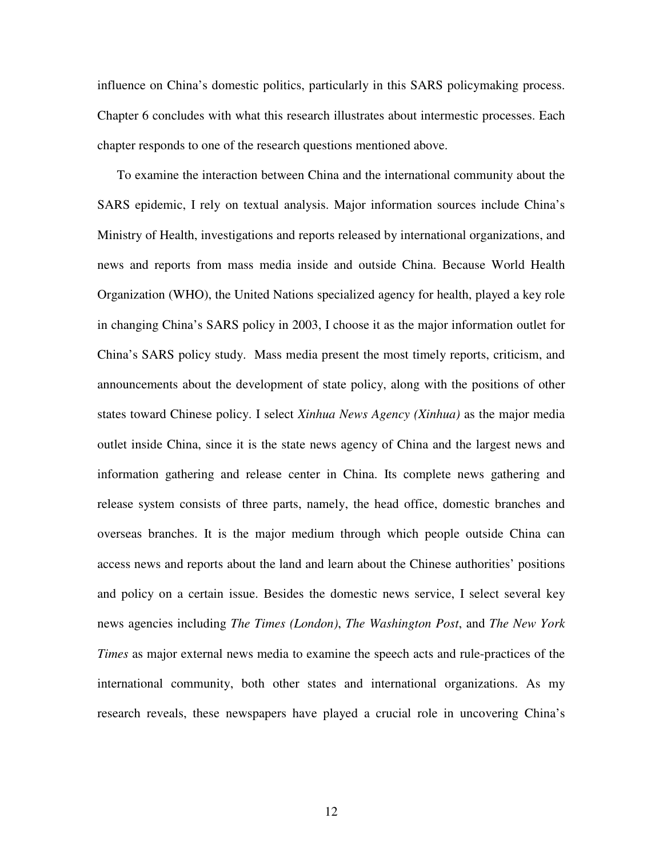influence on China's domestic politics, particularly in this SARS policymaking process. Chapter 6 concludes with what this research illustrates about intermestic processes. Each chapter responds to one of the research questions mentioned above.

To examine the interaction between China and the international community about the SARS epidemic, I rely on textual analysis. Major information sources include China's Ministry of Health, investigations and reports released by international organizations, and news and reports from mass media inside and outside China. Because World Health Organization (WHO), the United Nations specialized agency for health, played a key role in changing China's SARS policy in 2003, I choose it as the major information outlet for China's SARS policy study. Mass media present the most timely reports, criticism, and announcements about the development of state policy, along with the positions of other states toward Chinese policy. I select *Xinhua News Agency (Xinhua)* as the major media outlet inside China, since it is the state news agency of China and the largest news and information gathering and release center in China. Its complete news gathering and release system consists of three parts, namely, the head office, domestic branches and overseas branches. It is the major medium through which people outside China can access news and reports about the land and learn about the Chinese authorities' positions and policy on a certain issue. Besides the domestic news service, I select several key news agencies including *The Times (London)*, *The Washington Post*, and *The New York Times* as major external news media to examine the speech acts and rule-practices of the international community, both other states and international organizations. As my research reveals, these newspapers have played a crucial role in uncovering China's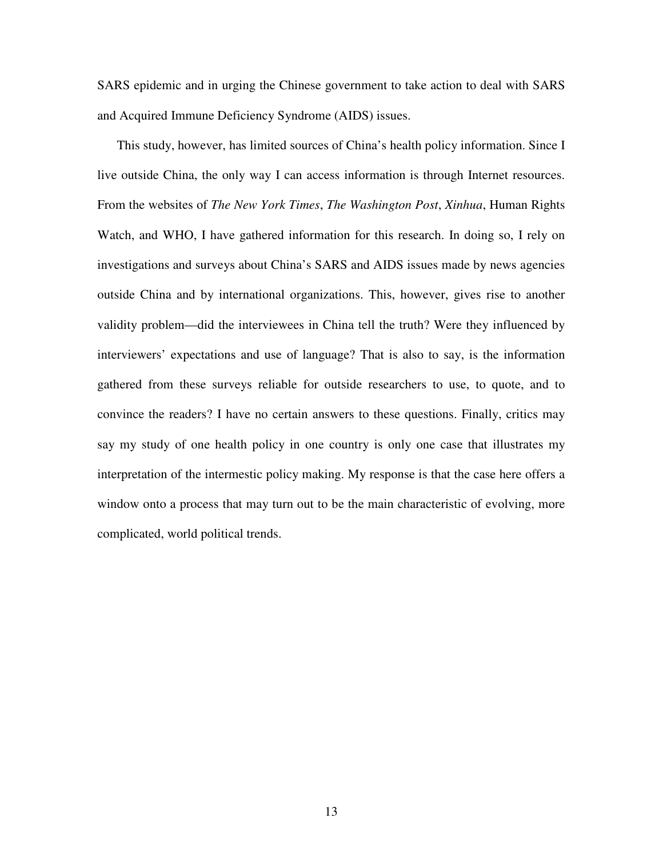SARS epidemic and in urging the Chinese government to take action to deal with SARS and Acquired Immune Deficiency Syndrome (AIDS) issues.

This study, however, has limited sources of China's health policy information. Since I live outside China, the only way I can access information is through Internet resources. From the websites of *The New York Times*, *The Washington Post*, *Xinhua*, Human Rights Watch, and WHO, I have gathered information for this research. In doing so, I rely on investigations and surveys about China's SARS and AIDS issues made by news agencies outside China and by international organizations. This, however, gives rise to another validity problem—did the interviewees in China tell the truth? Were they influenced by interviewers' expectations and use of language? That is also to say, is the information gathered from these surveys reliable for outside researchers to use, to quote, and to convince the readers? I have no certain answers to these questions. Finally, critics may say my study of one health policy in one country is only one case that illustrates my interpretation of the intermestic policy making. My response is that the case here offers a window onto a process that may turn out to be the main characteristic of evolving, more complicated, world political trends.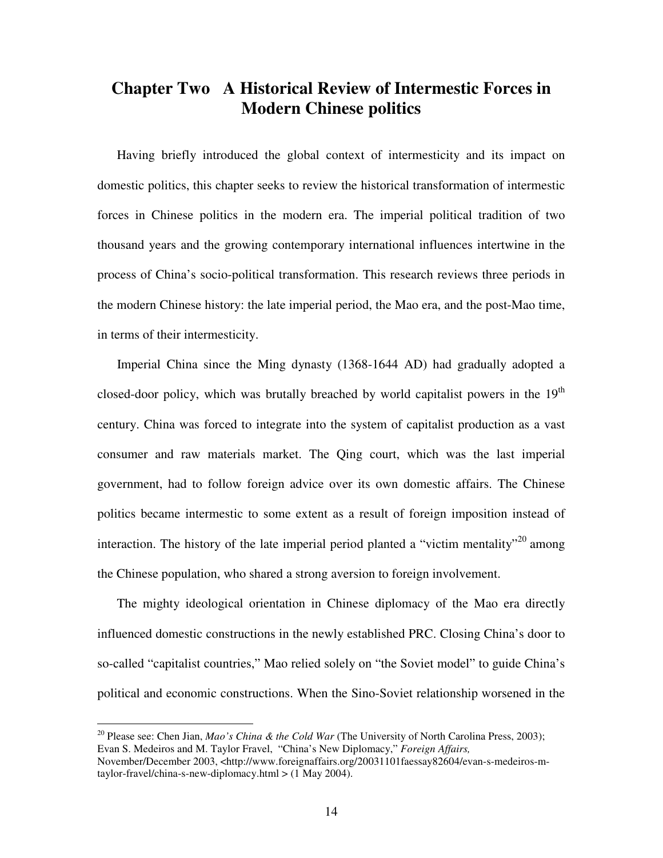## **Chapter Two A Historical Review of Intermestic Forces in Modern Chinese politics**

Having briefly introduced the global context of intermesticity and its impact on domestic politics, this chapter seeks to review the historical transformation of intermestic forces in Chinese politics in the modern era. The imperial political tradition of two thousand years and the growing contemporary international influences intertwine in the process of China's socio-political transformation. This research reviews three periods in the modern Chinese history: the late imperial period, the Mao era, and the post-Mao time, in terms of their intermesticity.

Imperial China since the Ming dynasty (1368-1644 AD) had gradually adopted a closed-door policy, which was brutally breached by world capitalist powers in the  $19<sup>th</sup>$ century. China was forced to integrate into the system of capitalist production as a vast consumer and raw materials market. The Qing court, which was the last imperial government, had to follow foreign advice over its own domestic affairs. The Chinese politics became intermestic to some extent as a result of foreign imposition instead of interaction. The history of the late imperial period planted a "victim mentality"<sup>20</sup> among the Chinese population, who shared a strong aversion to foreign involvement.

The mighty ideological orientation in Chinese diplomacy of the Mao era directly influenced domestic constructions in the newly established PRC. Closing China's door to so-called "capitalist countries," Mao relied solely on "the Soviet model" to guide China's political and economic constructions. When the Sino-Soviet relationship worsened in the

<sup>20</sup> Please see: Chen Jian, *Mao's China & the Cold War* (The University of North Carolina Press, 2003); Evan S. Medeiros and M. Taylor Fravel, "China's New Diplomacy," *Foreign Affairs,* November/December 2003, <http://www.foreignaffairs.org/20031101faessay82604/evan-s-medeiros-mtaylor-fravel/china-s-new-diplomacy.html > (1 May 2004).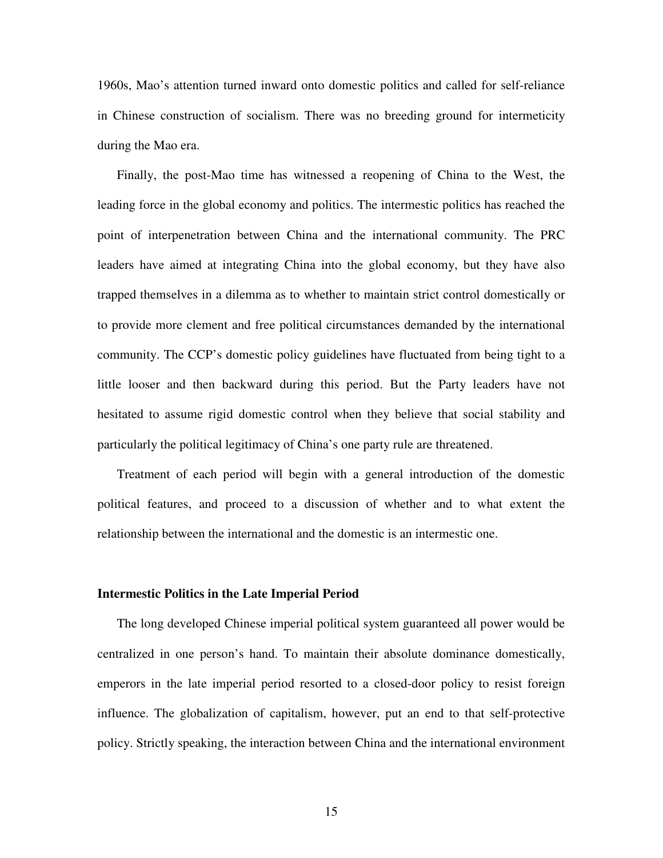1960s, Mao's attention turned inward onto domestic politics and called for self-reliance in Chinese construction of socialism. There was no breeding ground for intermeticity during the Mao era.

Finally, the post-Mao time has witnessed a reopening of China to the West, the leading force in the global economy and politics. The intermestic politics has reached the point of interpenetration between China and the international community. The PRC leaders have aimed at integrating China into the global economy, but they have also trapped themselves in a dilemma as to whether to maintain strict control domestically or to provide more clement and free political circumstances demanded by the international community. The CCP's domestic policy guidelines have fluctuated from being tight to a little looser and then backward during this period. But the Party leaders have not hesitated to assume rigid domestic control when they believe that social stability and particularly the political legitimacy of China's one party rule are threatened.

Treatment of each period will begin with a general introduction of the domestic political features, and proceed to a discussion of whether and to what extent the relationship between the international and the domestic is an intermestic one.

#### **Intermestic Politics in the Late Imperial Period**

The long developed Chinese imperial political system guaranteed all power would be centralized in one person's hand. To maintain their absolute dominance domestically, emperors in the late imperial period resorted to a closed-door policy to resist foreign influence. The globalization of capitalism, however, put an end to that self-protective policy. Strictly speaking, the interaction between China and the international environment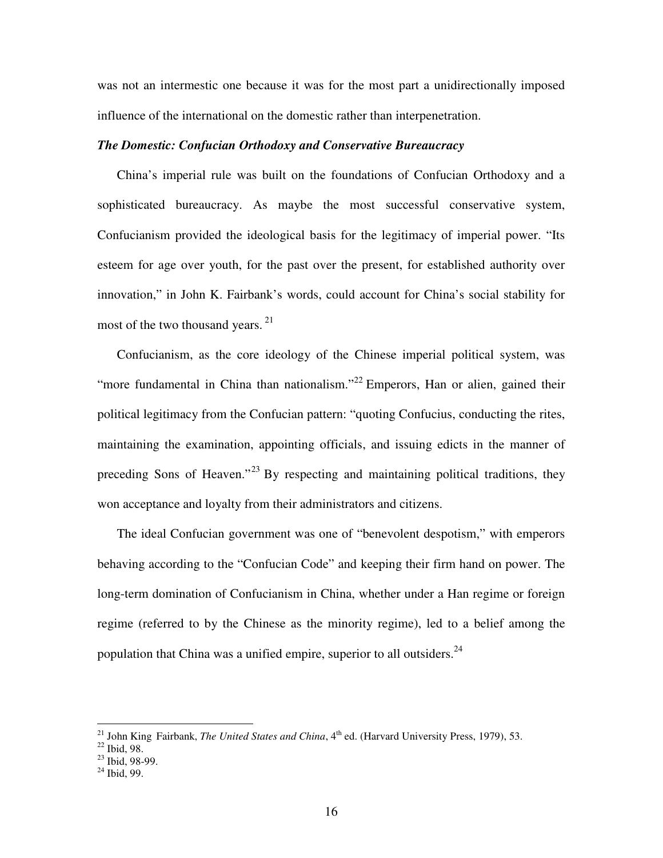was not an intermestic one because it was for the most part a unidirectionally imposed influence of the international on the domestic rather than interpenetration.

#### *The Domestic: Confucian Orthodoxy and Conservative Bureaucracy*

China's imperial rule was built on the foundations of Confucian Orthodoxy and a sophisticated bureaucracy. As maybe the most successful conservative system, Confucianism provided the ideological basis for the legitimacy of imperial power. "Its esteem for age over youth, for the past over the present, for established authority over innovation," in John K. Fairbank's words, could account for China's social stability for most of the two thousand years.<sup>21</sup>

Confucianism, as the core ideology of the Chinese imperial political system, was "more fundamental in China than nationalism."<sup>22</sup> Emperors, Han or alien, gained their political legitimacy from the Confucian pattern: "quoting Confucius, conducting the rites, maintaining the examination, appointing officials, and issuing edicts in the manner of preceding Sons of Heaven."<sup>23</sup> By respecting and maintaining political traditions, they won acceptance and loyalty from their administrators and citizens.

The ideal Confucian government was one of "benevolent despotism," with emperors behaving according to the "Confucian Code" and keeping their firm hand on power. The long-term domination of Confucianism in China, whether under a Han regime or foreign regime (referred to by the Chinese as the minority regime), led to a belief among the population that China was a unified empire, superior to all outsiders.<sup>24</sup>

<sup>&</sup>lt;sup>21</sup> John King Fairbank, *The United States and China*, 4<sup>th</sup> ed. (Harvard University Press, 1979), 53.<br><sup>22</sup> Ibid, 98.<br><sup>23</sup> Ibid, 98-99.

<sup>24</sup> Ibid, 99.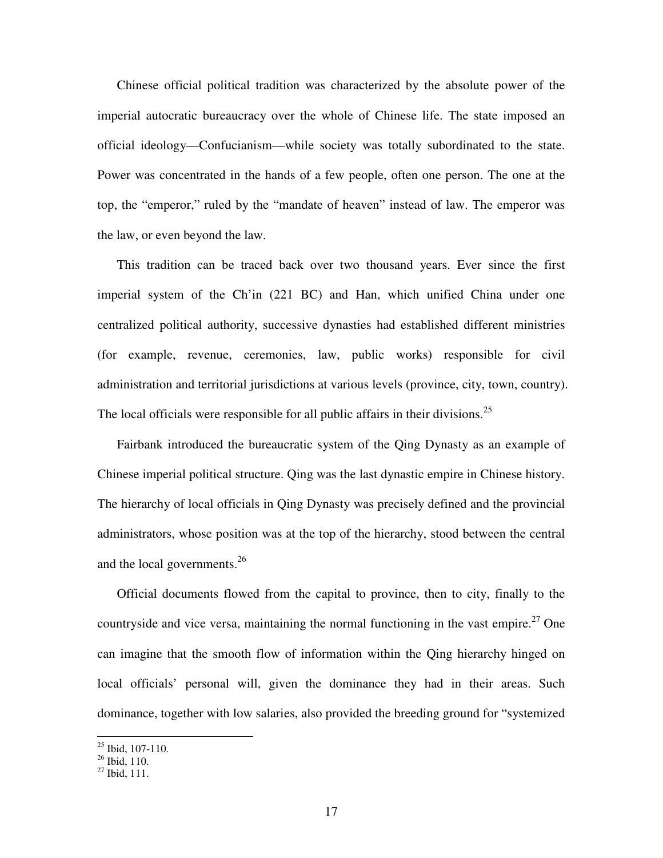Chinese official political tradition was characterized by the absolute power of the imperial autocratic bureaucracy over the whole of Chinese life. The state imposed an official ideology—Confucianism—while society was totally subordinated to the state. Power was concentrated in the hands of a few people, often one person. The one at the top, the "emperor," ruled by the "mandate of heaven" instead of law. The emperor was the law, or even beyond the law.

This tradition can be traced back over two thousand years. Ever since the first imperial system of the Ch'in (221 BC) and Han, which unified China under one centralized political authority, successive dynasties had established different ministries (for example, revenue, ceremonies, law, public works) responsible for civil administration and territorial jurisdictions at various levels (province, city, town, country). The local officials were responsible for all public affairs in their divisions.<sup>25</sup>

Fairbank introduced the bureaucratic system of the Qing Dynasty as an example of Chinese imperial political structure. Qing was the last dynastic empire in Chinese history. The hierarchy of local officials in Qing Dynasty was precisely defined and the provincial administrators, whose position was at the top of the hierarchy, stood between the central and the local governments.<sup>26</sup>

Official documents flowed from the capital to province, then to city, finally to the countryside and vice versa, maintaining the normal functioning in the vast empire.<sup>27</sup> One can imagine that the smooth flow of information within the Qing hierarchy hinged on local officials' personal will, given the dominance they had in their areas. Such dominance, together with low salaries, also provided the breeding ground for "systemized

<sup>&</sup>lt;sup>25</sup> Ibid, 107-110.<br><sup>26</sup> Ibid, 110.<br><sup>27</sup> Ibid, 111.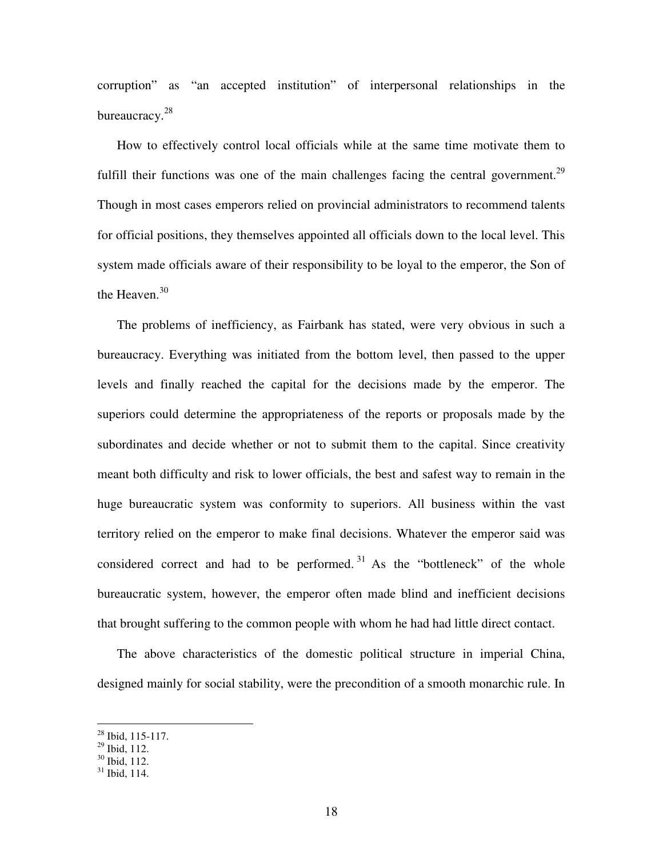corruption" as "an accepted institution" of interpersonal relationships in the bureaucracy.<sup>28</sup>

How to effectively control local officials while at the same time motivate them to fulfill their functions was one of the main challenges facing the central government.<sup>29</sup> Though in most cases emperors relied on provincial administrators to recommend talents for official positions, they themselves appointed all officials down to the local level. This system made officials aware of their responsibility to be loyal to the emperor, the Son of the Heaven.<sup>30</sup>

The problems of inefficiency, as Fairbank has stated, were very obvious in such a bureaucracy. Everything was initiated from the bottom level, then passed to the upper levels and finally reached the capital for the decisions made by the emperor. The superiors could determine the appropriateness of the reports or proposals made by the subordinates and decide whether or not to submit them to the capital. Since creativity meant both difficulty and risk to lower officials, the best and safest way to remain in the huge bureaucratic system was conformity to superiors. All business within the vast territory relied on the emperor to make final decisions. Whatever the emperor said was considered correct and had to be performed.<sup>31</sup> As the "bottleneck" of the whole bureaucratic system, however, the emperor often made blind and inefficient decisions that brought suffering to the common people with whom he had had little direct contact.

The above characteristics of the domestic political structure in imperial China, designed mainly for social stability, were the precondition of a smooth monarchic rule. In

<sup>&</sup>lt;sup>28</sup> Ibid, 115-117.<br><sup>29</sup> Ibid, 112.

<sup>&</sup>lt;sup>30</sup> Ibid, 112.

<sup>31</sup> Ibid, 114.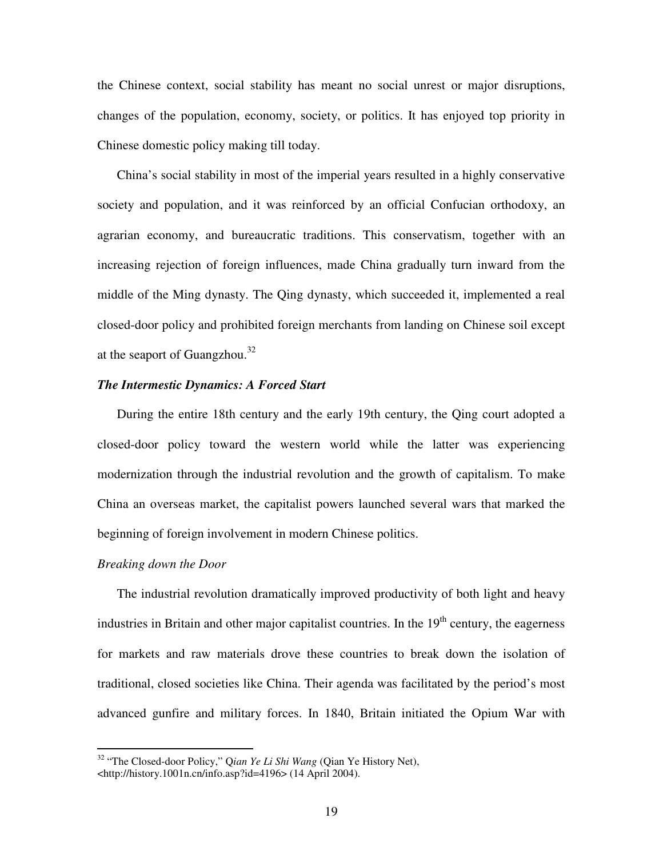the Chinese context, social stability has meant no social unrest or major disruptions, changes of the population, economy, society, or politics. It has enjoyed top priority in Chinese domestic policy making till today.

China's social stability in most of the imperial years resulted in a highly conservative society and population, and it was reinforced by an official Confucian orthodoxy, an agrarian economy, and bureaucratic traditions. This conservatism, together with an increasing rejection of foreign influences, made China gradually turn inward from the middle of the Ming dynasty. The Qing dynasty, which succeeded it, implemented a real closed-door policy and prohibited foreign merchants from landing on Chinese soil except at the seaport of Guangzhou.<sup>32</sup>

#### *The Intermestic Dynamics: A Forced Start*

During the entire 18th century and the early 19th century, the Qing court adopted a closed-door policy toward the western world while the latter was experiencing modernization through the industrial revolution and the growth of capitalism. To make China an overseas market, the capitalist powers launched several wars that marked the beginning of foreign involvement in modern Chinese politics.

#### *Breaking down the Door*

The industrial revolution dramatically improved productivity of both light and heavy industries in Britain and other major capitalist countries. In the  $19<sup>th</sup>$  century, the eagerness for markets and raw materials drove these countries to break down the isolation of traditional, closed societies like China. Their agenda was facilitated by the period's most advanced gunfire and military forces. In 1840, Britain initiated the Opium War with

<sup>32</sup> "The Closed-door Policy," Q*ian Ye Li Shi Wang* (Qian Ye History Net), <http://history.1001n.cn/info.asp?id=4196> (14 April 2004).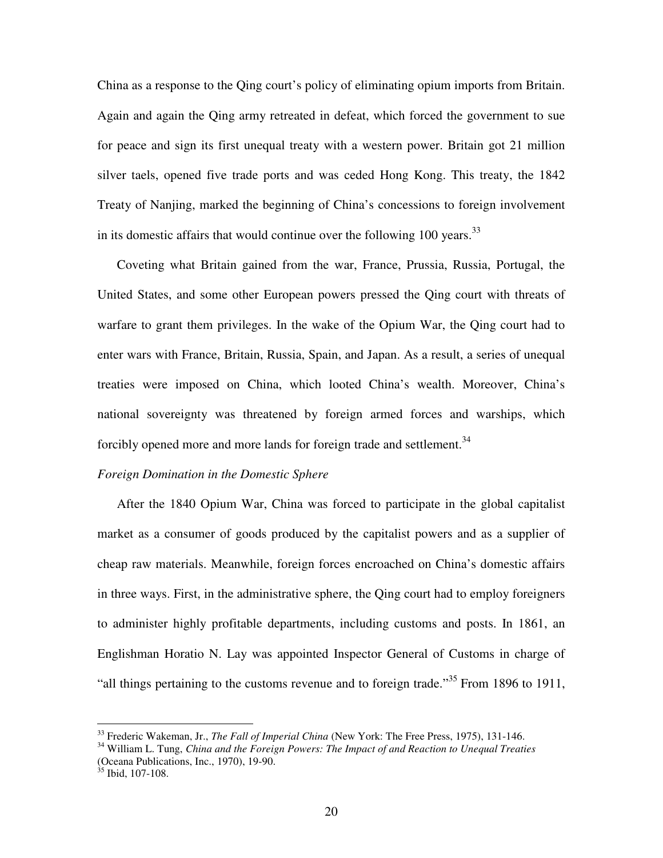China as a response to the Qing court's policy of eliminating opium imports from Britain. Again and again the Qing army retreated in defeat, which forced the government to sue for peace and sign its first unequal treaty with a western power. Britain got 21 million silver taels, opened five trade ports and was ceded Hong Kong. This treaty, the 1842 Treaty of Nanjing, marked the beginning of China's concessions to foreign involvement in its domestic affairs that would continue over the following  $100$  years.<sup>33</sup>

Coveting what Britain gained from the war, France, Prussia, Russia, Portugal, the United States, and some other European powers pressed the Qing court with threats of warfare to grant them privileges. In the wake of the Opium War, the Qing court had to enter wars with France, Britain, Russia, Spain, and Japan. As a result, a series of unequal treaties were imposed on China, which looted China's wealth. Moreover, China's national sovereignty was threatened by foreign armed forces and warships, which forcibly opened more and more lands for foreign trade and settlement.<sup>34</sup>

#### *Foreign Domination in the Domestic Sphere*

After the 1840 Opium War, China was forced to participate in the global capitalist market as a consumer of goods produced by the capitalist powers and as a supplier of cheap raw materials. Meanwhile, foreign forces encroached on China's domestic affairs in three ways. First, in the administrative sphere, the Qing court had to employ foreigners to administer highly profitable departments, including customs and posts. In 1861, an Englishman Horatio N. Lay was appointed Inspector General of Customs in charge of "all things pertaining to the customs revenue and to foreign trade."<sup>35</sup> From 1896 to 1911,

<sup>33</sup> Frederic Wakeman, Jr., *The Fall of Imperial China* (New York: The Free Press, 1975), 131-146.

<sup>34</sup> William L. Tung, *China and the Foreign Powers: The Impact of and Reaction to Unequal Treaties* (Oceana Publications, Inc., 1970), 19-90.

 $35$  Ibid, 107-108.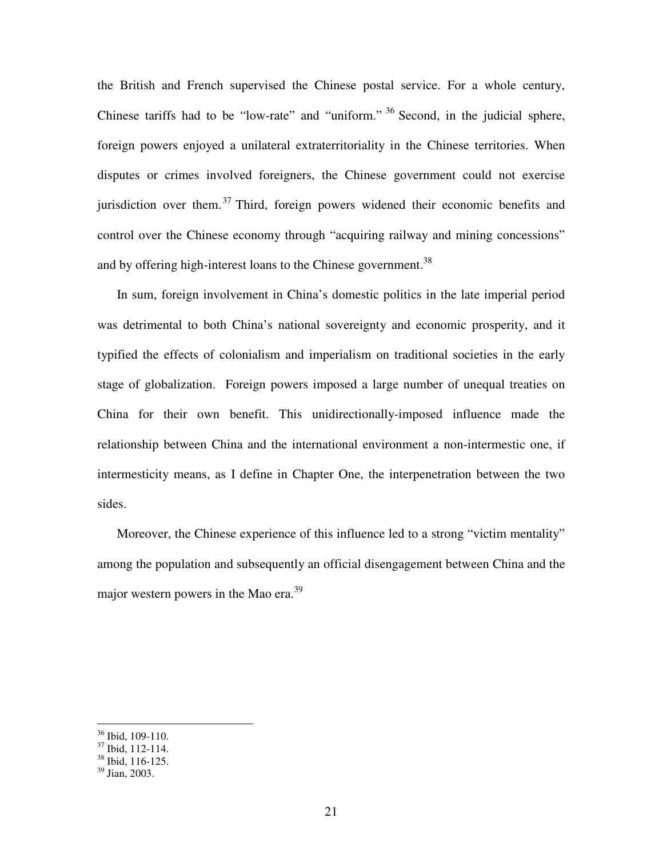the British and French supervised the Chinese postal service. For a whole century, Chinese tariffs had to be "low-rate" and "uniform." <sup>36</sup> Second, in the judicial sphere, foreign powers enjoyed a unilateral extraterritoriality in the Chinese territories. When disputes or crimes involved foreigners, the Chinese government could not exercise jurisdiction over them.<sup>37</sup> Third, foreign powers widened their economic benefits and control over the Chinese economy through "acquiring railway and mining concessions" and by offering high-interest loans to the Chinese government.<sup>38</sup>

In sum, foreign involvement in China's domestic politics in the late imperial period was detrimental to both China's national sovereignty and economic prosperity, and it typified the effects of colonialism and imperialism on traditional societies in the early stage of globalization. Foreign powers imposed a large number of unequal treaties on China for their own benefit. This unidirectionally-imposed influence made the relationship between China and the international environment a non-intermestic one, if intermesticity means, as I define in Chapter One, the interpenetration between the two sides.

Moreover, the Chinese experience of this influence led to a strong "victim mentality" among the population and subsequently an official disengagement between China and the major western powers in the Mao era.<sup>39</sup>

<sup>&</sup>lt;sup>36</sup> Ibid, 109-110.<br><sup>37</sup> Ibid, 112-114.<br><sup>38</sup> Ibid, 116-125.

<sup>39</sup> Jian, 2003.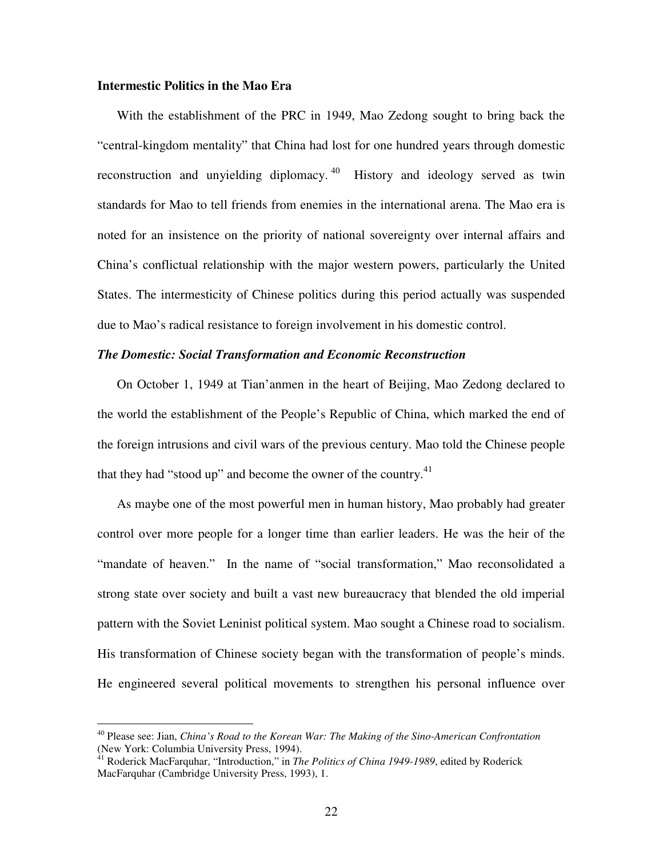#### **Intermestic Politics in the Mao Era**

With the establishment of the PRC in 1949, Mao Zedong sought to bring back the "central-kingdom mentality" that China had lost for one hundred years through domestic reconstruction and unyielding diplomacy.<sup>40</sup> History and ideology served as twin standards for Mao to tell friends from enemies in the international arena. The Mao era is noted for an insistence on the priority of national sovereignty over internal affairs and China's conflictual relationship with the major western powers, particularly the United States. The intermesticity of Chinese politics during this period actually was suspended due to Mao's radical resistance to foreign involvement in his domestic control.

#### *The Domestic: Social Transformation and Economic Reconstruction*

On October 1, 1949 at Tian'anmen in the heart of Beijing, Mao Zedong declared to the world the establishment of the People's Republic of China, which marked the end of the foreign intrusions and civil wars of the previous century. Mao told the Chinese people that they had "stood up" and become the owner of the country.<sup>41</sup>

As maybe one of the most powerful men in human history, Mao probably had greater control over more people for a longer time than earlier leaders. He was the heir of the "mandate of heaven." In the name of "social transformation," Mao reconsolidated a strong state over society and built a vast new bureaucracy that blended the old imperial pattern with the Soviet Leninist political system. Mao sought a Chinese road to socialism. His transformation of Chinese society began with the transformation of people's minds. He engineered several political movements to strengthen his personal influence over

<sup>40</sup> Please see: Jian, *China's Road to the Korean War: The Making of the Sino-American Confrontation* (New York: Columbia University Press, 1994).

<sup>41</sup> Roderick MacFarquhar, "Introduction," in *The Politics of China 1949-1989*, edited by Roderick MacFarquhar (Cambridge University Press, 1993), 1.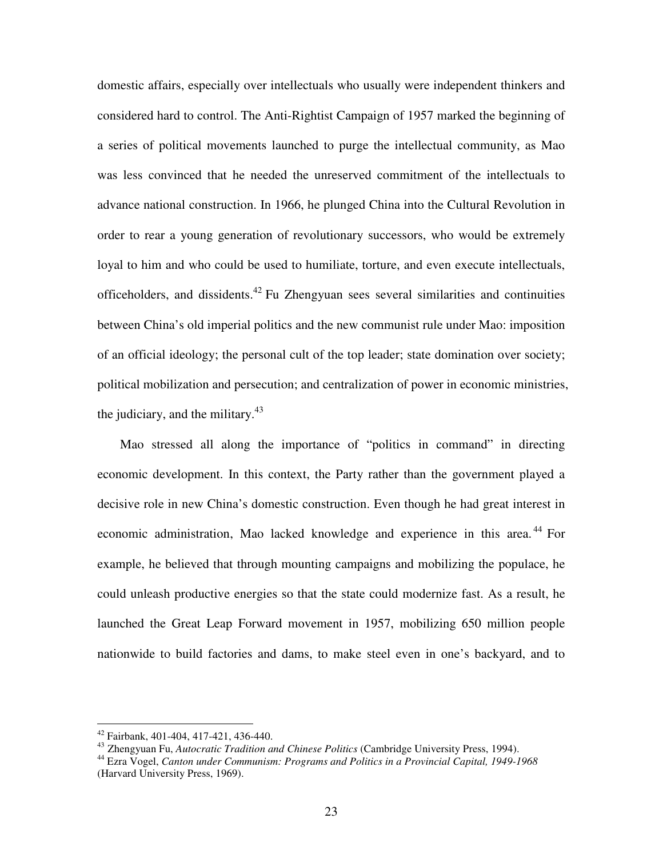domestic affairs, especially over intellectuals who usually were independent thinkers and considered hard to control. The Anti-Rightist Campaign of 1957 marked the beginning of a series of political movements launched to purge the intellectual community, as Mao was less convinced that he needed the unreserved commitment of the intellectuals to advance national construction. In 1966, he plunged China into the Cultural Revolution in order to rear a young generation of revolutionary successors, who would be extremely loyal to him and who could be used to humiliate, torture, and even execute intellectuals, officeholders, and dissidents.<sup>42</sup> Fu Zhengyuan sees several similarities and continuities between China's old imperial politics and the new communist rule under Mao: imposition of an official ideology; the personal cult of the top leader; state domination over society; political mobilization and persecution; and centralization of power in economic ministries, the judiciary, and the military.<sup>43</sup>

Mao stressed all along the importance of "politics in command" in directing economic development. In this context, the Party rather than the government played a decisive role in new China's domestic construction. Even though he had great interest in economic administration, Mao lacked knowledge and experience in this area.<sup>44</sup> For example, he believed that through mounting campaigns and mobilizing the populace, he could unleash productive energies so that the state could modernize fast. As a result, he launched the Great Leap Forward movement in 1957, mobilizing 650 million people nationwide to build factories and dams, to make steel even in one's backyard, and to

<sup>42</sup> Fairbank, 401-404, 417-421, 436-440.

<sup>43</sup> Zhengyuan Fu, *Autocratic Tradition and Chinese Politics* (Cambridge University Press, 1994).

<sup>44</sup> Ezra Vogel, *Canton under Communism: Programs and Politics in a Provincial Capital, 1949-1968* (Harvard University Press, 1969).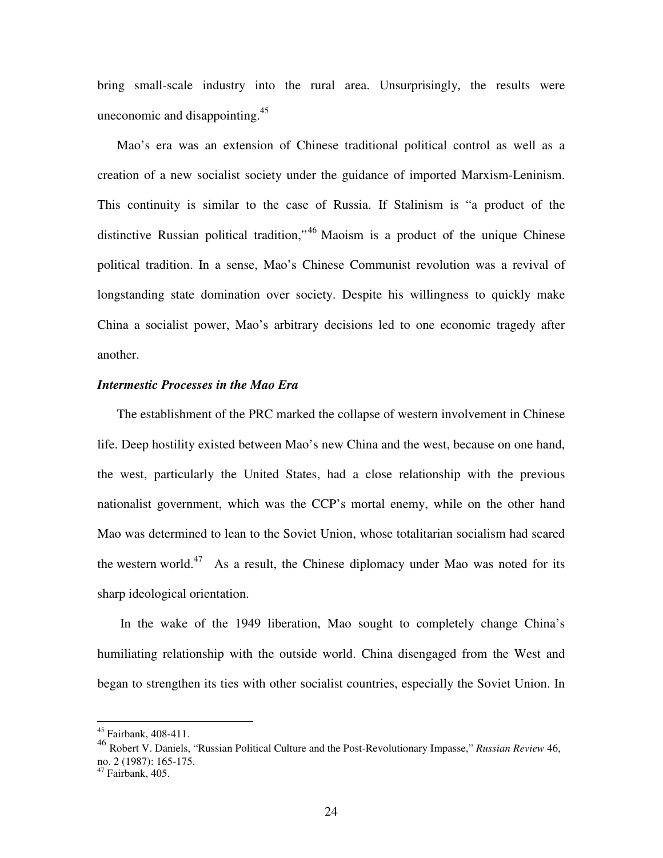bring small-scale industry into the rural area. Unsurprisingly, the results were uneconomic and disappointing.<sup>45</sup>

Mao's era was an extension of Chinese traditional political control as well as a creation of a new socialist society under the guidance of imported Marxism-Leninism. This continuity is similar to the case of Russia. If Stalinism is "a product of the distinctive Russian political tradition,"<sup>46</sup> Maoism is a product of the unique Chinese political tradition. In a sense, Mao's Chinese Communist revolution was a revival of longstanding state domination over society. Despite his willingness to quickly make China a socialist power, Mao's arbitrary decisions led to one economic tragedy after another.

#### *Intermestic Processes in the Mao Era*

The establishment of the PRC marked the collapse of western involvement in Chinese life. Deep hostility existed between Mao's new China and the west, because on one hand, the west, particularly the United States, had a close relationship with the previous nationalist government, which was the CCP's mortal enemy, while on the other hand Mao was determined to lean to the Soviet Union, whose totalitarian socialism had scared the western world.<sup>47</sup> As a result, the Chinese diplomacy under Mao was noted for its sharp ideological orientation.

In the wake of the 1949 liberation, Mao sought to completely change China's humiliating relationship with the outside world. China disengaged from the West and began to strengthen its ties with other socialist countries, especially the Soviet Union. In

<sup>45</sup> Fairbank, 408-411.

<sup>46</sup> Robert V. Daniels, "Russian Political Culture and the Post-Revolutionary Impasse," *Russian Review* 46, no. 2 (1987): 165-175.

<sup>&</sup>lt;sup>47</sup> Fairbank, 405.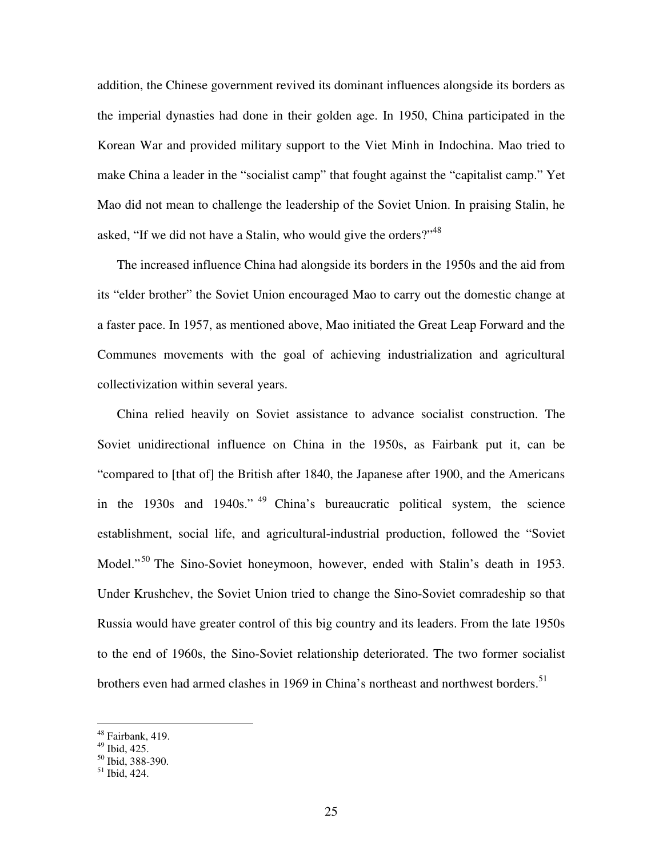addition, the Chinese government revived its dominant influences alongside its borders as the imperial dynasties had done in their golden age. In 1950, China participated in the Korean War and provided military support to the Viet Minh in Indochina. Mao tried to make China a leader in the "socialist camp" that fought against the "capitalist camp." Yet Mao did not mean to challenge the leadership of the Soviet Union. In praising Stalin, he asked, "If we did not have a Stalin, who would give the orders?"<sup>48</sup>

The increased influence China had alongside its borders in the 1950s and the aid from its "elder brother" the Soviet Union encouraged Mao to carry out the domestic change at a faster pace. In 1957, as mentioned above, Mao initiated the Great Leap Forward and the Communes movements with the goal of achieving industrialization and agricultural collectivization within several years.

China relied heavily on Soviet assistance to advance socialist construction. The Soviet unidirectional influence on China in the 1950s, as Fairbank put it, can be "compared to [that of] the British after 1840, the Japanese after 1900, and the Americans in the 1930s and 1940s." <sup>49</sup> China's bureaucratic political system, the science establishment, social life, and agricultural-industrial production, followed the "Soviet Model."<sup>50</sup> The Sino-Soviet honeymoon, however, ended with Stalin's death in 1953. Under Krushchev, the Soviet Union tried to change the Sino-Soviet comradeship so that Russia would have greater control of this big country and its leaders. From the late 1950s to the end of 1960s, the Sino-Soviet relationship deteriorated. The two former socialist brothers even had armed clashes in 1969 in China's northeast and northwest borders.<sup>51</sup>

<sup>&</sup>lt;sup>48</sup> Fairbank, 419.

<sup>49</sup> Ibid, 425.

<sup>50</sup> Ibid, 388-390.

<sup>51</sup> Ibid, 424.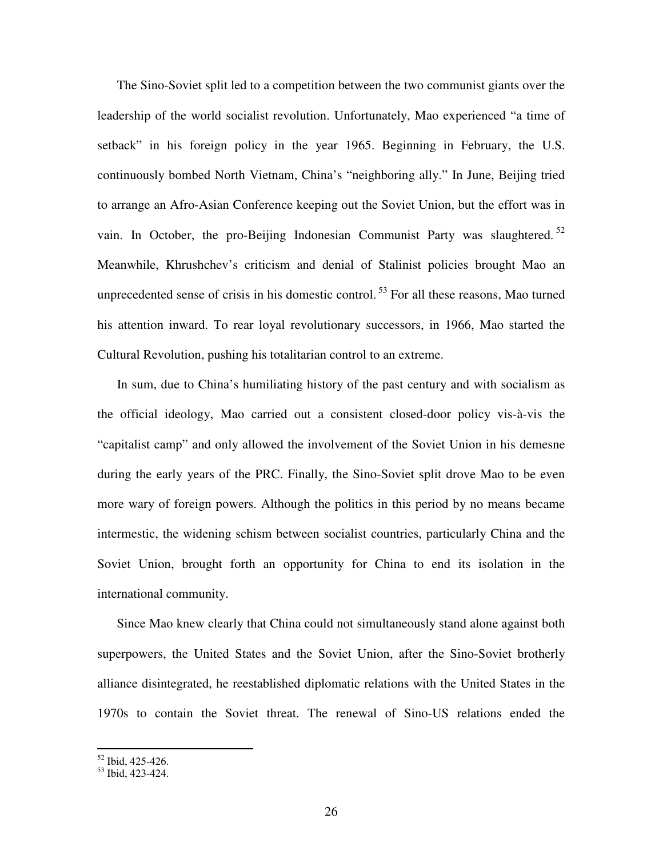The Sino-Soviet split led to a competition between the two communist giants over the leadership of the world socialist revolution. Unfortunately, Mao experienced "a time of setback" in his foreign policy in the year 1965. Beginning in February, the U.S. continuously bombed North Vietnam, China's "neighboring ally." In June, Beijing tried to arrange an Afro-Asian Conference keeping out the Soviet Union, but the effort was in vain. In October, the pro-Beijing Indonesian Communist Party was slaughtered.<sup>52</sup> Meanwhile, Khrushchev's criticism and denial of Stalinist policies brought Mao an unprecedented sense of crisis in his domestic control.<sup>53</sup> For all these reasons, Mao turned his attention inward. To rear loyal revolutionary successors, in 1966, Mao started the Cultural Revolution, pushing his totalitarian control to an extreme.

In sum, due to China's humiliating history of the past century and with socialism as the official ideology, Mao carried out a consistent closed-door policy vis-à-vis the "capitalist camp" and only allowed the involvement of the Soviet Union in his demesne during the early years of the PRC. Finally, the Sino-Soviet split drove Mao to be even more wary of foreign powers. Although the politics in this period by no means became intermestic, the widening schism between socialist countries, particularly China and the Soviet Union, brought forth an opportunity for China to end its isolation in the international community.

Since Mao knew clearly that China could not simultaneously stand alone against both superpowers, the United States and the Soviet Union, after the Sino-Soviet brotherly alliance disintegrated, he reestablished diplomatic relations with the United States in the 1970s to contain the Soviet threat. The renewal of Sino-US relations ended the

<sup>52</sup> Ibid, 425-426.

<sup>53</sup> Ibid, 423-424.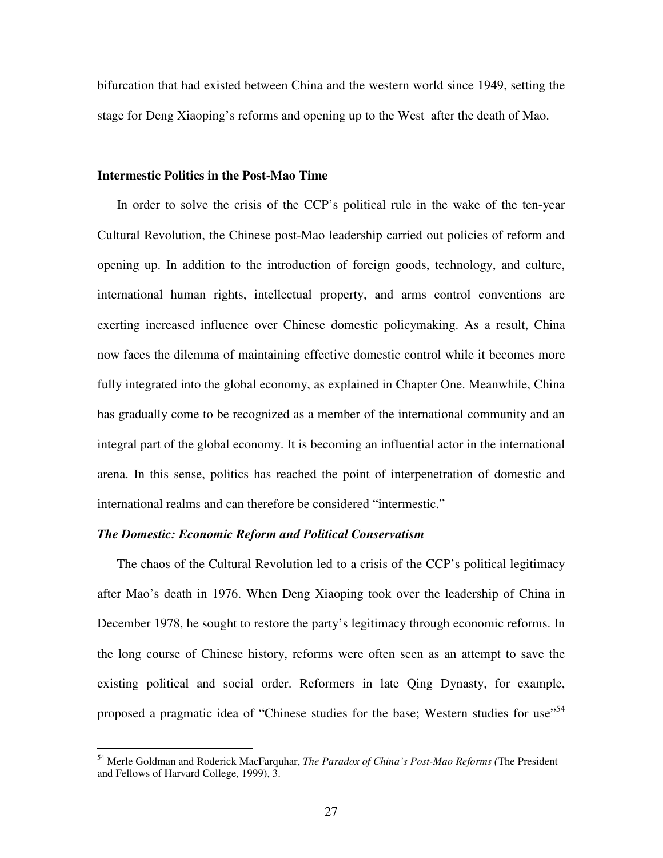bifurcation that had existed between China and the western world since 1949, setting the stage for Deng Xiaoping's reforms and opening up to the West after the death of Mao.

#### **Intermestic Politics in the Post-Mao Time**

In order to solve the crisis of the CCP's political rule in the wake of the ten-year Cultural Revolution, the Chinese post-Mao leadership carried out policies of reform and opening up. In addition to the introduction of foreign goods, technology, and culture, international human rights, intellectual property, and arms control conventions are exerting increased influence over Chinese domestic policymaking. As a result, China now faces the dilemma of maintaining effective domestic control while it becomes more fully integrated into the global economy, as explained in Chapter One. Meanwhile, China has gradually come to be recognized as a member of the international community and an integral part of the global economy. It is becoming an influential actor in the international arena. In this sense, politics has reached the point of interpenetration of domestic and international realms and can therefore be considered "intermestic."

#### *The Domestic: Economic Reform and Political Conservatism*

The chaos of the Cultural Revolution led to a crisis of the CCP's political legitimacy after Mao's death in 1976. When Deng Xiaoping took over the leadership of China in December 1978, he sought to restore the party's legitimacy through economic reforms. In the long course of Chinese history, reforms were often seen as an attempt to save the existing political and social order. Reformers in late Qing Dynasty, for example, proposed a pragmatic idea of "Chinese studies for the base; Western studies for use"<sup>54</sup>

<sup>54</sup> Merle Goldman and Roderick MacFarquhar, *The Paradox of China's Post-Mao Reforms (*The President and Fellows of Harvard College, 1999), 3.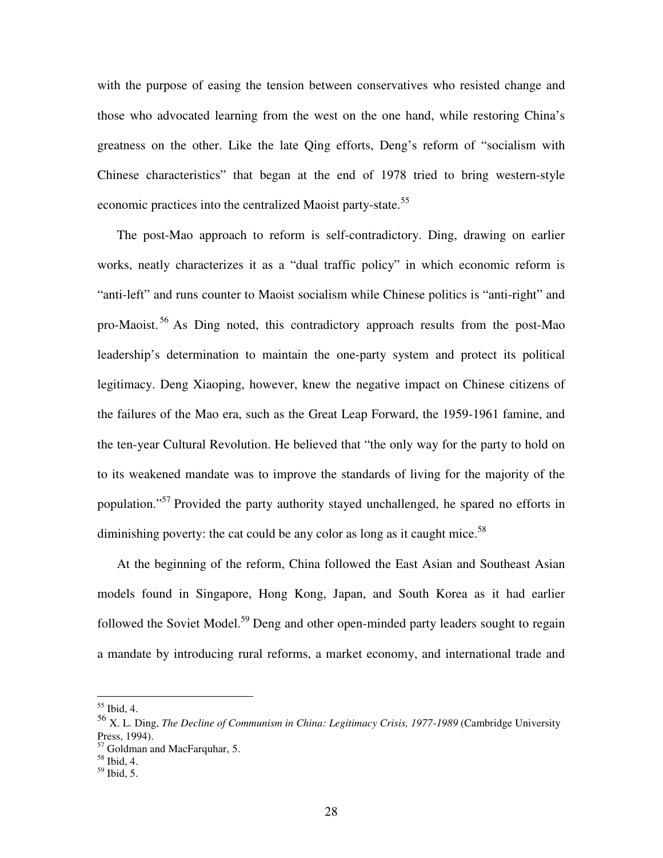with the purpose of easing the tension between conservatives who resisted change and those who advocated learning from the west on the one hand, while restoring China's greatness on the other. Like the late Qing efforts, Deng's reform of "socialism with Chinese characteristics" that began at the end of 1978 tried to bring western-style economic practices into the centralized Maoist party-state.<sup>55</sup>

The post-Mao approach to reform is self-contradictory. Ding, drawing on earlier works, neatly characterizes it as a "dual traffic policy" in which economic reform is "anti-left" and runs counter to Maoist socialism while Chinese politics is "anti-right" and pro-Maoist.<sup>56</sup> As Ding noted, this contradictory approach results from the post-Mao leadership's determination to maintain the one-party system and protect its political legitimacy. Deng Xiaoping, however, knew the negative impact on Chinese citizens of the failures of the Mao era, such as the Great Leap Forward, the 1959-1961 famine, and the ten-year Cultural Revolution. He believed that "the only way for the party to hold on to its weakened mandate was to improve the standards of living for the majority of the population."<sup>57</sup> Provided the party authority stayed unchallenged, he spared no efforts in diminishing poverty: the cat could be any color as long as it caught mice.<sup>58</sup>

At the beginning of the reform, China followed the East Asian and Southeast Asian models found in Singapore, Hong Kong, Japan, and South Korea as it had earlier followed the Soviet Model.<sup>59</sup> Deng and other open-minded party leaders sought to regain a mandate by introducing rural reforms, a market economy, and international trade and

<sup>55</sup> Ibid, 4.

<sup>56</sup> X. L. Ding, *The Decline of Communism in China: Legitimacy Crisis, 1977-1989* (Cambridge University Press, 1994).

<sup>57</sup> Goldman and MacFarquhar, 5.

<sup>58</sup> Ibid, 4.

<sup>59</sup> Ibid, 5.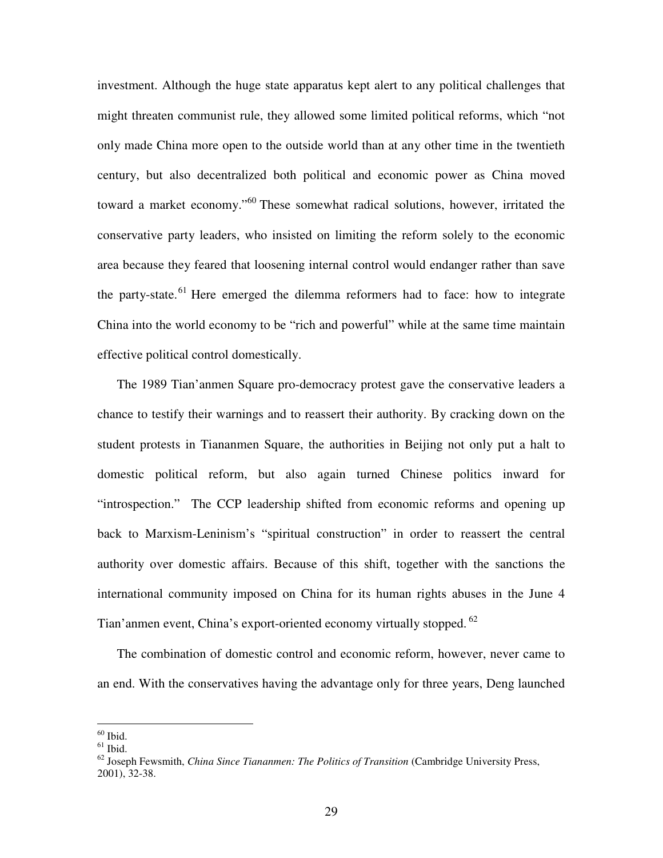investment. Although the huge state apparatus kept alert to any political challenges that might threaten communist rule, they allowed some limited political reforms, which "not only made China more open to the outside world than at any other time in the twentieth century, but also decentralized both political and economic power as China moved toward a market economy."<sup>60</sup> These somewhat radical solutions, however, irritated the conservative party leaders, who insisted on limiting the reform solely to the economic area because they feared that loosening internal control would endanger rather than save the party-state.<sup>61</sup> Here emerged the dilemma reformers had to face: how to integrate China into the world economy to be "rich and powerful" while at the same time maintain effective political control domestically.

The 1989 Tian'anmen Square pro-democracy protest gave the conservative leaders a chance to testify their warnings and to reassert their authority. By cracking down on the student protests in Tiananmen Square, the authorities in Beijing not only put a halt to domestic political reform, but also again turned Chinese politics inward for "introspection." The CCP leadership shifted from economic reforms and opening up back to Marxism-Leninism's "spiritual construction" in order to reassert the central authority over domestic affairs. Because of this shift, together with the sanctions the international community imposed on China for its human rights abuses in the June 4 Tian'anmen event, China's export-oriented economy virtually stopped. <sup>62</sup>

The combination of domestic control and economic reform, however, never came to an end. With the conservatives having the advantage only for three years, Deng launched

 $60$  Ibid.

 $61$  Ibid.

<sup>62</sup> Joseph Fewsmith, *China Since Tiananmen: The Politics of Transition* (Cambridge University Press, 2001), 32-38.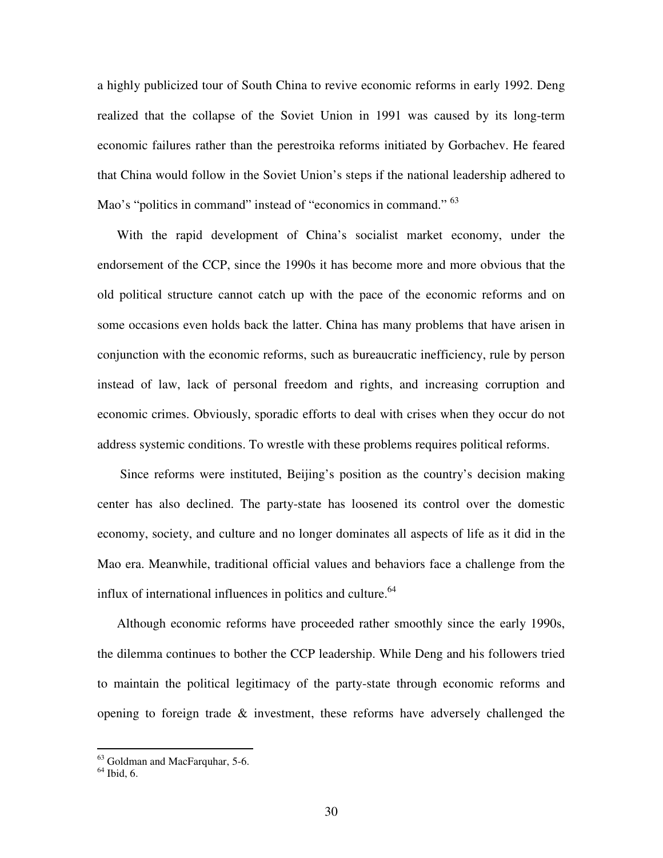a highly publicized tour of South China to revive economic reforms in early 1992. Deng realized that the collapse of the Soviet Union in 1991 was caused by its long-term economic failures rather than the perestroika reforms initiated by Gorbachev. He feared that China would follow in the Soviet Union's steps if the national leadership adhered to Mao's "politics in command" instead of "economics in command." <sup>63</sup>

With the rapid development of China's socialist market economy, under the endorsement of the CCP, since the 1990s it has become more and more obvious that the old political structure cannot catch up with the pace of the economic reforms and on some occasions even holds back the latter. China has many problems that have arisen in conjunction with the economic reforms, such as bureaucratic inefficiency, rule by person instead of law, lack of personal freedom and rights, and increasing corruption and economic crimes. Obviously, sporadic efforts to deal with crises when they occur do not address systemic conditions. To wrestle with these problems requires political reforms.

Since reforms were instituted, Beijing's position as the country's decision making center has also declined. The party-state has loosened its control over the domestic economy, society, and culture and no longer dominates all aspects of life as it did in the Mao era. Meanwhile, traditional official values and behaviors face a challenge from the influx of international influences in politics and culture.<sup>64</sup>

Although economic reforms have proceeded rather smoothly since the early 1990s, the dilemma continues to bother the CCP leadership. While Deng and his followers tried to maintain the political legitimacy of the party-state through economic reforms and opening to foreign trade & investment, these reforms have adversely challenged the

<sup>63</sup> Goldman and MacFarquhar, 5-6.

<sup>64</sup> Ibid, 6.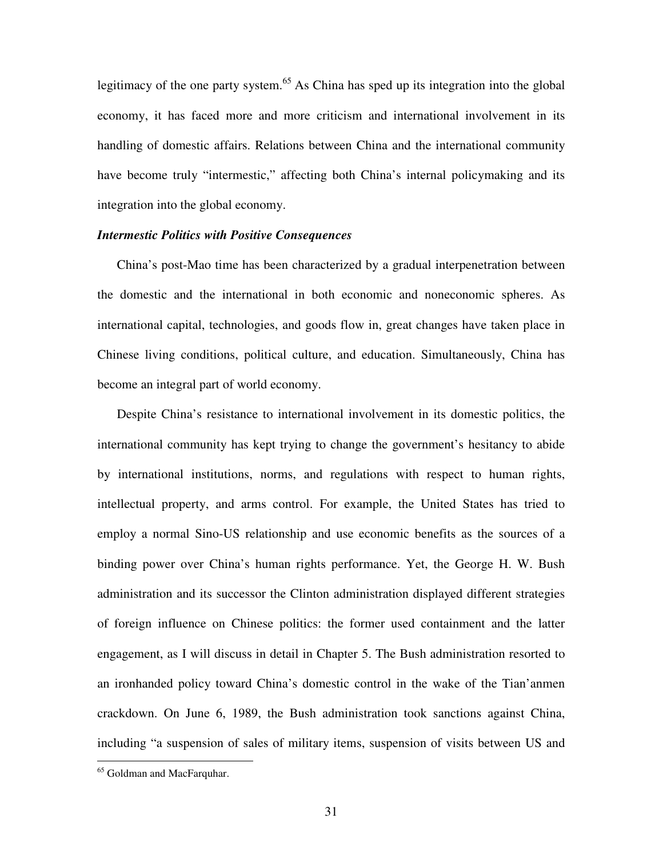legitimacy of the one party system.<sup>65</sup> As China has sped up its integration into the global economy, it has faced more and more criticism and international involvement in its handling of domestic affairs. Relations between China and the international community have become truly "intermestic," affecting both China's internal policymaking and its integration into the global economy.

#### *Intermestic Politics with Positive Consequences*

China's post-Mao time has been characterized by a gradual interpenetration between the domestic and the international in both economic and noneconomic spheres. As international capital, technologies, and goods flow in, great changes have taken place in Chinese living conditions, political culture, and education. Simultaneously, China has become an integral part of world economy.

Despite China's resistance to international involvement in its domestic politics, the international community has kept trying to change the government's hesitancy to abide by international institutions, norms, and regulations with respect to human rights, intellectual property, and arms control. For example, the United States has tried to employ a normal Sino-US relationship and use economic benefits as the sources of a binding power over China's human rights performance. Yet, the George H. W. Bush administration and its successor the Clinton administration displayed different strategies of foreign influence on Chinese politics: the former used containment and the latter engagement, as I will discuss in detail in Chapter 5. The Bush administration resorted to an ironhanded policy toward China's domestic control in the wake of the Tian'anmen crackdown. On June 6, 1989, the Bush administration took sanctions against China, including "a suspension of sales of military items, suspension of visits between US and

<sup>65</sup> Goldman and MacFarquhar.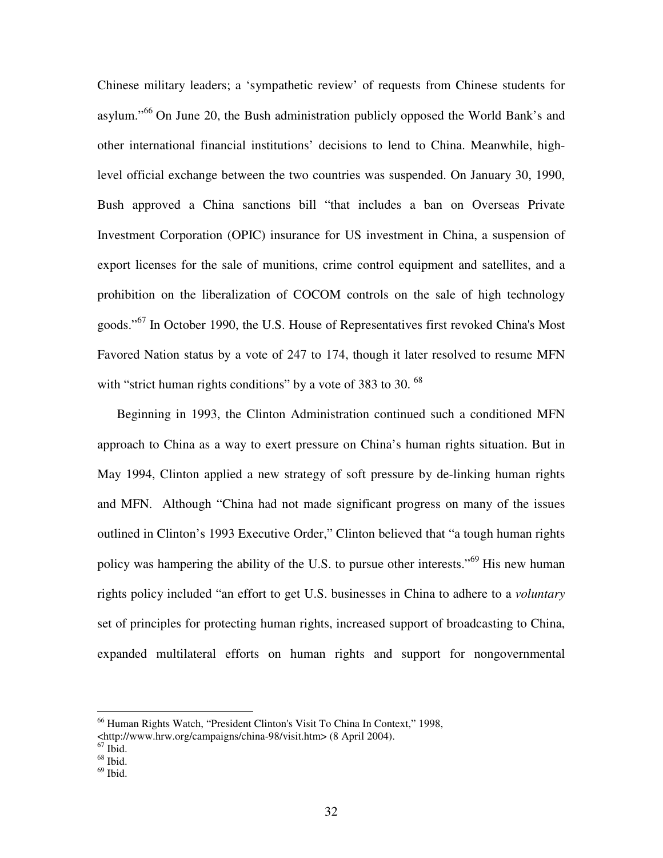Chinese military leaders; a 'sympathetic review' of requests from Chinese students for asylum."<sup>66</sup> On June 20, the Bush administration publicly opposed the World Bank's and other international financial institutions' decisions to lend to China. Meanwhile, highlevel official exchange between the two countries was suspended. On January 30, 1990, Bush approved a China sanctions bill "that includes a ban on Overseas Private Investment Corporation (OPIC) insurance for US investment in China, a suspension of export licenses for the sale of munitions, crime control equipment and satellites, and a prohibition on the liberalization of COCOM controls on the sale of high technology goods."<sup>67</sup> In October 1990, the U.S. House of Representatives first revoked China's Most Favored Nation status by a vote of 247 to 174, though it later resolved to resume MFN with "strict human rights conditions" by a vote of 383 to 30.<sup>68</sup>

Beginning in 1993, the Clinton Administration continued such a conditioned MFN approach to China as a way to exert pressure on China's human rights situation. But in May 1994, Clinton applied a new strategy of soft pressure by de-linking human rights and MFN. Although "China had not made significant progress on many of the issues outlined in Clinton's 1993 Executive Order," Clinton believed that "a tough human rights policy was hampering the ability of the U.S. to pursue other interests."<sup>69</sup> His new human rights policy included "an effort to get U.S. businesses in China to adhere to a *voluntary* set of principles for protecting human rights, increased support of broadcasting to China, expanded multilateral efforts on human rights and support for nongovernmental

<sup>66</sup> Human Rights Watch, "President Clinton's Visit To China In Context," 1998,

<sup>&</sup>lt;http://www.hrw.org/campaigns/china-98/visit.htm> (8 April 2004).<br><sup>67</sup> Ibid.<br><sup>68</sup> Ibid.

 $69$  Ibid.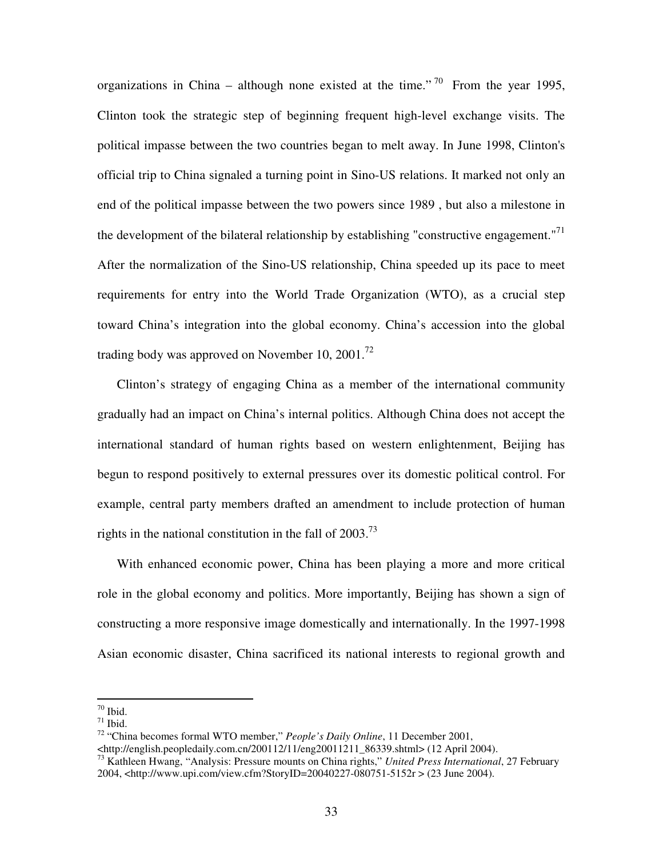organizations in China – although none existed at the time."<sup>70</sup> From the year 1995, Clinton took the strategic step of beginning frequent high-level exchange visits. The political impasse between the two countries began to melt away. In June 1998, Clinton's official trip to China signaled a turning point in Sino-US relations. It marked not only an end of the political impasse between the two powers since 1989 , but also a milestone in the development of the bilateral relationship by establishing "constructive engagement."<sup>71</sup> After the normalization of the Sino-US relationship, China speeded up its pace to meet requirements for entry into the World Trade Organization (WTO), as a crucial step toward China's integration into the global economy. China's accession into the global trading body was approved on November 10, 2001.<sup>72</sup>

Clinton's strategy of engaging China as a member of the international community gradually had an impact on China's internal politics. Although China does not accept the international standard of human rights based on western enlightenment, Beijing has begun to respond positively to external pressures over its domestic political control. For example, central party members drafted an amendment to include protection of human rights in the national constitution in the fall of  $2003$ .<sup>73</sup>

With enhanced economic power, China has been playing a more and more critical role in the global economy and politics. More importantly, Beijing has shown a sign of constructing a more responsive image domestically and internationally. In the 1997-1998 Asian economic disaster, China sacrificed its national interests to regional growth and

<sup>70</sup> Ibid.

 $71$  Ibid.

<sup>72</sup> "China becomes formal WTO member," *People's Daily Online*, 11 December 2001,

<sup>&</sup>lt;http://english.peopledaily.com.cn/200112/11/eng20011211\_86339.shtml> (12 April 2004).

<sup>73</sup> Kathleen Hwang, "Analysis: Pressure mounts on China rights," *United Press International*, 27 February 2004, <http://www.upi.com/view.cfm?StoryID=20040227-080751-5152r > (23 June 2004).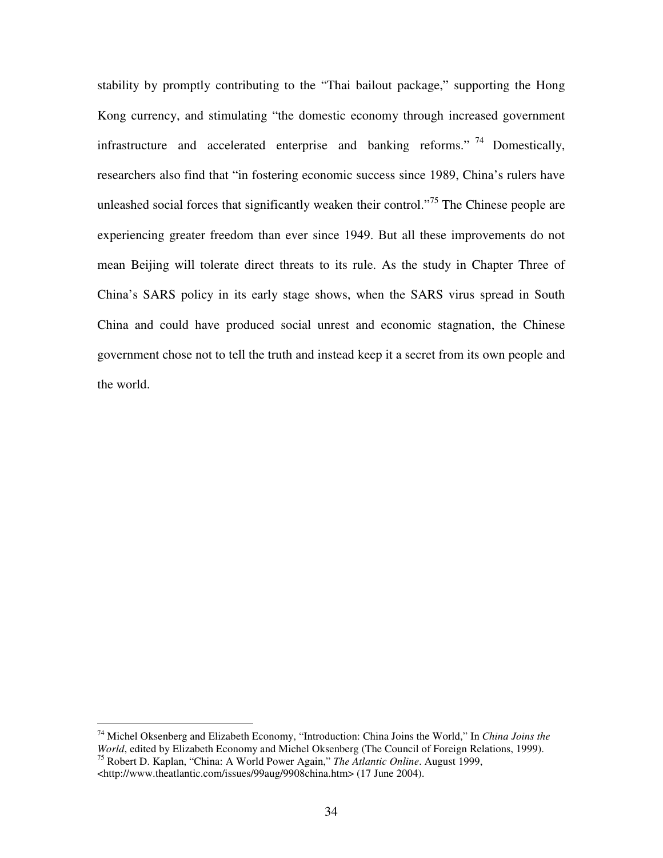stability by promptly contributing to the "Thai bailout package," supporting the Hong Kong currency, and stimulating "the domestic economy through increased government infrastructure and accelerated enterprise and banking reforms."<sup>74</sup> Domestically, researchers also find that "in fostering economic success since 1989, China's rulers have unleashed social forces that significantly weaken their control."<sup>75</sup> The Chinese people are experiencing greater freedom than ever since 1949. But all these improvements do not mean Beijing will tolerate direct threats to its rule. As the study in Chapter Three of China's SARS policy in its early stage shows, when the SARS virus spread in South China and could have produced social unrest and economic stagnation, the Chinese government chose not to tell the truth and instead keep it a secret from its own people and the world.

<sup>74</sup> Michel Oksenberg and Elizabeth Economy, "Introduction: China Joins the World," In *China Joins the World*, edited by Elizabeth Economy and Michel Oksenberg (The Council of Foreign Relations, 1999). <sup>75</sup> Robert D. Kaplan, "China: A World Power Again," *The Atlantic Online*. August 1999,

<sup>&</sup>lt;http://www.theatlantic.com/issues/99aug/9908china.htm> (17 June 2004).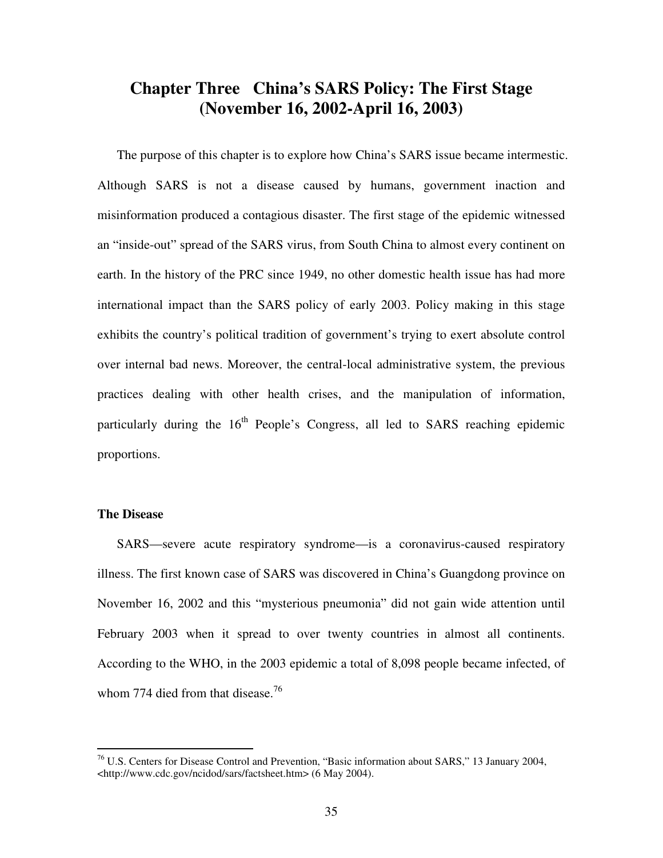# **Chapter Three China's SARS Policy: The First Stage (November 16, 2002-April 16, 2003)**

The purpose of this chapter is to explore how China's SARS issue became intermestic. Although SARS is not a disease caused by humans, government inaction and misinformation produced a contagious disaster. The first stage of the epidemic witnessed an "inside-out" spread of the SARS virus, from South China to almost every continent on earth. In the history of the PRC since 1949, no other domestic health issue has had more international impact than the SARS policy of early 2003. Policy making in this stage exhibits the country's political tradition of government's trying to exert absolute control over internal bad news. Moreover, the central-local administrative system, the previous practices dealing with other health crises, and the manipulation of information, particularly during the 16<sup>th</sup> People's Congress, all led to SARS reaching epidemic proportions.

### **The Disease**

SARS—severe acute respiratory syndrome—is a coronavirus-caused respiratory illness. The first known case of SARS was discovered in China's Guangdong province on November 16, 2002 and this "mysterious pneumonia" did not gain wide attention until February 2003 when it spread to over twenty countries in almost all continents. According to the WHO, in the 2003 epidemic a total of 8,098 people became infected, of whom 774 died from that disease.<sup>76</sup>

 $^{76}$  U.S. Centers for Disease Control and Prevention, "Basic information about SARS," 13 January 2004, <http://www.cdc.gov/ncidod/sars/factsheet.htm> (6 May 2004).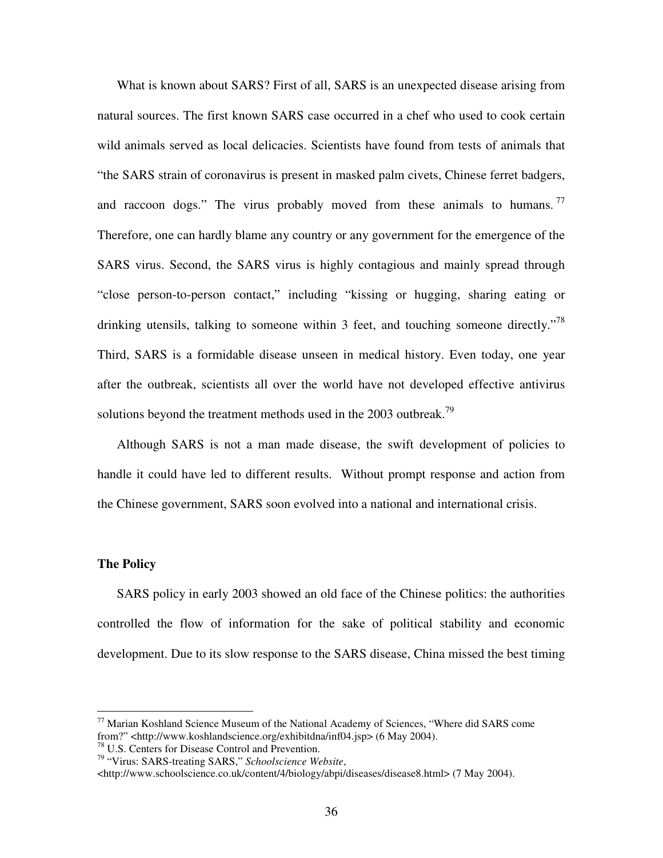What is known about SARS? First of all, SARS is an unexpected disease arising from natural sources. The first known SARS case occurred in a chef who used to cook certain wild animals served as local delicacies. Scientists have found from tests of animals that "the SARS strain of coronavirus is present in masked palm civets, Chinese ferret badgers, and raccoon dogs." The virus probably moved from these animals to humans.  $77$ Therefore, one can hardly blame any country or any government for the emergence of the SARS virus. Second, the SARS virus is highly contagious and mainly spread through "close person-to-person contact," including "kissing or hugging, sharing eating or drinking utensils, talking to someone within 3 feet, and touching someone directly."<sup>78</sup> Third, SARS is a formidable disease unseen in medical history. Even today, one year after the outbreak, scientists all over the world have not developed effective antivirus solutions beyond the treatment methods used in the 2003 outbreak.<sup>79</sup>

Although SARS is not a man made disease, the swift development of policies to handle it could have led to different results. Without prompt response and action from the Chinese government, SARS soon evolved into a national and international crisis.

#### **The Policy**

SARS policy in early 2003 showed an old face of the Chinese politics: the authorities controlled the flow of information for the sake of political stability and economic development. Due to its slow response to the SARS disease, China missed the best timing

<sup>77</sup> Marian Koshland Science Museum of the National Academy of Sciences, "Where did SARS come from?" <http://www.koshlandscience.org/exhibitdna/inf04.jsp> (6 May 2004).

<sup>78</sup> U.S. Centers for Disease Control and Prevention.

<sup>79</sup> "Virus: SARS-treating SARS," *Schoolscience Website*,

<sup>&</sup>lt;http://www.schoolscience.co.uk/content/4/biology/abpi/diseases/disease8.html> (7 May 2004).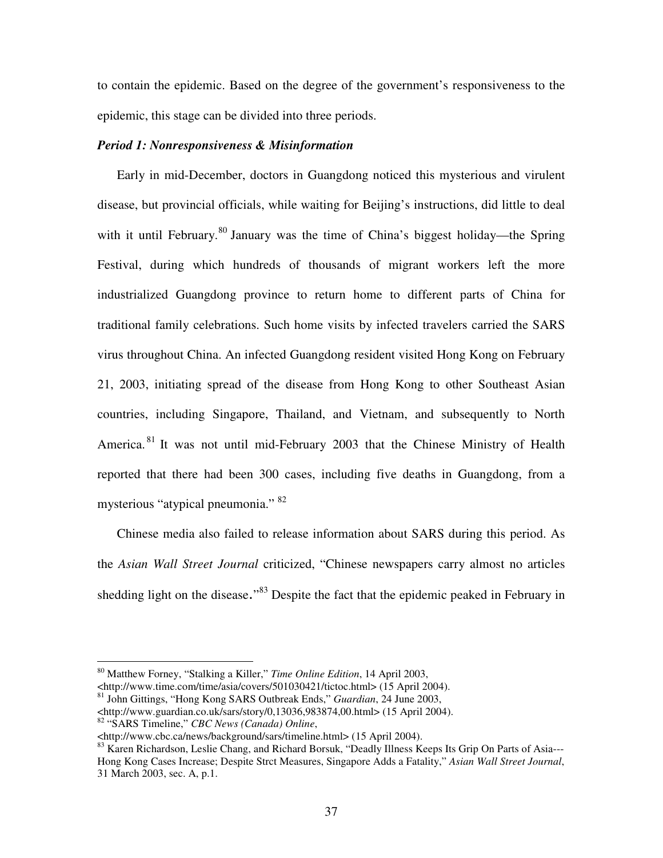to contain the epidemic. Based on the degree of the government's responsiveness to the epidemic, this stage can be divided into three periods.

### *Period 1: Nonresponsiveness & Misinformation*

Early in mid-December, doctors in Guangdong noticed this mysterious and virulent disease, but provincial officials, while waiting for Beijing's instructions, did little to deal with it until February.<sup>80</sup> January was the time of China's biggest holiday—the Spring Festival, during which hundreds of thousands of migrant workers left the more industrialized Guangdong province to return home to different parts of China for traditional family celebrations. Such home visits by infected travelers carried the SARS virus throughout China. An infected Guangdong resident visited Hong Kong on February 21, 2003, initiating spread of the disease from Hong Kong to other Southeast Asian countries, including Singapore, Thailand, and Vietnam, and subsequently to North America.<sup>81</sup> It was not until mid-February 2003 that the Chinese Ministry of Health reported that there had been 300 cases, including five deaths in Guangdong, from a mysterious "atypical pneumonia." <sup>82</sup>

Chinese media also failed to release information about SARS during this period. As the *Asian Wall Street Journal* criticized, "Chinese newspapers carry almost no articles shedding light on the disease."<sup>83</sup> Despite the fact that the epidemic peaked in February in

<http://www.time.com/time/asia/covers/501030421/tictoc.html> (15 April 2004).

<sup>80</sup> Matthew Forney, "Stalking a Killer," *Time Online Edition*, 14 April 2003,

<sup>81</sup> John Gittings, "Hong Kong SARS Outbreak Ends," *Guardian*, 24 June 2003, <http://www.guardian.co.uk/sars/story/0,13036,983874,00.html> (15 April 2004).

<sup>82</sup> "SARS Timeline," *CBC News (Canada) Online*,

<sup>&</sup>lt;http://www.cbc.ca/news/background/sars/timeline.html> (15 April 2004).

<sup>83</sup> Karen Richardson, Leslie Chang, and Richard Borsuk, "Deadly Illness Keeps Its Grip On Parts of Asia---Hong Kong Cases Increase; Despite Strct Measures, Singapore Adds a Fatality," *Asian Wall Street Journal*, 31 March 2003, sec. A, p.1.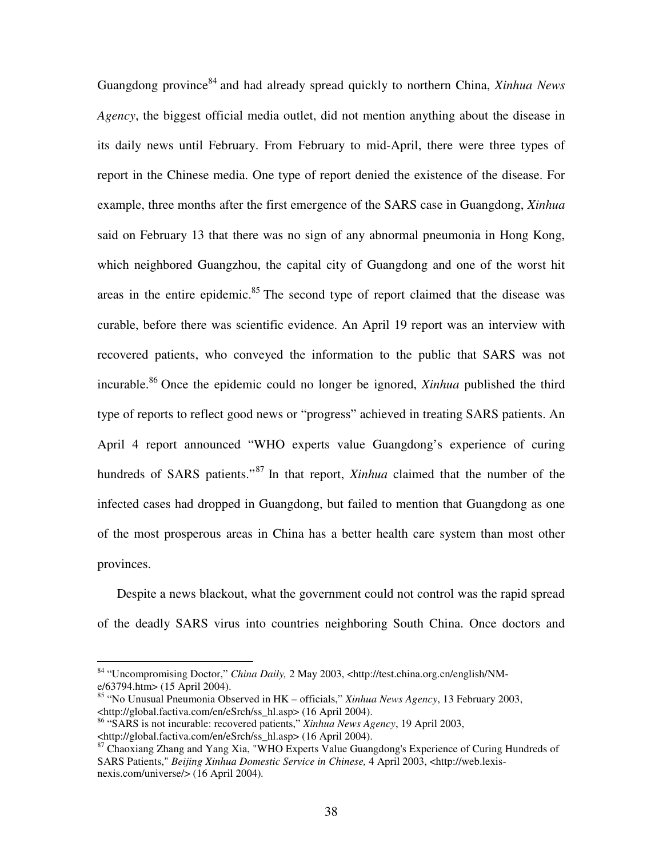Guangdong province 84 and had already spread quickly to northern China, *Xinhua News Agency*, the biggest official media outlet, did not mention anything about the disease in its daily news until February. From February to mid-April, there were three types of report in the Chinese media. One type of report denied the existence of the disease. For example, three months after the first emergence of the SARS case in Guangdong, *Xinhua* said on February 13 that there was no sign of any abnormal pneumonia in Hong Kong, which neighbored Guangzhou, the capital city of Guangdong and one of the worst hit areas in the entire epidemic.<sup>85</sup> The second type of report claimed that the disease was curable, before there was scientific evidence. An April 19 report was an interview with recovered patients, who conveyed the information to the public that SARS was not incurable. <sup>86</sup> Once the epidemic could no longer be ignored, *Xinhua* published the third type of reports to reflect good news or "progress" achieved in treating SARS patients. An April 4 report announced "WHO experts value Guangdong's experience of curing hundreds of SARS patients."<sup>87</sup> In that report, *Xinhua* claimed that the number of the infected cases had dropped in Guangdong, but failed to mention that Guangdong as one of the most prosperous areas in China has a better health care system than most other provinces.

Despite a news blackout, what the government could not control was the rapid spread of the deadly SARS virus into countries neighboring South China. Once doctors and

<sup>84</sup> "Uncompromising Doctor," *China Daily,* 2 May 2003, <http://test.china.org.cn/english/NMe/63794.htm> (15 April 2004).

<sup>85</sup> "No Unusual Pneumonia Observed in HK – officials," *Xinhua News Agency*, 13 February 2003, <http://global.factiva.com/en/eSrch/ss\_hl.asp> (16 April 2004).

<sup>86</sup> "SARS is not incurable: recovered patients," *Xinhua News Agency*, 19 April 2003,

<sup>&</sup>lt;http://global.factiva.com/en/eSrch/ss\_hl.asp> (16 April 2004).

<sup>87</sup> Chaoxiang Zhang and Yang Xia, "WHO Experts Value Guangdong's Experience of Curing Hundreds of SARS Patients," *Beijing Xinhua Domestic Service in Chinese,* 4 April 2003, <http://web.lexisnexis.com/universe/> (16 April 2004)*.*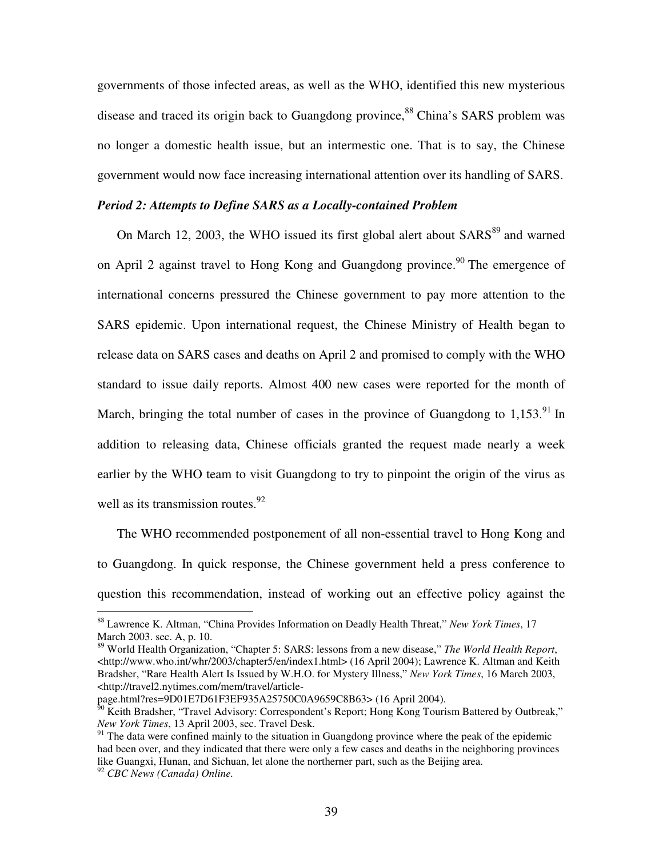governments of those infected areas, as well as the WHO, identified this new mysterious disease and traced its origin back to Guangdong province,<sup>88</sup> China's SARS problem was no longer a domestic health issue, but an intermestic one. That is to say, the Chinese government would now face increasing international attention over its handling of SARS.

### *Period 2: Attempts to Define SARS as a Locally-contained Problem*

On March 12, 2003, the WHO issued its first global alert about SARS<sup>89</sup> and warned on April 2 against travel to Hong Kong and Guangdong province.<sup>90</sup> The emergence of international concerns pressured the Chinese government to pay more attention to the SARS epidemic. Upon international request, the Chinese Ministry of Health began to release data on SARS cases and deaths on April 2 and promised to comply with the WHO standard to issue daily reports. Almost 400 new cases were reported for the month of March, bringing the total number of cases in the province of Guangdong to  $1,153$ .<sup>91</sup> In addition to releasing data, Chinese officials granted the request made nearly a week earlier by the WHO team to visit Guangdong to try to pinpoint the origin of the virus as well as its transmission routes.<sup>92</sup>

The WHO recommended postponement of all non-essential travel to Hong Kong and to Guangdong. In quick response, the Chinese government held a press conference to question this recommendation, instead of working out an effective policy against the

page.html?res=9D01E7D61F3EF935A25750C0A9659C8B63> (16 April 2004).

<sup>88</sup> Lawrence K. Altman, "China Provides Information on Deadly Health Threat," *New York Times*, 17 March 2003. sec. A, p. 10.

<sup>89</sup> World Health Organization, "Chapter 5: SARS: lessons from a new disease," *The World Health Report*, <http://www.who.int/whr/2003/chapter5/en/index1.html> (16 April 2004); Lawrence K. Altman and Keith Bradsher, "Rare Health Alert Is Issued by W.H.O. for Mystery Illness," *New York Times*, 16 March 2003, <http://travel2.nytimes.com/mem/travel/article-

 $^{50}$  Keith Bradsher, "Travel Advisory: Correspondent's Report; Hong Kong Tourism Battered by Outbreak," *New York Times*, 13 April 2003, sec. Travel Desk.

 $91$  The data were confined mainly to the situation in Guangdong province where the peak of the epidemic had been over, and they indicated that there were only a few cases and deaths in the neighboring provinces like Guangxi, Hunan, and Sichuan, let alone the northerner part, such as the Beijing area.

<sup>92</sup> *CBC News (Canada) Online.*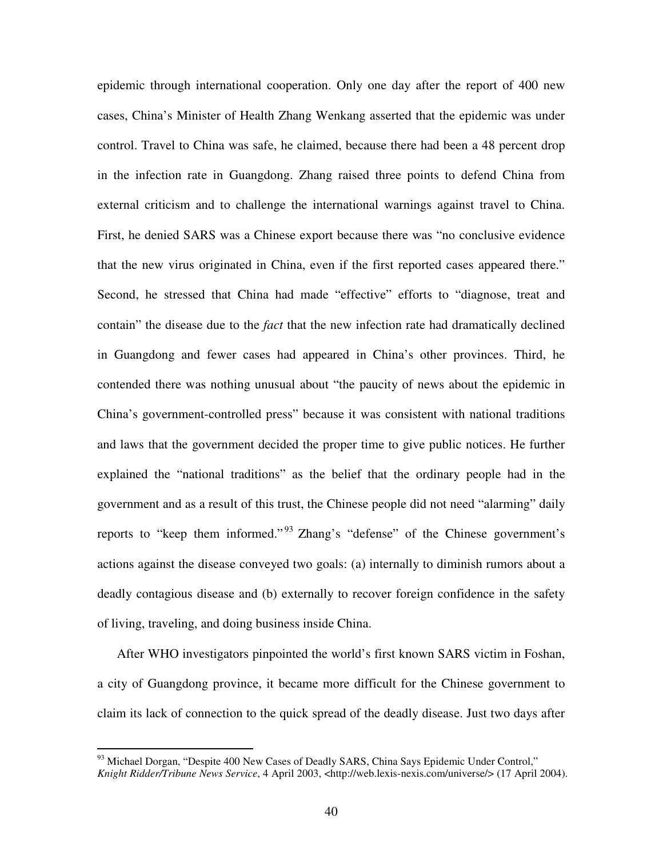epidemic through international cooperation. Only one day after the report of 400 new cases, China's Minister of Health Zhang Wenkang asserted that the epidemic was under control. Travel to China was safe, he claimed, because there had been a 48 percent drop in the infection rate in Guangdong. Zhang raised three points to defend China from external criticism and to challenge the international warnings against travel to China. First, he denied SARS was a Chinese export because there was "no conclusive evidence that the new virus originated in China, even if the first reported cases appeared there." Second, he stressed that China had made "effective" efforts to "diagnose, treat and contain" the disease due to the *fact* that the new infection rate had dramatically declined in Guangdong and fewer cases had appeared in China's other provinces. Third, he contended there was nothing unusual about "the paucity of news about the epidemic in China's government-controlled press" because it was consistent with national traditions and laws that the government decided the proper time to give public notices. He further explained the "national traditions" as the belief that the ordinary people had in the government and as a result of this trust, the Chinese people did not need "alarming" daily reports to "keep them informed."<sup>93</sup> Zhang's "defense" of the Chinese government's actions against the disease conveyed two goals: (a) internally to diminish rumors about a deadly contagious disease and (b) externally to recover foreign confidence in the safety of living, traveling, and doing business inside China.

After WHO investigators pinpointed the world's first known SARS victim in Foshan, a city of Guangdong province, it became more difficult for the Chinese government to claim its lack of connection to the quick spread of the deadly disease. Just two days after

<sup>&</sup>lt;sup>93</sup> Michael Dorgan, "Despite 400 New Cases of Deadly SARS, China Says Epidemic Under Control," *Knight Ridder/Tribune News Service*, 4 April 2003, <http://web.lexis-nexis.com/universe/> (17 April 2004).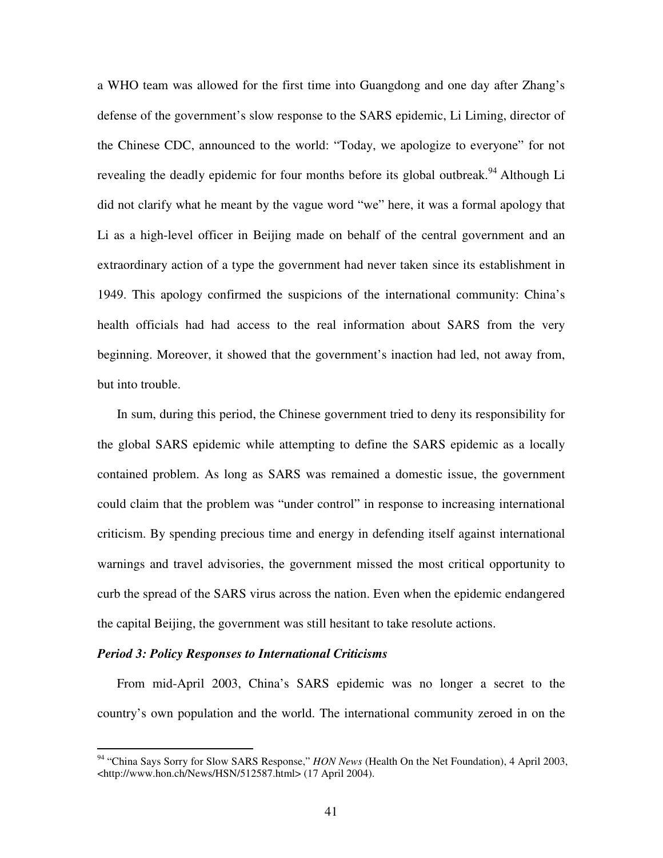a WHO team was allowed for the first time into Guangdong and one day after Zhang's defense of the government's slow response to the SARS epidemic, Li Liming, director of the Chinese CDC, announced to the world: "Today, we apologize to everyone" for not revealing the deadly epidemic for four months before its global outbreak.<sup>94</sup> Although Li did not clarify what he meant by the vague word "we" here, it was a formal apology that Li as a high-level officer in Beijing made on behalf of the central government and an extraordinary action of a type the government had never taken since its establishment in 1949. This apology confirmed the suspicions of the international community: China's health officials had had access to the real information about SARS from the very beginning. Moreover, it showed that the government's inaction had led, not away from, but into trouble.

In sum, during this period, the Chinese government tried to deny its responsibility for the global SARS epidemic while attempting to define the SARS epidemic as a locally contained problem. As long as SARS was remained a domestic issue, the government could claim that the problem was "under control" in response to increasing international criticism. By spending precious time and energy in defending itself against international warnings and travel advisories, the government missed the most critical opportunity to curb the spread of the SARS virus across the nation. Even when the epidemic endangered the capital Beijing, the government was still hesitant to take resolute actions.

### *Period 3: Policy Responses to International Criticisms*

From mid-April 2003, China's SARS epidemic was no longer a secret to the country's own population and the world. The international community zeroed in on the

<sup>94</sup> "China Says Sorry for Slow SARS Response," *HON News* (Health On the Net Foundation), 4 April 2003, <http://www.hon.ch/News/HSN/512587.html> (17 April 2004).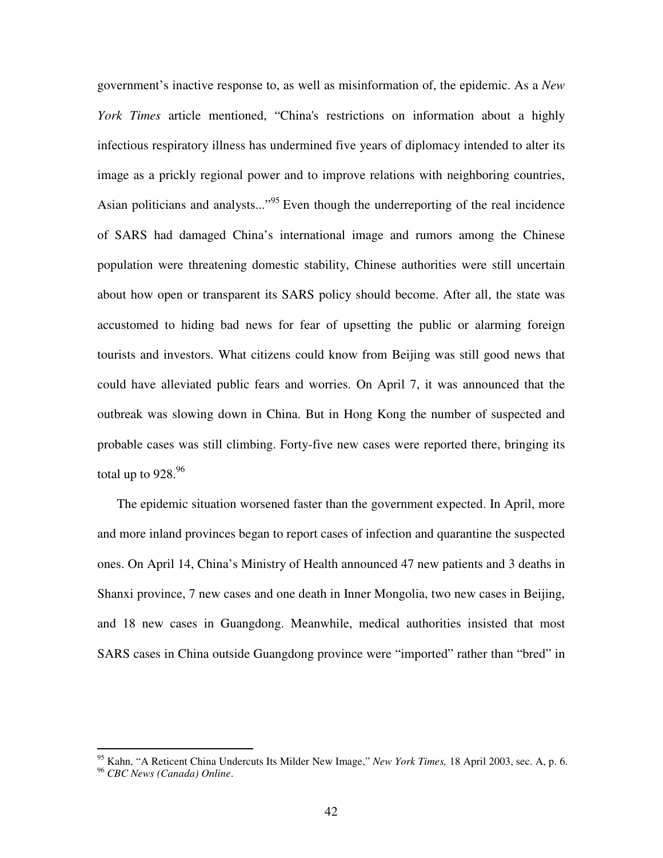government's inactive response to, as well as misinformation of, the epidemic. As a *New York Times* article mentioned, "China's restrictions on information about a highly infectious respiratory illness has undermined five years of diplomacy intended to alter its image as a prickly regional power and to improve relations with neighboring countries, Asian politicians and analysts..."<sup>95</sup> Even though the underreporting of the real incidence of SARS had damaged China's international image and rumors among the Chinese population were threatening domestic stability, Chinese authorities were still uncertain about how open or transparent its SARS policy should become. After all, the state was accustomed to hiding bad news for fear of upsetting the public or alarming foreign tourists and investors. What citizens could know from Beijing was still good news that could have alleviated public fears and worries. On April 7, it was announced that the outbreak was slowing down in China. But in Hong Kong the number of suspected and probable cases was still climbing. Forty-five new cases were reported there, bringing its total up to 928. $^{96}$ 

The epidemic situation worsened faster than the government expected. In April, more and more inland provinces began to report cases of infection and quarantine the suspected ones. On April 14, China's Ministry of Health announced 47 new patients and 3 deaths in Shanxi province, 7 new cases and one death in Inner Mongolia, two new cases in Beijing, and 18 new cases in Guangdong. Meanwhile, medical authorities insisted that most SARS cases in China outside Guangdong province were "imported" rather than "bred" in

<sup>95</sup> Kahn, "A Reticent China Undercuts Its Milder New Image," *New York Times,* 18 April 2003, sec. A, p. 6.

<sup>96</sup> *CBC News (Canada) Online*.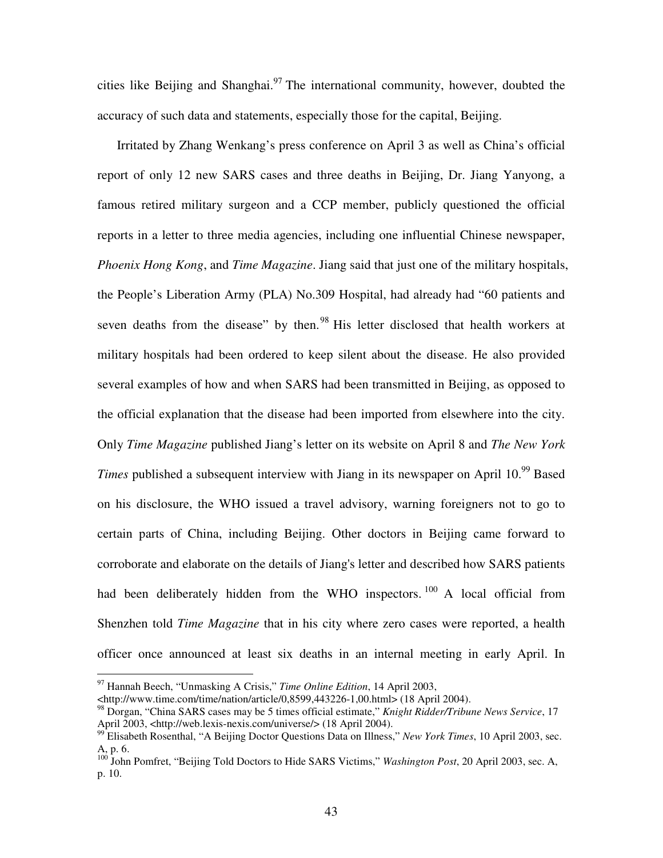cities like Beijing and Shanghai. $97$  The international community, however, doubted the accuracy of such data and statements, especially those for the capital, Beijing.

Irritated by Zhang Wenkang's press conference on April 3 as well as China's official report of only 12 new SARS cases and three deaths in Beijing, Dr. Jiang Yanyong, a famous retired military surgeon and a CCP member, publicly questioned the official reports in a letter to three media agencies, including one influential Chinese newspaper, *Phoenix Hong Kong*, and *Time Magazine*. Jiang said that just one of the military hospitals, the People's Liberation Army (PLA) No.309 Hospital, had already had "60 patients and seven deaths from the disease" by then.<sup>98</sup> His letter disclosed that health workers at military hospitals had been ordered to keep silent about the disease. He also provided several examples of how and when SARS had been transmitted in Beijing, as opposed to the official explanation that the disease had been imported from elsewhere into the city. Only *Time Magazine* published Jiang's letter on its website on April 8 and *The New York* Times published a subsequent interview with Jiang in its newspaper on April 10.<sup>99</sup> Based on his disclosure, the WHO issued a travel advisory, warning foreigners not to go to certain parts of China, including Beijing. Other doctors in Beijing came forward to corroborate and elaborate on the details of Jiang's letter and described how SARS patients had been deliberately hidden from the WHO inspectors.<sup>100</sup> A local official from Shenzhen told *Time Magazine* that in his city where zero cases were reported, a health officer once announced at least six deaths in an internal meeting in early April. In

<sup>97</sup> Hannah Beech, "Unmasking A Crisis," *Time Online Edition*, 14 April 2003,

<sup>&</sup>lt;http://www.time.com/time/nation/article/0,8599,443226-1,00.html> (18 April 2004).

<sup>98</sup> Dorgan, "China SARS cases may be 5 times official estimate," *Knight Ridder/Tribune News Service*, 17 April 2003, <http://web.lexis-nexis.com/universe/> (18 April 2004).

<sup>99</sup> Elisabeth Rosenthal, "A Beijing Doctor Questions Data on Illness," *New York Times*, 10 April 2003, sec. A, p. 6.

<sup>100</sup> John Pomfret, "Beijing Told Doctors to Hide SARS Victims," *Washington Post*, 20 April 2003, sec. A, p. 10.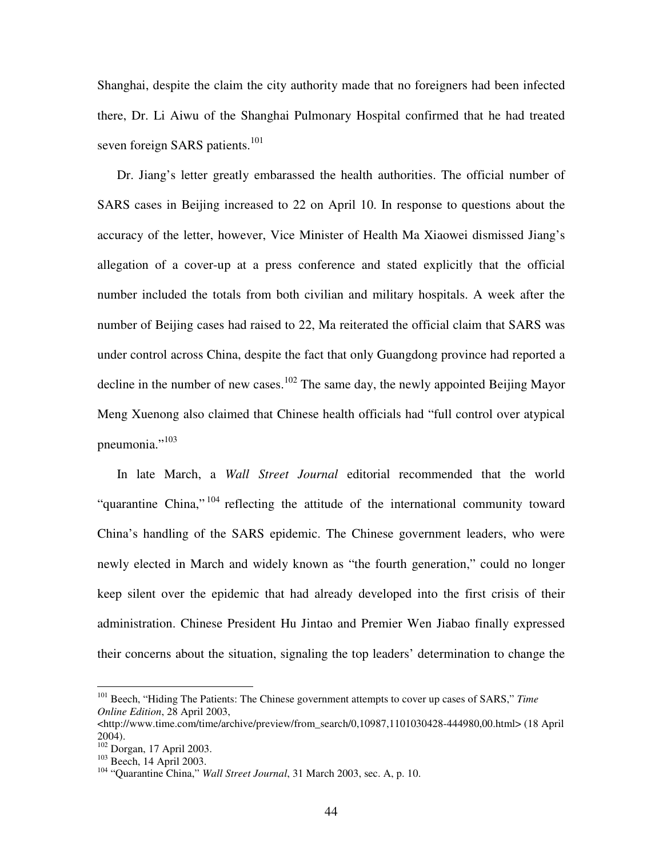Shanghai, despite the claim the city authority made that no foreigners had been infected there, Dr. Li Aiwu of the Shanghai Pulmonary Hospital confirmed that he had treated seven foreign SARS patients.<sup>101</sup>

Dr. Jiang's letter greatly embarassed the health authorities. The official number of SARS cases in Beijing increased to 22 on April 10. In response to questions about the accuracy of the letter, however, Vice Minister of Health Ma Xiaowei dismissed Jiang's allegation of a cover-up at a press conference and stated explicitly that the official number included the totals from both civilian and military hospitals. A week after the number of Beijing cases had raised to 22, Ma reiterated the official claim that SARS was under control across China, despite the fact that only Guangdong province had reported a decline in the number of new cases.<sup>102</sup> The same day, the newly appointed Beijing Mayor Meng Xuenong also claimed that Chinese health officials had "full control over atypical pneumonia."<sup>103</sup>

In late March, a *Wall Street Journal* editorial recommended that the world "quarantine China,"<sup>104</sup> reflecting the attitude of the international community toward China's handling of the SARS epidemic. The Chinese government leaders, who were newly elected in March and widely known as "the fourth generation," could no longer keep silent over the epidemic that had already developed into the first crisis of their administration. Chinese President Hu Jintao and Premier Wen Jiabao finally expressed their concerns about the situation, signaling the top leaders' determination to change the

<sup>101</sup> Beech, "Hiding The Patients: The Chinese government attempts to cover up cases of SARS," *Time Online Edition*, 28 April 2003,

 $\text{chttp://www.time.com/time/archive/prev/from search/0,10987,1101030428-444980,00.html}$  (18 April) 2004).

<sup>102</sup> Dorgan, 17 April 2003.

<sup>&</sup>lt;sup>103</sup> Beech, 14 April 2003.

<sup>104</sup> "Quarantine China," *Wall Street Journal*, 31 March 2003, sec. A, p. 10.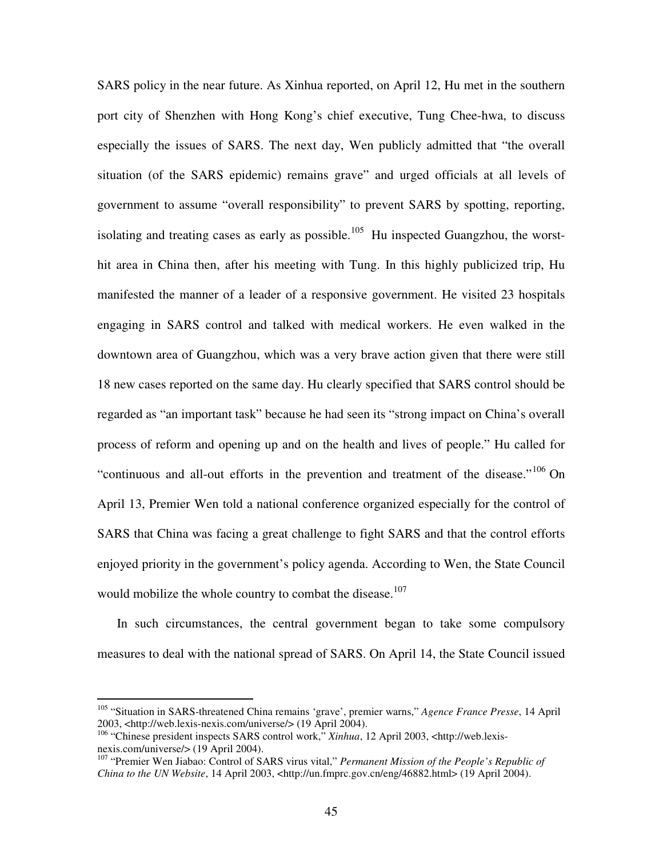SARS policy in the near future. As Xinhua reported, on April 12, Hu met in the southern port city of Shenzhen with Hong Kong's chief executive, Tung Chee-hwa, to discuss especially the issues of SARS. The next day, Wen publicly admitted that "the overall situation (of the SARS epidemic) remains grave" and urged officials at all levels of government to assume "overall responsibility" to prevent SARS by spotting, reporting, isolating and treating cases as early as possible.<sup>105</sup> Hu inspected Guangzhou, the worsthit area in China then, after his meeting with Tung. In this highly publicized trip, Hu manifested the manner of a leader of a responsive government. He visited 23 hospitals engaging in SARS control and talked with medical workers. He even walked in the downtown area of Guangzhou, which was a very brave action given that there were still 18 new cases reported on the same day. Hu clearly specified that SARS control should be regarded as "an important task" because he had seen its "strong impact on China's overall process of reform and opening up and on the health and lives of people." Hu called for "continuous and all-out efforts in the prevention and treatment of the disease."<sup>106</sup> On April 13, Premier Wen told a national conference organized especially for the control of SARS that China was facing a great challenge to fight SARS and that the control efforts enjoyed priority in the government's policy agenda. According to Wen, the State Council would mobilize the whole country to combat the disease.<sup>107</sup>

In such circumstances, the central government began to take some compulsory measures to deal with the national spread of SARS. On April 14, the State Council issued

<sup>105</sup> "Situation in SARS-threatened China remains 'grave', premier warns," *Agence France Presse*, 14 April 2003, <http://web.lexis-nexis.com/universe/> (19 April 2004).

<sup>&</sup>lt;sup>106</sup> "Chinese president inspects SARS control work," *Xinhua*, 12 April 2003, <http://web.lexisnexis.com/universe/> (19 April 2004).

<sup>107</sup> "Premier Wen Jiabao: Control of SARS virus vital," *Permanent Mission of the People's Republic of China to the UN Website*, 14 April 2003, <http://un.fmprc.gov.cn/eng/46882.html> (19 April 2004).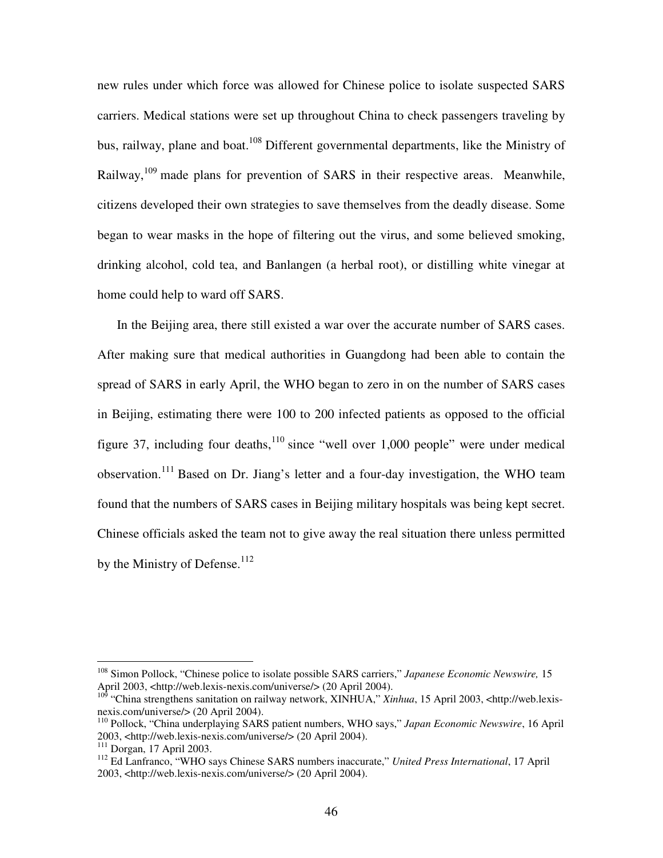new rules under which force was allowed for Chinese police to isolate suspected SARS carriers. Medical stations were set up throughout China to check passengers traveling by bus, railway, plane and boat.<sup>108</sup> Different governmental departments, like the Ministry of Railway,<sup>109</sup> made plans for prevention of SARS in their respective areas. Meanwhile, citizens developed their own strategies to save themselves from the deadly disease. Some began to wear masks in the hope of filtering out the virus, and some believed smoking, drinking alcohol, cold tea, and Banlangen (a herbal root), or distilling white vinegar at home could help to ward off SARS.

In the Beijing area, there still existed a war over the accurate number of SARS cases. After making sure that medical authorities in Guangdong had been able to contain the spread of SARS in early April, the WHO began to zero in on the number of SARS cases in Beijing, estimating there were 100 to 200 infected patients as opposed to the official figure 37, including four deaths,  $10^{\circ}$  since "well over 1,000 people" were under medical observation.<sup>111</sup> Based on Dr. Jiang's letter and a four-day investigation, the WHO team found that the numbers of SARS cases in Beijing military hospitals was being kept secret. Chinese officials asked the team not to give away the real situation there unless permitted by the Ministry of Defense.<sup>112</sup>

<sup>108</sup> Simon Pollock, "Chinese police to isolate possible SARS carriers," *Japanese Economic Newswire,* 15 April 2003, <http://web.lexis-nexis.com/universe/> (20 April 2004).

<sup>&</sup>lt;sup>109</sup> "China strengthens sanitation on railway network, XINHUA," *Xinhua*, 15 April 2003, <http://web.lexisnexis.com/universe/> (20 April 2004).

<sup>110</sup> Pollock, "China underplaying SARS patient numbers, WHO says," *Japan Economic Newswire*, 16 April 2003, <http://web.lexis-nexis.com/universe/> (20 April 2004).

<sup>111</sup> Dorgan, 17 April 2003.

<sup>112</sup> Ed Lanfranco, "WHO says Chinese SARS numbers inaccurate," *United Press International*, 17 April 2003, <http://web.lexis-nexis.com/universe/> (20 April 2004).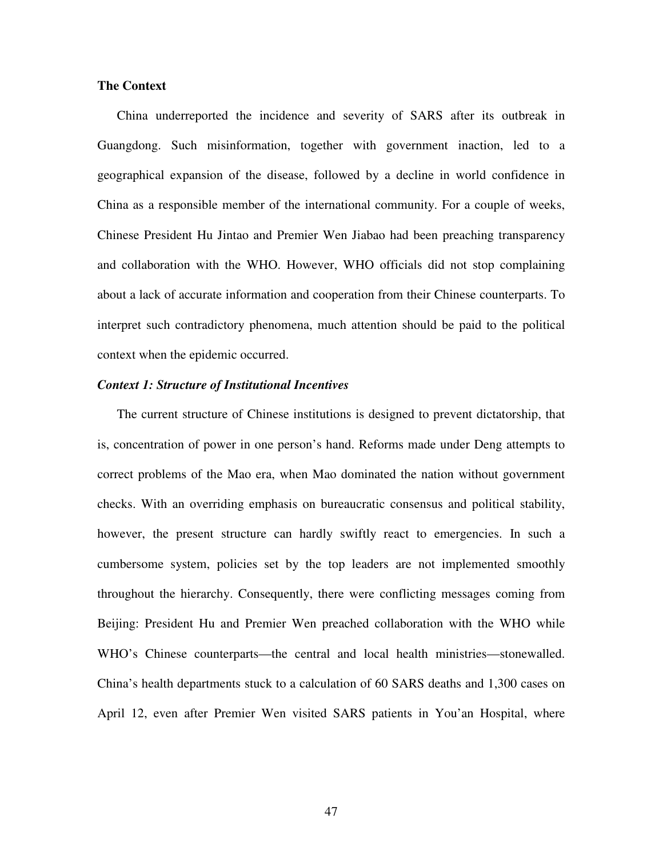### **The Context**

China underreported the incidence and severity of SARS after its outbreak in Guangdong. Such misinformation, together with government inaction, led to a geographical expansion of the disease, followed by a decline in world confidence in China as a responsible member of the international community. For a couple of weeks, Chinese President Hu Jintao and Premier Wen Jiabao had been preaching transparency and collaboration with the WHO. However, WHO officials did not stop complaining about a lack of accurate information and cooperation from their Chinese counterparts. To interpret such contradictory phenomena, much attention should be paid to the political context when the epidemic occurred.

### *Context 1: Structure of Institutional Incentives*

The current structure of Chinese institutions is designed to prevent dictatorship, that is, concentration of power in one person's hand. Reforms made under Deng attempts to correct problems of the Mao era, when Mao dominated the nation without government checks. With an overriding emphasis on bureaucratic consensus and political stability, however, the present structure can hardly swiftly react to emergencies. In such a cumbersome system, policies set by the top leaders are not implemented smoothly throughout the hierarchy. Consequently, there were conflicting messages coming from Beijing: President Hu and Premier Wen preached collaboration with the WHO while WHO's Chinese counterparts—the central and local health ministries—stonewalled. China's health departments stuck to a calculation of 60 SARS deaths and 1,300 cases on April 12, even after Premier Wen visited SARS patients in You'an Hospital, where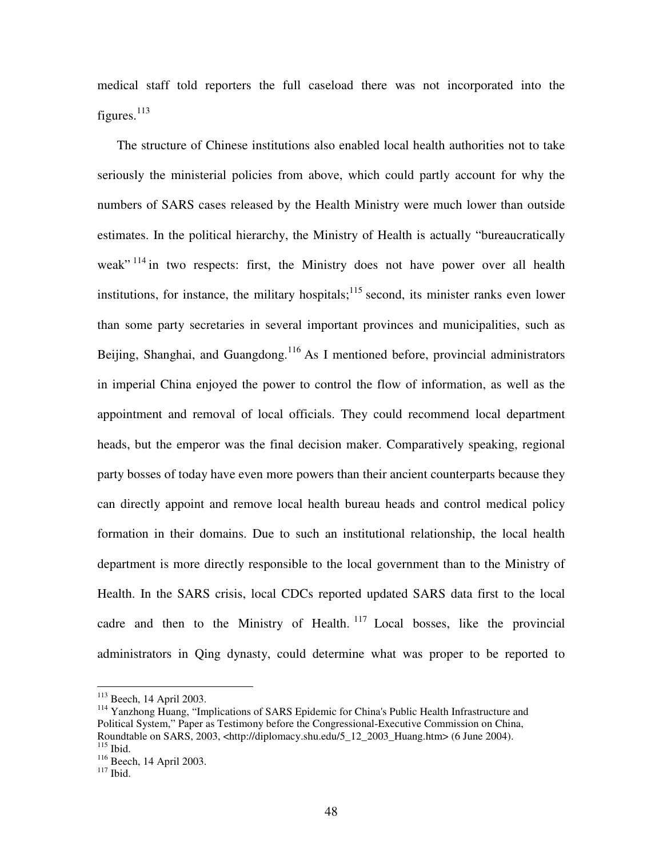medical staff told reporters the full caseload there was not incorporated into the figures.<sup>113</sup>

The structure of Chinese institutions also enabled local health authorities not to take seriously the ministerial policies from above, which could partly account for why the numbers of SARS cases released by the Health Ministry were much lower than outside estimates. In the political hierarchy, the Ministry of Health is actually "bureaucratically weak"<sup>114</sup> in two respects: first, the Ministry does not have power over all health institutions, for instance, the military hospitals;<sup>115</sup> second, its minister ranks even lower than some party secretaries in several important provinces and municipalities, such as Beijing, Shanghai, and Guangdong.<sup>116</sup> As I mentioned before, provincial administrators in imperial China enjoyed the power to control the flow of information, as well as the appointment and removal of local officials. They could recommend local department heads, but the emperor was the final decision maker. Comparatively speaking, regional party bosses of today have even more powers than their ancient counterparts because they can directly appoint and remove local health bureau heads and control medical policy formation in their domains. Due to such an institutional relationship, the local health department is more directly responsible to the local government than to the Ministry of Health. In the SARS crisis, local CDCs reported updated SARS data first to the local cadre and then to the Ministry of Health.<sup>117</sup> Local bosses, like the provincial administrators in Qing dynasty, could determine what was proper to be reported to

<sup>113</sup> Beech, 14 April 2003.

<sup>&</sup>lt;sup>114</sup> Yanzhong Huang, "Implications of SARS Epidemic for China's Public Health Infrastructure and Political System," Paper as Testimony before the Congressional-Executive Commission on China, Roundtable on SARS, 2003, <http://diplomacy.shu.edu/5\_12\_2003\_Huang.htm> (6 June 2004). 115 Ibid.

<sup>&</sup>lt;sup>116</sup> Beech, 14 April 2003.

<sup>117</sup> Ibid.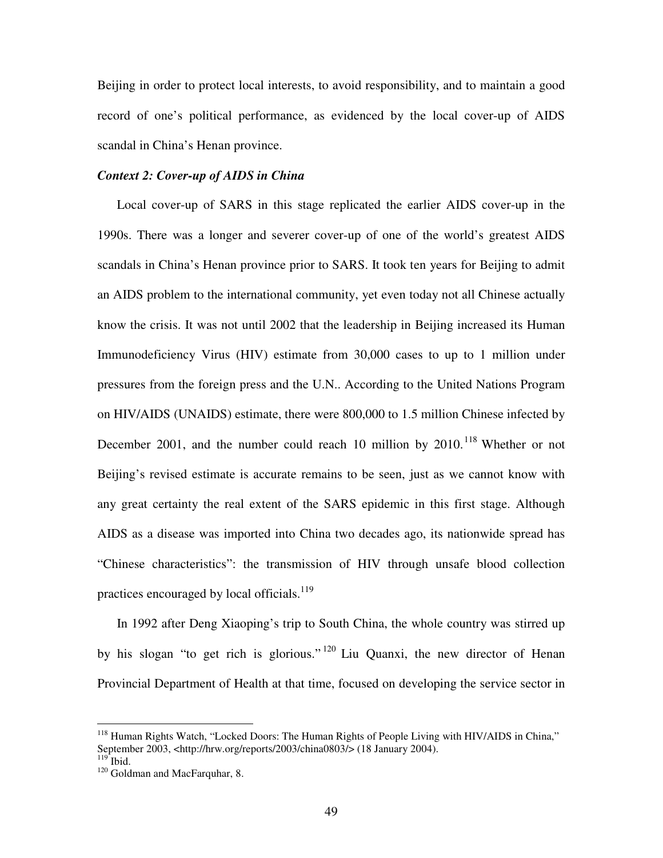Beijing in order to protect local interests, to avoid responsibility, and to maintain a good record of one's political performance, as evidenced by the local cover-up of AIDS scandal in China's Henan province.

### *Context 2: Cover-up of AIDS in China*

Local cover-up of SARS in this stage replicated the earlier AIDS cover-up in the 1990s. There was a longer and severer cover-up of one of the world's greatest AIDS scandals in China's Henan province prior to SARS. It took ten years for Beijing to admit an AIDS problem to the international community, yet even today not all Chinese actually know the crisis. It was not until 2002 that the leadership in Beijing increased its Human Immunodeficiency Virus (HIV) estimate from 30,000 cases to up to 1 million under pressures from the foreign press and the U.N.. According to the United Nations Program on HIV/AIDS (UNAIDS) estimate, there were 800,000 to 1.5 million Chinese infected by December 2001, and the number could reach 10 million by 2010.<sup>118</sup> Whether or not Beijing's revised estimate is accurate remains to be seen, just as we cannot know with any great certainty the real extent of the SARS epidemic in this first stage. Although AIDS as a disease was imported into China two decades ago, its nationwide spread has "Chinese characteristics": the transmission of HIV through unsafe blood collection practices encouraged by local officials.<sup>119</sup>

In 1992 after Deng Xiaoping's trip to South China, the whole country was stirred up by his slogan "to get rich is glorious."<sup>120</sup> Liu Quanxi, the new director of Henan Provincial Department of Health at that time, focused on developing the service sector in

<sup>&</sup>lt;sup>118</sup> Human Rights Watch, "Locked Doors: The Human Rights of People Living with HIV/AIDS in China," September 2003, <http://hrw.org/reports/2003/china0803/> (18 January 2004).

 $119$  Ibid.

<sup>&</sup>lt;sup>120</sup> Goldman and MacFarquhar, 8.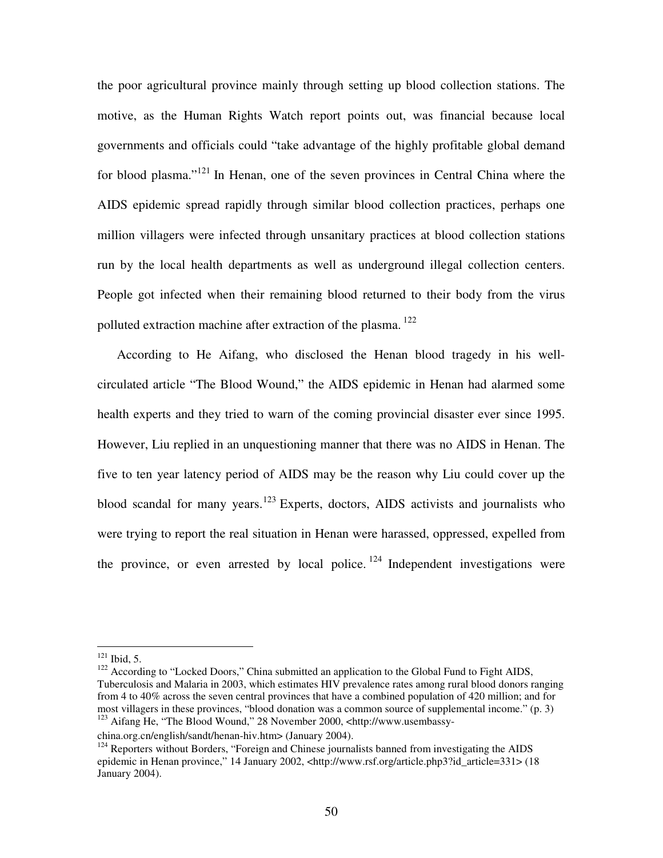the poor agricultural province mainly through setting up blood collection stations. The motive, as the Human Rights Watch report points out, was financial because local governments and officials could "take advantage of the highly profitable global demand for blood plasma."<sup>121</sup> In Henan, one of the seven provinces in Central China where the AIDS epidemic spread rapidly through similar blood collection practices, perhaps one million villagers were infected through unsanitary practices at blood collection stations run by the local health departments as well as underground illegal collection centers. People got infected when their remaining blood returned to their body from the virus polluted extraction machine after extraction of the plasma.<sup>122</sup>

According to He Aifang, who disclosed the Henan blood tragedy in his wellcirculated article "The Blood Wound," the AIDS epidemic in Henan had alarmed some health experts and they tried to warn of the coming provincial disaster ever since 1995. However, Liu replied in an unquestioning manner that there was no AIDS in Henan. The five to ten year latency period of AIDS may be the reason why Liu could cover up the blood scandal for many years.<sup>123</sup> Experts, doctors, AIDS activists and journalists who were trying to report the real situation in Henan were harassed, oppressed, expelled from the province, or even arrested by local police.<sup>124</sup> Independent investigations were

 $121$  Ibid, 5.

<sup>&</sup>lt;sup>122</sup> According to "Locked Doors," China submitted an application to the Global Fund to Fight AIDS, Tuberculosis and Malaria in 2003, which estimates HIV prevalence rates among rural blood donors ranging from 4 to 40% across the seven central provinces that have a combined population of 420 million; and for most villagers in these provinces, "blood donation was a common source of supplemental income." (p. 3) <sup>123</sup> Aifang He, "The Blood Wound," 28 November 2000, <http://www.usembassy-

china.org.cn/english/sandt/henan-hiv.htm> (January 2004).

 $124$  Reporters without Borders, "Foreign and Chinese journalists banned from investigating the AIDS epidemic in Henan province," 14 January 2002, <http://www.rsf.org/article.php3?id\_article=331> (18 January 2004).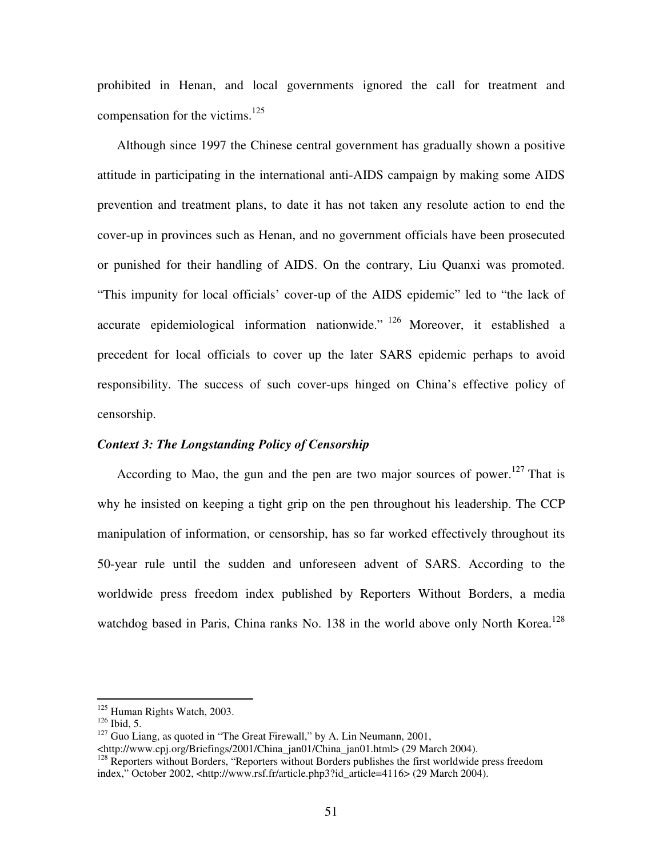prohibited in Henan, and local governments ignored the call for treatment and compensation for the victims. 125

Although since 1997 the Chinese central government has gradually shown a positive attitude in participating in the international anti-AIDS campaign by making some AIDS prevention and treatment plans, to date it has not taken any resolute action to end the cover-up in provinces such as Henan, and no government officials have been prosecuted or punished for their handling of AIDS. On the contrary, Liu Quanxi was promoted. "This impunity for local officials' cover-up of the AIDS epidemic" led to "the lack of accurate epidemiological information nationwide." <sup>126</sup> Moreover, it established a precedent for local officials to cover up the later SARS epidemic perhaps to avoid responsibility. The success of such cover-ups hinged on China's effective policy of censorship.

### *Context 3: The Longstanding Policy of Censorship*

According to Mao, the gun and the pen are two major sources of power.<sup>127</sup> That is why he insisted on keeping a tight grip on the pen throughout his leadership. The CCP manipulation of information, or censorship, has so far worked effectively throughout its 50-year rule until the sudden and unforeseen advent of SARS. According to the worldwide press freedom index published by Reporters Without Borders, a media watchdog based in Paris, China ranks No. 138 in the world above only North Korea.<sup>128</sup>

<sup>&</sup>lt;sup>125</sup> Human Rights Watch, 2003.

 $126$  Ibid, 5.

 $127$  Guo Liang, as quoted in "The Great Firewall," by A. Lin Neumann, 2001,

<sup>&</sup>lt;http://www.cpj.org/Briefings/2001/China\_jan01/China\_jan01.html> (29 March 2004).

<sup>&</sup>lt;sup>128</sup> Reporters without Borders, "Reporters without Borders publishes the first worldwide press freedom index," October 2002, <http://www.rsf.fr/article.php3?id\_article=4116> (29 March 2004).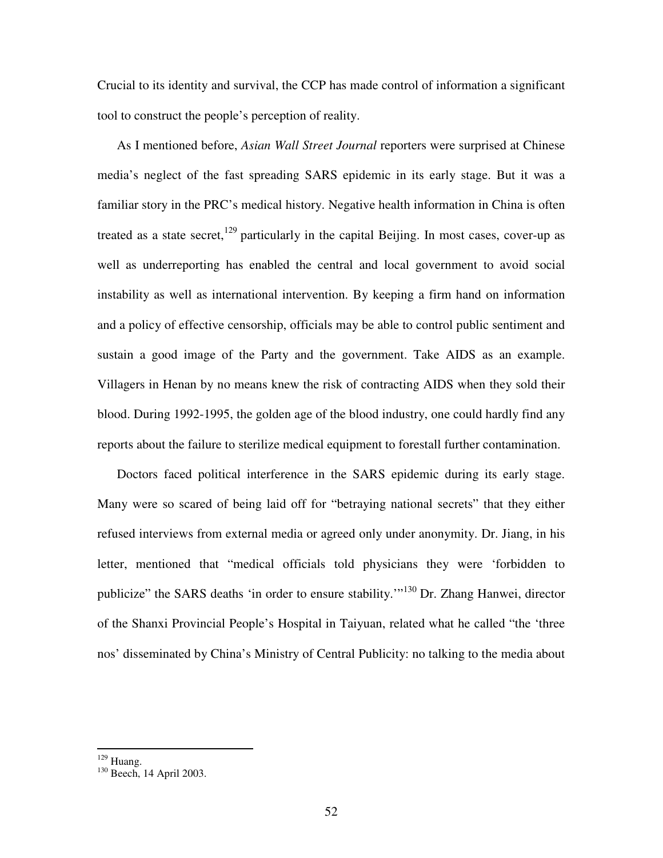Crucial to its identity and survival, the CCP has made control of information a significant tool to construct the people's perception of reality.

As I mentioned before, *Asian Wall Street Journal* reporters were surprised at Chinese media's neglect of the fast spreading SARS epidemic in its early stage. But it was a familiar story in the PRC's medical history. Negative health information in China is often treated as a state secret,<sup>129</sup> particularly in the capital Beijing. In most cases, cover-up as well as underreporting has enabled the central and local government to avoid social instability as well as international intervention. By keeping a firm hand on information and a policy of effective censorship, officials may be able to control public sentiment and sustain a good image of the Party and the government. Take AIDS as an example. Villagers in Henan by no means knew the risk of contracting AIDS when they sold their blood. During 1992-1995, the golden age of the blood industry, one could hardly find any reports about the failure to sterilize medical equipment to forestall further contamination.

Doctors faced political interference in the SARS epidemic during its early stage. Many were so scared of being laid off for "betraying national secrets" that they either refused interviews from external media or agreed only under anonymity. Dr. Jiang, in his letter, mentioned that "medical officials told physicians they were 'forbidden to publicize" the SARS deaths 'in order to ensure stability."<sup>130</sup> Dr. Zhang Hanwei, director of the Shanxi Provincial People's Hospital in Taiyuan, related what he called "the 'three nos' disseminated by China's Ministry of Central Publicity: no talking to the media about

<sup>129</sup> Huang.

<sup>&</sup>lt;sup>130</sup> Beech, 14 April 2003.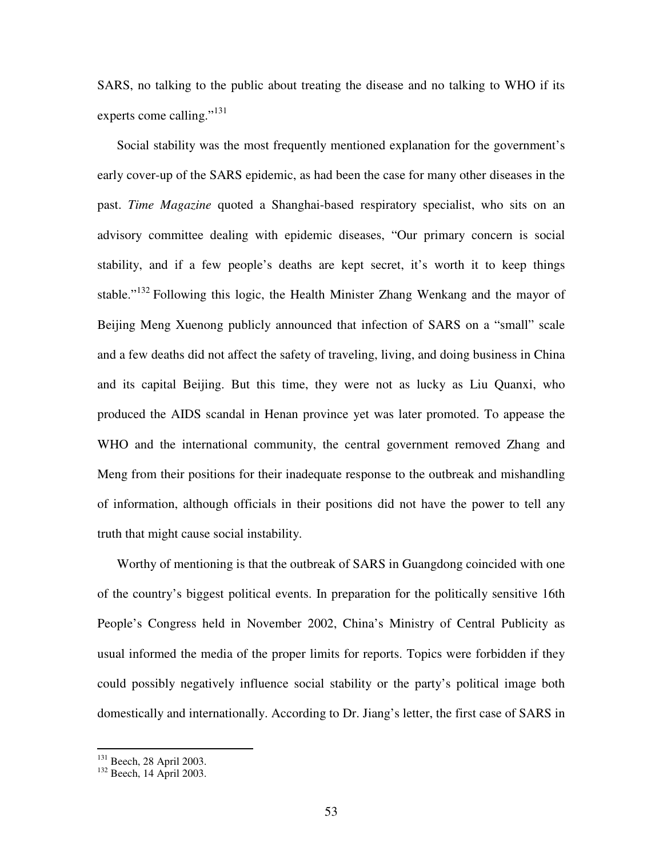SARS, no talking to the public about treating the disease and no talking to WHO if its experts come calling."<sup>131</sup>

Social stability was the most frequently mentioned explanation for the government's early cover-up of the SARS epidemic, as had been the case for many other diseases in the past. *Time Magazine* quoted a Shanghai-based respiratory specialist, who sits on an advisory committee dealing with epidemic diseases, "Our primary concern is social stability, and if a few people's deaths are kept secret, it's worth it to keep things stable."<sup>132</sup> Following this logic, the Health Minister Zhang Wenkang and the mayor of Beijing Meng Xuenong publicly announced that infection of SARS on a "small" scale and a few deaths did not affect the safety of traveling, living, and doing business in China and its capital Beijing. But this time, they were not as lucky as Liu Quanxi, who produced the AIDS scandal in Henan province yet was later promoted. To appease the WHO and the international community, the central government removed Zhang and Meng from their positions for their inadequate response to the outbreak and mishandling of information, although officials in their positions did not have the power to tell any truth that might cause social instability.

Worthy of mentioning is that the outbreak of SARS in Guangdong coincided with one of the country's biggest political events. In preparation for the politically sensitive 16th People's Congress held in November 2002, China's Ministry of Central Publicity as usual informed the media of the proper limits for reports. Topics were forbidden if they could possibly negatively influence social stability or the party's political image both domestically and internationally. According to Dr. Jiang's letter, the first case of SARS in

<sup>&</sup>lt;sup>131</sup> Beech, 28 April 2003.

<sup>&</sup>lt;sup>132</sup> Beech, 14 April 2003.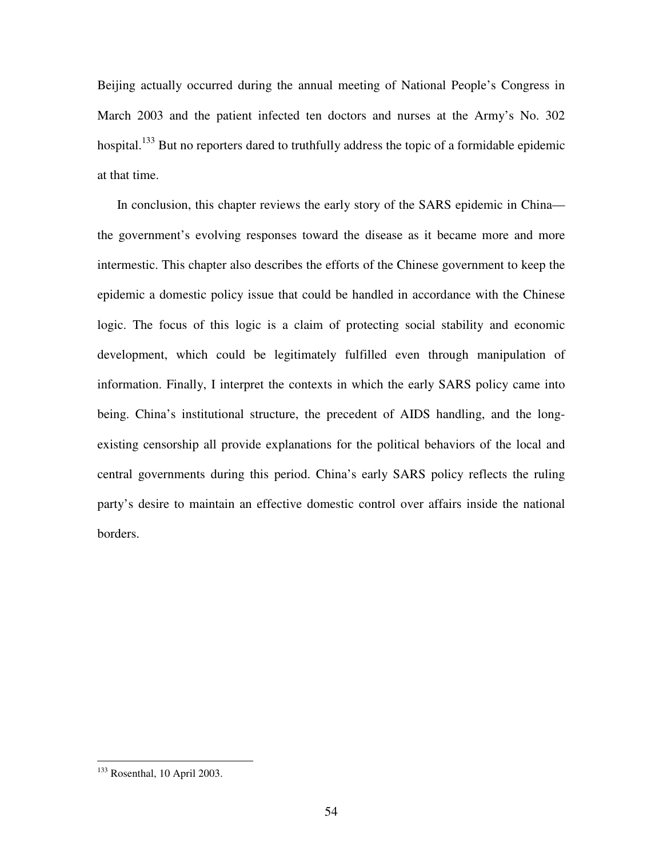Beijing actually occurred during the annual meeting of National People's Congress in March 2003 and the patient infected ten doctors and nurses at the Army's No. 302 hospital.<sup>133</sup> But no reporters dared to truthfully address the topic of a formidable epidemic at that time.

In conclusion, this chapter reviews the early story of the SARS epidemic in China the government's evolving responses toward the disease as it became more and more intermestic. This chapter also describes the efforts of the Chinese government to keep the epidemic a domestic policy issue that could be handled in accordance with the Chinese logic. The focus of this logic is a claim of protecting social stability and economic development, which could be legitimately fulfilled even through manipulation of information. Finally, I interpret the contexts in which the early SARS policy came into being. China's institutional structure, the precedent of AIDS handling, and the longexisting censorship all provide explanations for the political behaviors of the local and central governments during this period. China's early SARS policy reflects the ruling party's desire to maintain an effective domestic control over affairs inside the national borders.

<sup>133</sup> Rosenthal, 10 April 2003.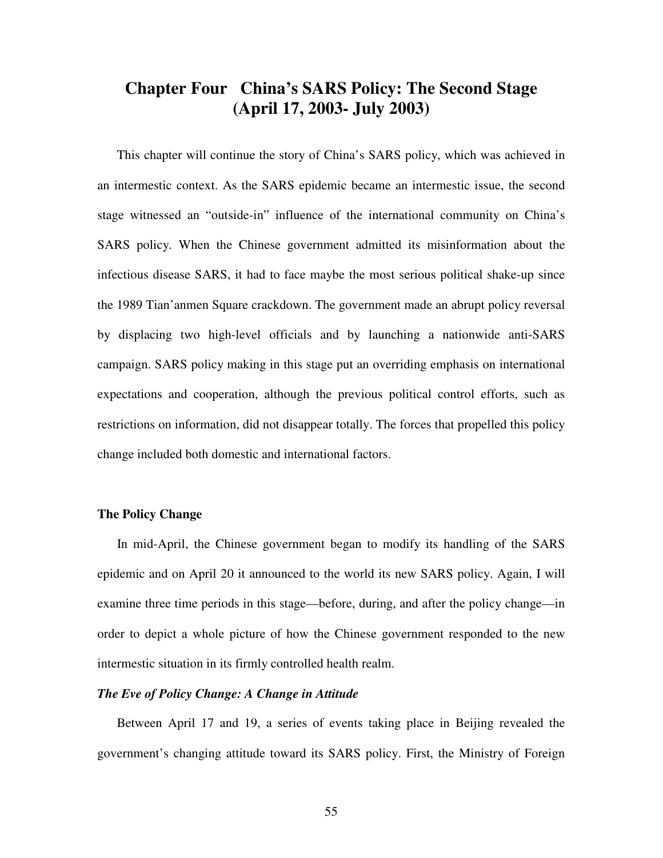# **Chapter Four China's SARS Policy: The Second Stage (April 17, 2003- July 2003)**

This chapter will continue the story of China's SARS policy, which was achieved in an intermestic context. As the SARS epidemic became an intermestic issue, the second stage witnessed an "outside-in" influence of the international community on China's SARS policy. When the Chinese government admitted its misinformation about the infectious disease SARS, it had to face maybe the most serious political shake-up since the 1989 Tian'anmen Square crackdown. The government made an abrupt policy reversal by displacing two high-level officials and by launching a nationwide anti-SARS campaign. SARS policy making in this stage put an overriding emphasis on international expectations and cooperation, although the previous political control efforts, such as restrictions on information, did not disappear totally. The forces that propelled this policy change included both domestic and international factors.

### **The Policy Change**

In mid-April, the Chinese government began to modify its handling of the SARS epidemic and on April 20 it announced to the world its new SARS policy. Again, I will examine three time periods in this stage—before, during, and after the policy change—in order to depict a whole picture of how the Chinese government responded to the new intermestic situation in its firmly controlled health realm.

## *The Eve of Policy Change: A Change in Attitude*

Between April 17 and 19, a series of events taking place in Beijing revealed the government's changing attitude toward its SARS policy. First, the Ministry of Foreign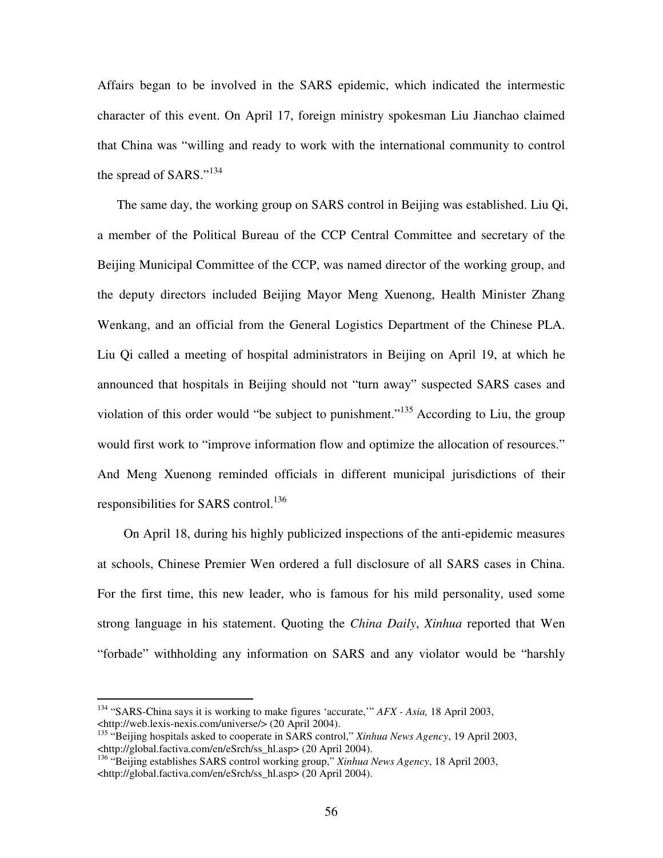Affairs began to be involved in the SARS epidemic, which indicated the intermestic character of this event. On April 17, foreign ministry spokesman Liu Jianchao claimed that China was "willing and ready to work with the international community to control the spread of SARS."<sup>134</sup>

The same day, the working group on SARS control in Beijing was established. Liu Qi, a member of the Political Bureau of the CCP Central Committee and secretary of the Beijing Municipal Committee of the CCP, was named director of the working group, and the deputy directors included Beijing Mayor Meng Xuenong, Health Minister Zhang Wenkang, and an official from the General Logistics Department of the Chinese PLA. Liu Qi called a meeting of hospital administrators in Beijing on April 19, at which he announced that hospitals in Beijing should not "turn away" suspected SARS cases and violation of this order would "be subject to punishment."<sup>135</sup> According to Liu, the group would first work to "improve information flow and optimize the allocation of resources." And Meng Xuenong reminded officials in different municipal jurisdictions of their responsibilities for SARS control.<sup>136</sup>

On April 18, during his highly publicized inspections of the anti-epidemic measures at schools, Chinese Premier Wen ordered a full disclosure of all SARS cases in China. For the first time, this new leader, who is famous for his mild personality, used some strong language in his statement. Quoting the *China Daily*, *Xinhua* reported that Wen "forbade" withholding any information on SARS and any violator would be "harshly

<sup>134</sup> "SARS-China says it is working to make figures 'accurate,'" *AFX - Asia,* 18 April 2003, <http://web.lexis-nexis.com/universe/> (20 April 2004).

<sup>135</sup> "Beijing hospitals asked to cooperate in SARS control," *Xinhua News Agency*, 19 April 2003, <http://global.factiva.com/en/eSrch/ss\_hl.asp> (20 April 2004).

<sup>136</sup> "Beijing establishes SARS control working group," *Xinhua News Agency*, 18 April 2003, <http://global.factiva.com/en/eSrch/ss\_hl.asp> (20 April 2004).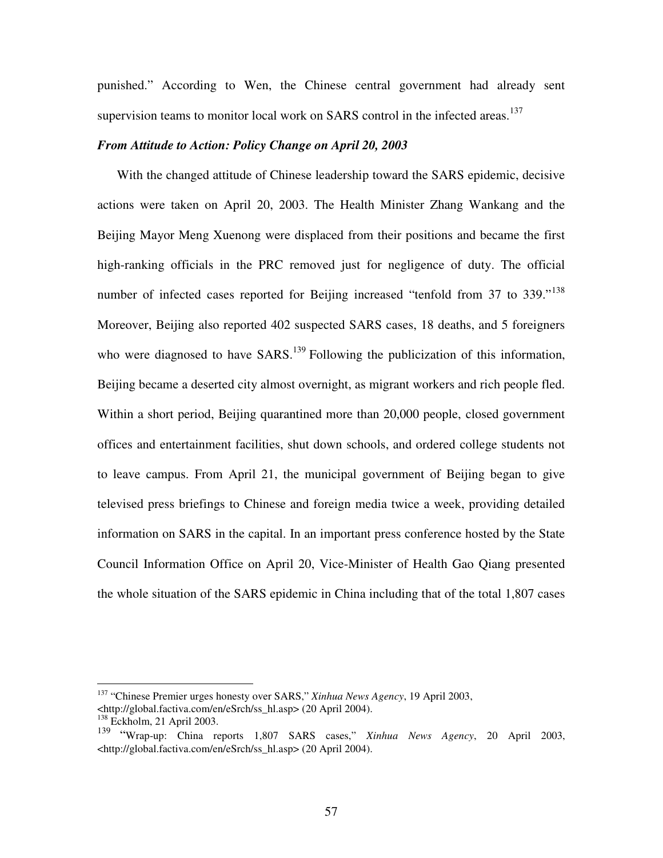punished." According to Wen, the Chinese central government had already sent supervision teams to monitor local work on SARS control in the infected areas.<sup>137</sup>

### *From Attitude to Action: Policy Change on April 20, 2003*

With the changed attitude of Chinese leadership toward the SARS epidemic, decisive actions were taken on April 20, 2003. The Health Minister Zhang Wankang and the Beijing Mayor Meng Xuenong were displaced from their positions and became the first high-ranking officials in the PRC removed just for negligence of duty. The official number of infected cases reported for Beijing increased "tenfold from 37 to 339."<sup>138</sup> Moreover, Beijing also reported 402 suspected SARS cases, 18 deaths, and 5 foreigners who were diagnosed to have SARS.<sup>139</sup> Following the publicization of this information, Beijing became a deserted city almost overnight, as migrant workers and rich people fled. Within a short period, Beijing quarantined more than 20,000 people, closed government offices and entertainment facilities, shut down schools, and ordered college students not to leave campus. From April 21, the municipal government of Beijing began to give televised press briefings to Chinese and foreign media twice a week, providing detailed information on SARS in the capital. In an important press conference hosted by the State Council Information Office on April 20, Vice-Minister of Health Gao Qiang presented the whole situation of the SARS epidemic in China including that of the total 1,807 cases

<sup>137</sup> "Chinese Premier urges honesty over SARS," *Xinhua News Agency*, 19 April 2003, <http://global.factiva.com/en/eSrch/ss\_hl.asp> (20 April 2004).

<sup>&</sup>lt;sup>138</sup> Eckholm, 21 April 2003.

<sup>139</sup> "Wrap-up: China reports 1,807 SARS cases," *Xinhua News Agency*, 20 April 2003, <http://global.factiva.com/en/eSrch/ss\_hl.asp> (20 April 2004).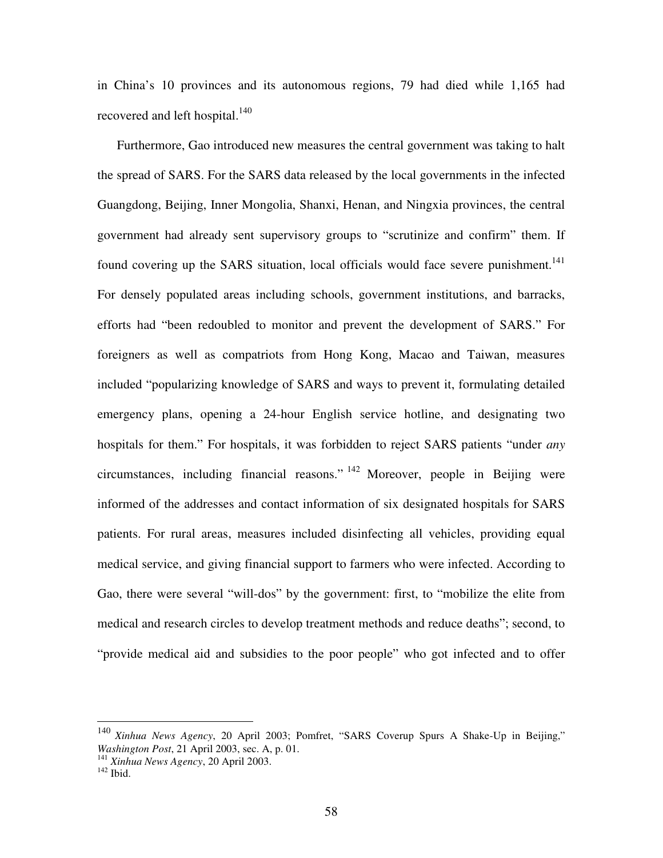in China's 10 provinces and its autonomous regions, 79 had died while 1,165 had recovered and left hospital.<sup>140</sup>

Furthermore, Gao introduced new measures the central government was taking to halt the spread of SARS. For the SARS data released by the local governments in the infected Guangdong, Beijing, Inner Mongolia, Shanxi, Henan, and Ningxia provinces, the central government had already sent supervisory groups to "scrutinize and confirm" them. If found covering up the SARS situation, local officials would face severe punishment.<sup>141</sup> For densely populated areas including schools, government institutions, and barracks, efforts had "been redoubled to monitor and prevent the development of SARS." For foreigners as well as compatriots from Hong Kong, Macao and Taiwan, measures included "popularizing knowledge of SARS and ways to prevent it, formulating detailed emergency plans, opening a 24-hour English service hotline, and designating two hospitals for them." For hospitals, it was forbidden to reject SARS patients "under *any* circumstances, including financial reasons." <sup>142</sup> Moreover, people in Beijing were informed of the addresses and contact information of six designated hospitals for SARS patients. For rural areas, measures included disinfecting all vehicles, providing equal medical service, and giving financial support to farmers who were infected. According to Gao, there were several "will-dos" by the government: first, to "mobilize the elite from medical and research circles to develop treatment methods and reduce deaths"; second, to "provide medical aid and subsidies to the poor people" who got infected and to offer

<sup>140</sup> *Xinhua News Agency*, 20 April 2003; Pomfret, "SARS Coverup Spurs A Shake-Up in Beijing," *Washington Post*, 21 April 2003, sec. A, p. 01.

<sup>141</sup> *Xinhua News Agency*, 20 April 2003.

 $142$  Ibid.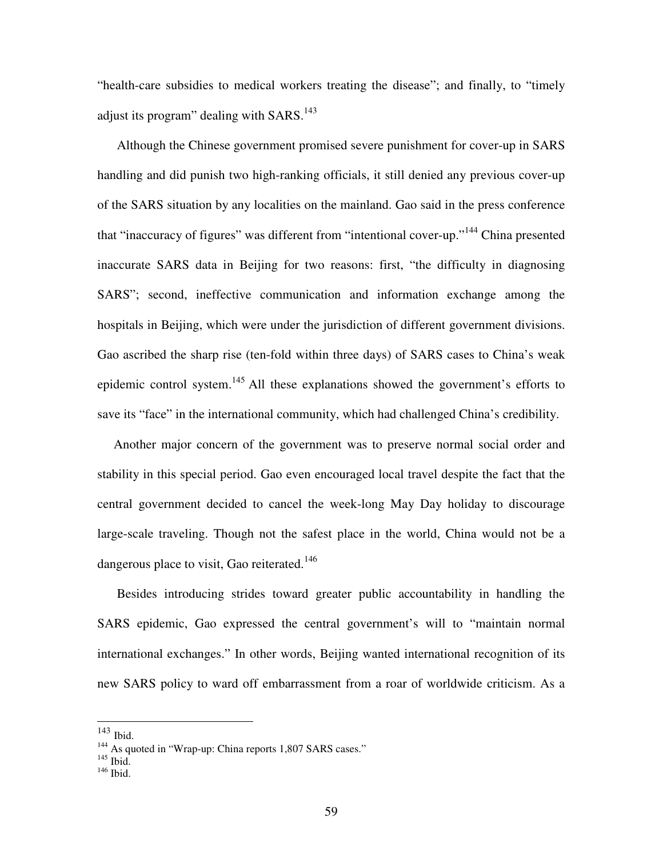"health-care subsidies to medical workers treating the disease"; and finally, to "timely adjust its program" dealing with SARS.<sup>143</sup>

Although the Chinese government promised severe punishment for cover-up in SARS handling and did punish two high-ranking officials, it still denied any previous cover-up of the SARS situation by any localities on the mainland. Gao said in the press conference that "inaccuracy of figures" was different from "intentional cover-up."<sup>144</sup> China presented inaccurate SARS data in Beijing for two reasons: first, "the difficulty in diagnosing SARS"; second, ineffective communication and information exchange among the hospitals in Beijing, which were under the jurisdiction of different government divisions. Gao ascribed the sharp rise (ten-fold within three days) of SARS cases to China's weak epidemic control system.<sup>145</sup> All these explanations showed the government's efforts to save its "face" in the international community, which had challenged China's credibility.

Another major concern of the government was to preserve normal social order and stability in this special period. Gao even encouraged local travel despite the fact that the central government decided to cancel the week-long May Day holiday to discourage large-scale traveling. Though not the safest place in the world, China would not be a dangerous place to visit, Gao reiterated.<sup>146</sup>

Besides introducing strides toward greater public accountability in handling the SARS epidemic, Gao expressed the central government's will to "maintain normal international exchanges." In other words, Beijing wanted international recognition of its new SARS policy to ward off embarrassment from a roar of worldwide criticism. As a

<sup>143</sup> Ibid.

<sup>&</sup>lt;sup>144</sup> As quoted in "Wrap-up: China reports 1,807 SARS cases."<br><sup>145</sup> Ibid.

<sup>146</sup> Ibid.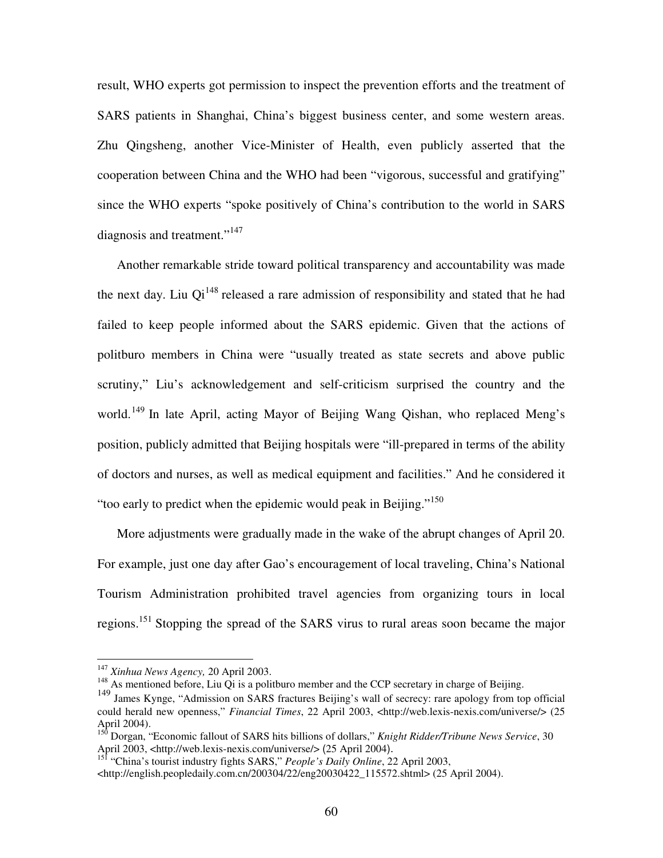result, WHO experts got permission to inspect the prevention efforts and the treatment of SARS patients in Shanghai, China's biggest business center, and some western areas. Zhu Qingsheng, another Vice-Minister of Health, even publicly asserted that the cooperation between China and the WHO had been "vigorous, successful and gratifying" since the WHO experts "spoke positively of China's contribution to the world in SARS diagnosis and treatment."<sup>147</sup>

Another remarkable stride toward political transparency and accountability was made the next day. Liu  $Qi^{148}$  released a rare admission of responsibility and stated that he had failed to keep people informed about the SARS epidemic. Given that the actions of politburo members in China were "usually treated as state secrets and above public scrutiny," Liu's acknowledgement and self-criticism surprised the country and the world.<sup>149</sup> In late April, acting Mayor of Beijing Wang Qishan, who replaced Meng's position, publicly admitted that Beijing hospitals were "ill-prepared in terms of the ability of doctors and nurses, as well as medical equipment and facilities." And he considered it "too early to predict when the epidemic would peak in Beijing."<sup>150</sup>

More adjustments were gradually made in the wake of the abrupt changes of April 20. For example, just one day after Gao's encouragement of local traveling, China's National Tourism Administration prohibited travel agencies from organizing tours in local regions.<sup>151</sup> Stopping the spread of the SARS virus to rural areas soon became the major

<sup>147</sup> *Xinhua News Agency,* 20 April 2003.

<sup>&</sup>lt;sup>148</sup> As mentioned before, Liu Qi is a politburo member and the CCP secretary in charge of Beijing.

<sup>149</sup> James Kynge, "Admission on SARS fractures Beijing's wall of secrecy: rare apology from top official could herald new openness," *Financial Times*, 22 April 2003, <http://web.lexis-nexis.com/universe/> (25 April 2004).

<sup>150</sup> Dorgan, "Economic fallout of SARS hits billions of dollars," *Knight Ridder/Tribune News Service*, 30 April 2003, <http://web.lexis-nexis.com/universe/> (25 April 2004). 151 "China's tourist industry fights SARS," *People's Daily Online*, 22 April 2003,

<sup>&</sup>lt;http://english.peopledaily.com.cn/200304/22/eng20030422\_115572.shtml> (25 April 2004).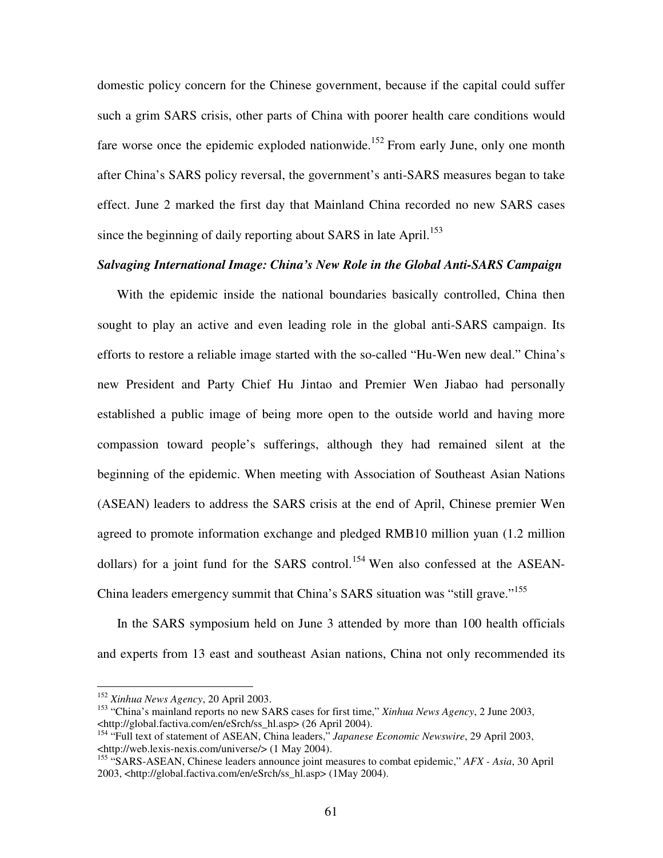domestic policy concern for the Chinese government, because if the capital could suffer such a grim SARS crisis, other parts of China with poorer health care conditions would fare worse once the epidemic exploded nationwide.<sup>152</sup> From early June, only one month after China's SARS policy reversal, the government's anti-SARS measures began to take effect. June 2 marked the first day that Mainland China recorded no new SARS cases since the beginning of daily reporting about SARS in late April.<sup>153</sup>

### *Salvaging International Image: China's New Role in the Global Anti-SARS Campaign*

With the epidemic inside the national boundaries basically controlled, China then sought to play an active and even leading role in the global anti-SARS campaign. Its efforts to restore a reliable image started with the so-called "Hu-Wen new deal." China's new President and Party Chief Hu Jintao and Premier Wen Jiabao had personally established a public image of being more open to the outside world and having more compassion toward people's sufferings, although they had remained silent at the beginning of the epidemic. When meeting with Association of Southeast Asian Nations (ASEAN) leaders to address the SARS crisis at the end of April, Chinese premier Wen agreed to promote information exchange and pledged RMB10 million yuan (1.2 million dollars) for a joint fund for the SARS control.<sup>154</sup> Wen also confessed at the ASEAN-China leaders emergency summit that China's SARS situation was "still grave."<sup>155</sup>

In the SARS symposium held on June 3 attended by more than 100 health officials and experts from 13 east and southeast Asian nations, China not only recommended its

<sup>152</sup> *Xinhua News Agency*, 20 April 2003.

<sup>153</sup> "China's mainland reports no new SARS cases for first time," *Xinhua News Agency*, 2 June 2003, <http://global.factiva.com/en/eSrch/ss\_hl.asp> (26 April 2004).

<sup>154</sup> "Full text of statement of ASEAN, China leaders," *Japanese Economic Newswire*, 29 April 2003, <http://web.lexis-nexis.com/universe/> (1 May 2004).

<sup>155</sup> "SARS-ASEAN, Chinese leaders announce joint measures to combat epidemic," *AFX - Asia*, 30 April 2003, <http://global.factiva.com/en/eSrch/ss\_hl.asp> (1May 2004).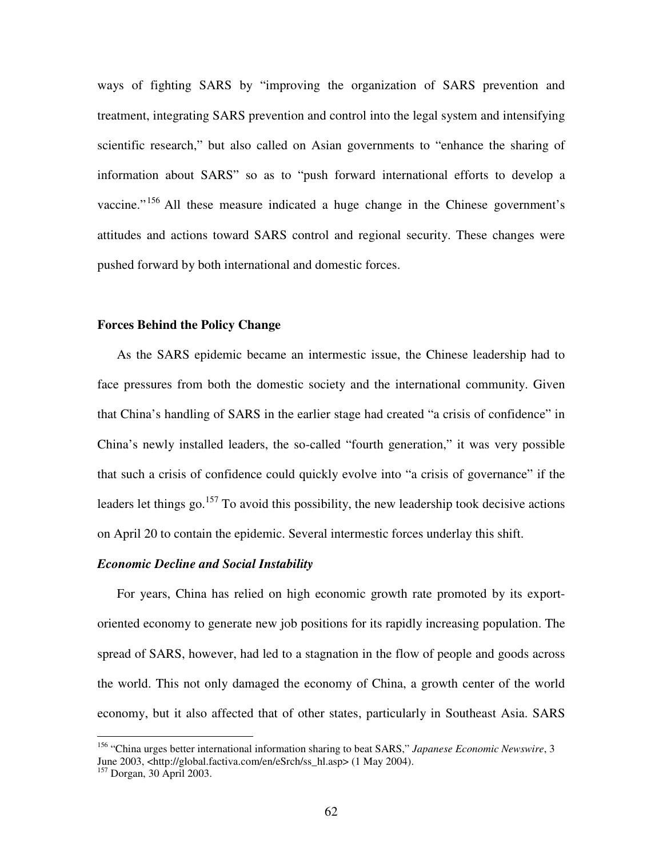ways of fighting SARS by "improving the organization of SARS prevention and treatment, integrating SARS prevention and control into the legal system and intensifying scientific research," but also called on Asian governments to "enhance the sharing of information about SARS" so as to "push forward international efforts to develop a vaccine."<sup>156</sup> All these measure indicated a huge change in the Chinese government's attitudes and actions toward SARS control and regional security. These changes were pushed forward by both international and domestic forces.

### **Forces Behind the Policy Change**

As the SARS epidemic became an intermestic issue, the Chinese leadership had to face pressures from both the domestic society and the international community. Given that China's handling of SARS in the earlier stage had created "a crisis of confidence" in China's newly installed leaders, the so-called "fourth generation," it was very possible that such a crisis of confidence could quickly evolve into "a crisis of governance" if the leaders let things go.<sup>157</sup> To avoid this possibility, the new leadership took decisive actions on April 20 to contain the epidemic. Several intermestic forces underlay this shift.

### *Economic Decline and Social Instability*

For years, China has relied on high economic growth rate promoted by its exportoriented economy to generate new job positions for its rapidly increasing population. The spread of SARS, however, had led to a stagnation in the flow of people and goods across the world. This not only damaged the economy of China, a growth center of the world economy, but it also affected that of other states, particularly in Southeast Asia. SARS

<sup>156</sup> "China urges better international information sharing to beat SARS," *Japanese Economic Newswire*, 3 June 2003, <http://global.factiva.com/en/eSrch/ss\_hl.asp> (1 May 2004).

<sup>157</sup> Dorgan, 30 April 2003.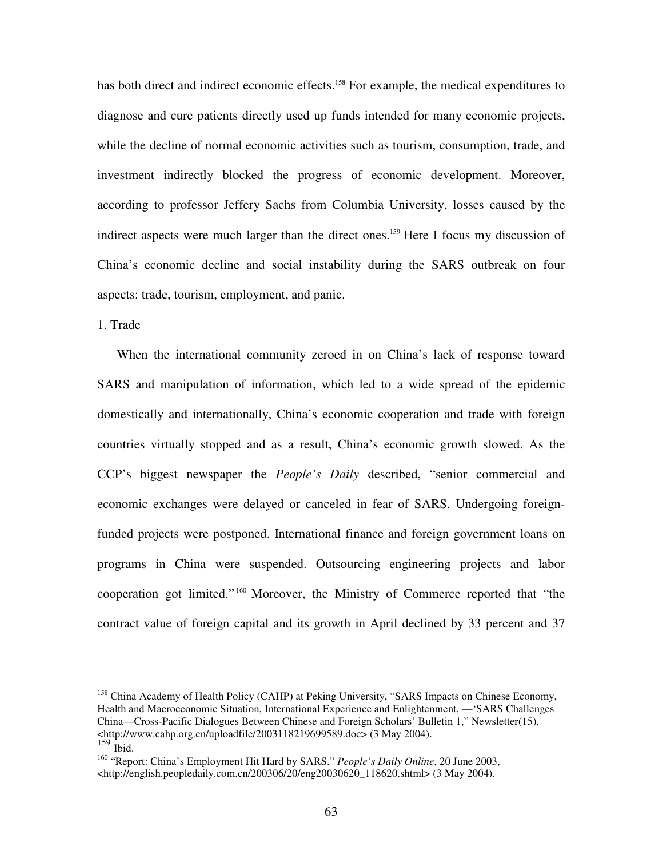has both direct and indirect economic effects.<sup>158</sup> For example, the medical expenditures to diagnose and cure patients directly used up funds intended for many economic projects, while the decline of normal economic activities such as tourism, consumption, trade, and investment indirectly blocked the progress of economic development. Moreover, according to professor Jeffery Sachs from Columbia University, losses caused by the indirect aspects were much larger than the direct ones. <sup>159</sup> Here I focus my discussion of China's economic decline and social instability during the SARS outbreak on four aspects: trade, tourism, employment, and panic.

### 1. Trade

When the international community zeroed in on China's lack of response toward SARS and manipulation of information, which led to a wide spread of the epidemic domestically and internationally, China's economic cooperation and trade with foreign countries virtually stopped and as a result, China's economic growth slowed. As the CCP's biggest newspaper the *People's Daily* described, "senior commercial and economic exchanges were delayed or canceled in fear of SARS. Undergoing foreignfunded projects were postponed. International finance and foreign government loans on programs in China were suspended. Outsourcing engineering projects and labor cooperation got limited." <sup>160</sup> Moreover, the Ministry of Commerce reported that "the contract value of foreign capital and its growth in April declined by 33 percent and 37

<sup>&</sup>lt;sup>158</sup> China Academy of Health Policy (CAHP) at Peking University, "SARS Impacts on Chinese Economy, Health and Macroeconomic Situation, International Experience and Enlightenment, —'SARS Challenges China—Cross-Pacific Dialogues Between Chinese and Foreign Scholars' Bulletin 1," Newsletter(15), <http://www.cahp.org.cn/uploadfile/2003118219699589.doc> (3 May 2004).  $159$  Ibid.

<sup>160</sup> "Report: China's Employment Hit Hard by SARS." *People's Daily Online*, 20 June 2003, <http://english.peopledaily.com.cn/200306/20/eng20030620\_118620.shtml> (3 May 2004).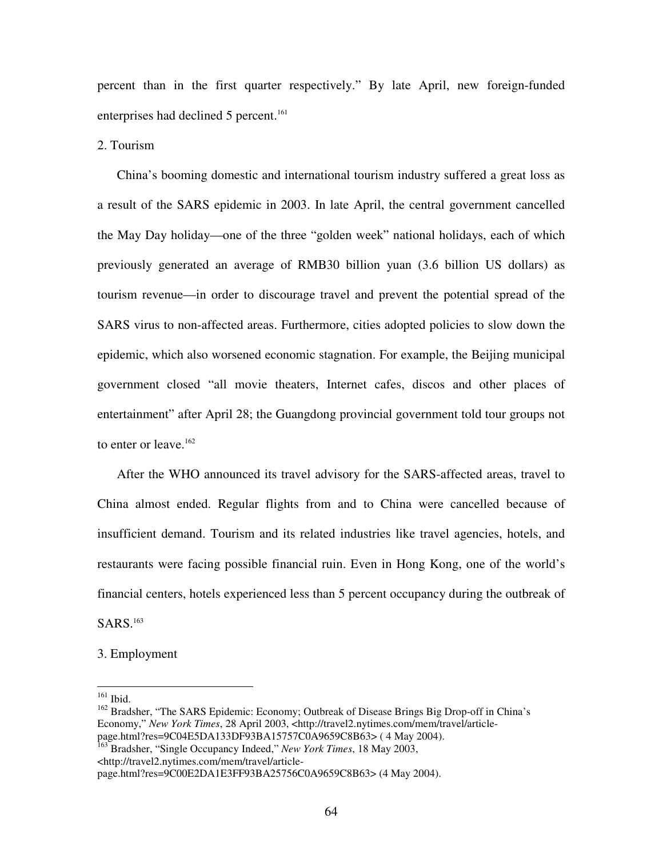percent than in the first quarter respectively." By late April, new foreign-funded enterprises had declined 5 percent. 161

2. Tourism

China's booming domestic and international tourism industry suffered a great loss as a result of the SARS epidemic in 2003. In late April, the central government cancelled the May Day holiday—one of the three "golden week" national holidays, each of which previously generated an average of RMB30 billion yuan (3.6 billion US dollars) as tourism revenue—in order to discourage travel and prevent the potential spread of the SARS virus to non-affected areas. Furthermore, cities adopted policies to slow down the epidemic, which also worsened economic stagnation. For example, the Beijing municipal government closed "all movie theaters, Internet cafes, discos and other places of entertainment" after April 28; the Guangdong provincial government told tour groups not to enter or leave.<sup>162</sup>

After the WHO announced its travel advisory for the SARS-affected areas, travel to China almost ended. Regular flights from and to China were cancelled because of insufficient demand. Tourism and its related industries like travel agencies, hotels, and restaurants were facing possible financial ruin. Even in Hong Kong, one of the world's financial centers, hotels experienced less than 5 percent occupancy during the outbreak of SARS. 163

3. Employment

161 Ibid.

<sup>&</sup>lt;sup>162</sup> Bradsher, "The SARS Epidemic: Economy; Outbreak of Disease Brings Big Drop-off in China's Economy," *New York Times*, 28 April 2003, <http://travel2.nytimes.com/mem/travel/articlepage.html?res=9C04E5DA133DF93BA15757C0A9659C8B63> ( 4 May 2004).

<sup>163</sup> Bradsher, "Single Occupancy Indeed," *New York Times*, 18 May 2003, <http://travel2.nytimes.com/mem/travel/article-

page.html?res=9C00E2DA1E3FF93BA25756C0A9659C8B63> (4 May 2004).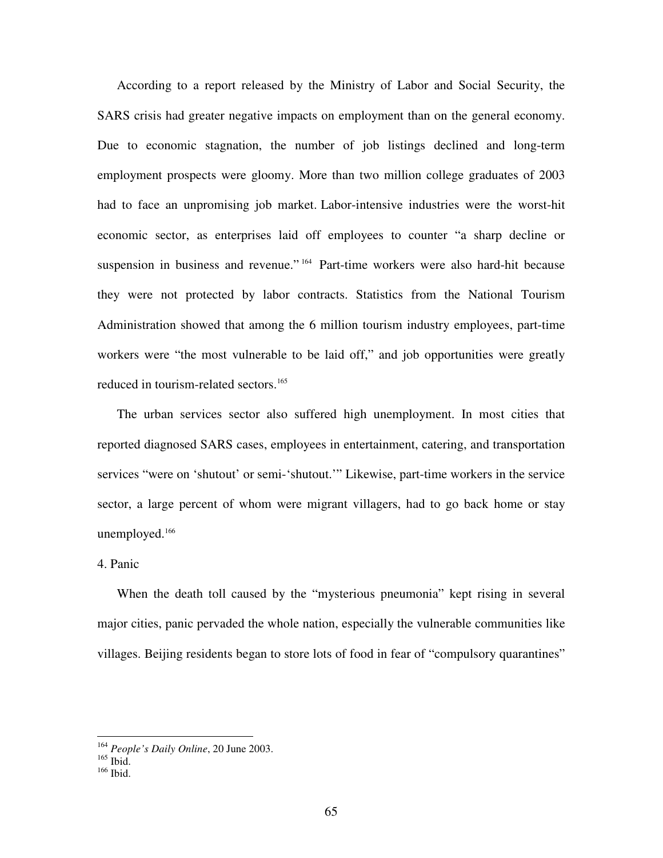According to a report released by the Ministry of Labor and Social Security, the SARS crisis had greater negative impacts on employment than on the general economy. Due to economic stagnation, the number of job listings declined and long-term employment prospects were gloomy. More than two million college graduates of 2003 had to face an unpromising job market. Labor-intensive industries were the worst-hit economic sector, as enterprises laid off employees to counter "a sharp decline or suspension in business and revenue."<sup>164</sup> Part-time workers were also hard-hit because they were not protected by labor contracts. Statistics from the National Tourism Administration showed that among the 6 million tourism industry employees, part-time workers were "the most vulnerable to be laid off," and job opportunities were greatly reduced in tourism-related sectors. 165

The urban services sector also suffered high unemployment. In most cities that reported diagnosed SARS cases, employees in entertainment, catering, and transportation services "were on 'shutout' or semi-'shutout.'" Likewise, part-time workers in the service sector, a large percent of whom were migrant villagers, had to go back home or stay unemployed. 166

### 4. Panic

When the death toll caused by the "mysterious pneumonia" kept rising in several major cities, panic pervaded the whole nation, especially the vulnerable communities like villages. Beijing residents began to store lots of food in fear of "compulsory quarantines"

<sup>164</sup> *People's Daily Online*, 20 June 2003. 165 Ibid.

<sup>166</sup> Ibid.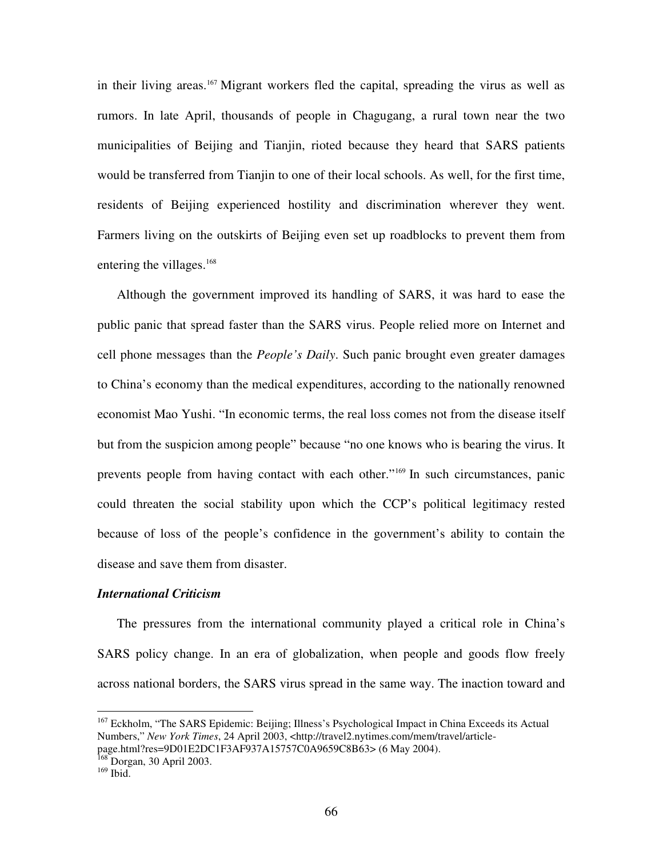in their living areas. <sup>167</sup> Migrant workers fled the capital, spreading the virus as well as rumors. In late April, thousands of people in Chagugang, a rural town near the two municipalities of Beijing and Tianjin, rioted because they heard that SARS patients would be transferred from Tianjin to one of their local schools. As well, for the first time, residents of Beijing experienced hostility and discrimination wherever they went. Farmers living on the outskirts of Beijing even set up roadblocks to prevent them from entering the villages.<sup>168</sup>

Although the government improved its handling of SARS, it was hard to ease the public panic that spread faster than the SARS virus. People relied more on Internet and cell phone messages than the *People's Daily*. Such panic brought even greater damages to China's economy than the medical expenditures, according to the nationally renowned economist Mao Yushi. "In economic terms, the real loss comes not from the disease itself but from the suspicion among people" because "no one knows who is bearing the virus. It prevents people from having contact with each other." 169 In such circumstances, panic could threaten the social stability upon which the CCP's political legitimacy rested because of loss of the people's confidence in the government's ability to contain the disease and save them from disaster.

#### *International Criticism*

The pressures from the international community played a critical role in China's SARS policy change. In an era of globalization, when people and goods flow freely across national borders, the SARS virus spread in the same way. The inaction toward and

<sup>&</sup>lt;sup>167</sup> Eckholm, "The SARS Epidemic: Beijing; Illness's Psychological Impact in China Exceeds its Actual Numbers," *New York Times*, 24 April 2003, <http://travel2.nytimes.com/mem/travel/article-

page.html?res=9D01E2DC1F3AF937A15757C0A9659C8B63> (6 May 2004).

<sup>&</sup>lt;sup>168</sup> Dorgan, 30 April 2003.

<sup>169</sup> Ibid.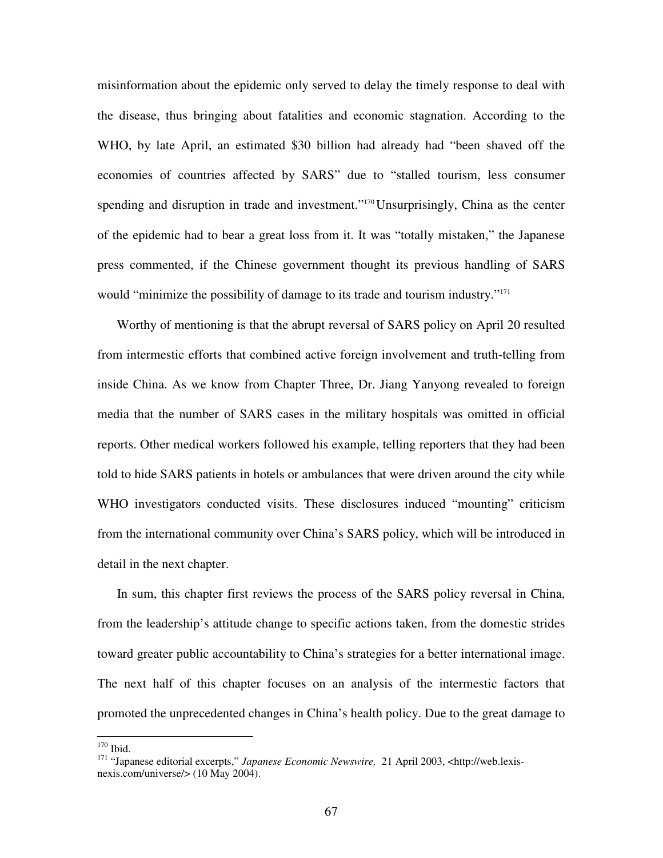misinformation about the epidemic only served to delay the timely response to deal with the disease, thus bringing about fatalities and economic stagnation. According to the WHO, by late April, an estimated \$30 billion had already had "been shaved off the economies of countries affected by SARS" due to "stalled tourism, less consumer spending and disruption in trade and investment."<sup>170</sup> Unsurprisingly, China as the center of the epidemic had to bear a great loss from it. It was "totally mistaken," the Japanese press commented, if the Chinese government thought its previous handling of SARS would "minimize the possibility of damage to its trade and tourism industry."<sup>171</sup>

Worthy of mentioning is that the abrupt reversal of SARS policy on April 20 resulted from intermestic efforts that combined active foreign involvement and truth-telling from inside China. As we know from Chapter Three, Dr. Jiang Yanyong revealed to foreign media that the number of SARS cases in the military hospitals was omitted in official reports. Other medical workers followed his example, telling reporters that they had been told to hide SARS patients in hotels or ambulances that were driven around the city while WHO investigators conducted visits. These disclosures induced "mounting" criticism from the international community over China's SARS policy, which will be introduced in detail in the next chapter.

In sum, this chapter first reviews the process of the SARS policy reversal in China, from the leadership's attitude change to specific actions taken, from the domestic strides toward greater public accountability to China's strategies for a better international image. The next half of this chapter focuses on an analysis of the intermestic factors that promoted the unprecedented changes in China's health policy. Due to the great damage to

170 Ibid.

<sup>171</sup> "Japanese editorial excerpts," *Japanese Economic Newswire,* 21 April 2003, <http://web.lexisnexis.com/universe/> (10 May 2004).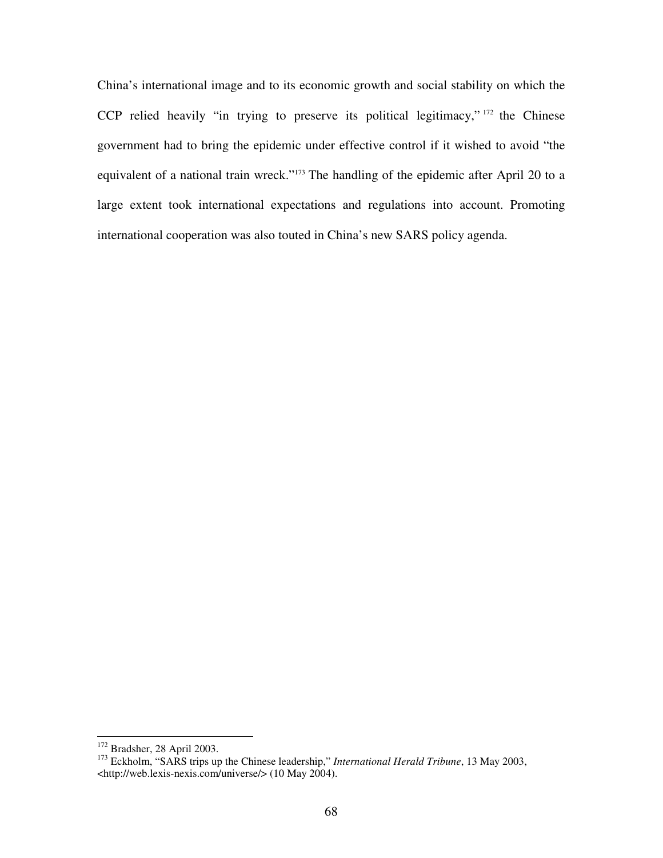China's international image and to its economic growth and social stability on which the CCP relied heavily "in trying to preserve its political legitimacy," 172 the Chinese government had to bring the epidemic under effective control if it wished to avoid "the equivalent of a national train wreck."<sup>173</sup> The handling of the epidemic after April 20 to a large extent took international expectations and regulations into account. Promoting international cooperation was also touted in China's new SARS policy agenda.

<sup>&</sup>lt;sup>172</sup> Bradsher, 28 April 2003.

<sup>173</sup> Eckholm, "SARS trips up the Chinese leadership," *International Herald Tribune*, 13 May 2003, <http://web.lexis-nexis.com/universe/> (10 May 2004).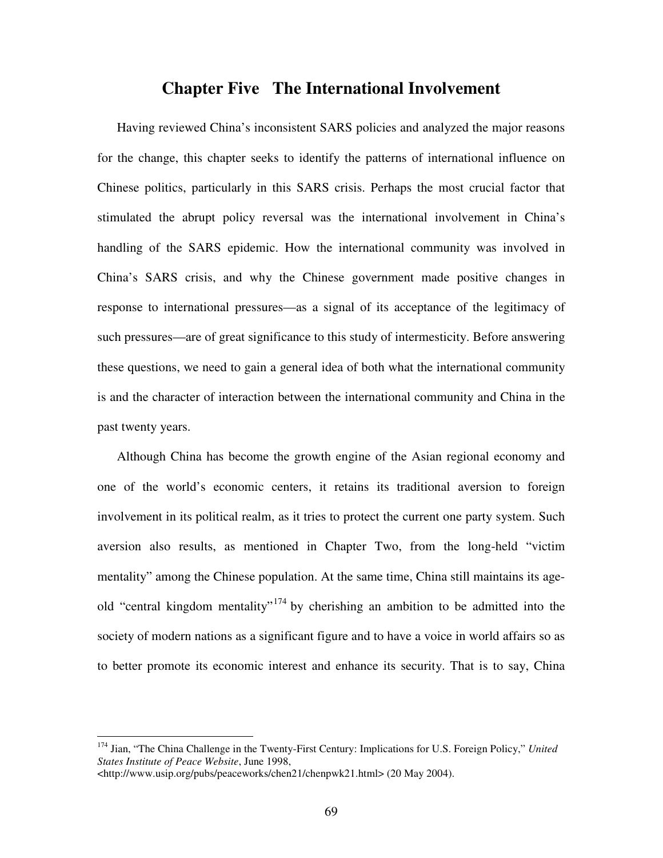# **Chapter Five The International Involvement**

Having reviewed China's inconsistent SARS policies and analyzed the major reasons for the change, this chapter seeks to identify the patterns of international influence on Chinese politics, particularly in this SARS crisis. Perhaps the most crucial factor that stimulated the abrupt policy reversal was the international involvement in China's handling of the SARS epidemic. How the international community was involved in China's SARS crisis, and why the Chinese government made positive changes in response to international pressures—as a signal of its acceptance of the legitimacy of such pressures—are of great significance to this study of intermesticity. Before answering these questions, we need to gain a general idea of both what the international community is and the character of interaction between the international community and China in the past twenty years.

Although China has become the growth engine of the Asian regional economy and one of the world's economic centers, it retains its traditional aversion to foreign involvement in its political realm, as it tries to protect the current one party system. Such aversion also results, as mentioned in Chapter Two, from the long-held "victim mentality" among the Chinese population. At the same time, China still maintains its ageold "central kingdom mentality"<sup>174</sup> by cherishing an ambition to be admitted into the society of modern nations as a significant figure and to have a voice in world affairs so as to better promote its economic interest and enhance its security. That is to say, China

<sup>174</sup> Jian, "The China Challenge in the Twenty-First Century: Implications for U.S. Foreign Policy," *United States Institute of Peace Website*, June 1998,

<sup>&</sup>lt;http://www.usip.org/pubs/peaceworks/chen21/chenpwk21.html> (20 May 2004).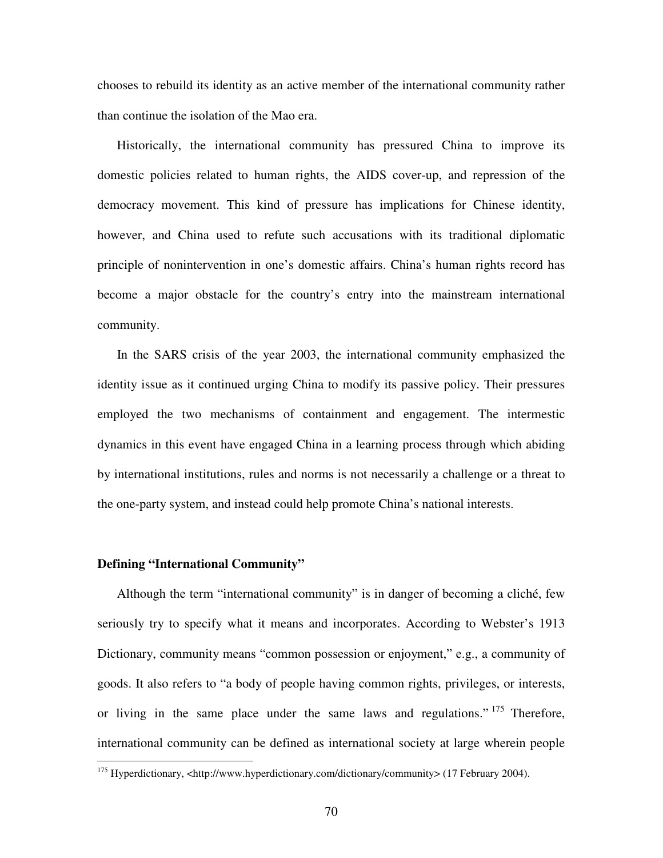chooses to rebuild its identity as an active member of the international community rather than continue the isolation of the Mao era.

Historically, the international community has pressured China to improve its domestic policies related to human rights, the AIDS cover-up, and repression of the democracy movement. This kind of pressure has implications for Chinese identity, however, and China used to refute such accusations with its traditional diplomatic principle of nonintervention in one's domestic affairs. China's human rights record has become a major obstacle for the country's entry into the mainstream international community.

In the SARS crisis of the year 2003, the international community emphasized the identity issue as it continued urging China to modify its passive policy. Their pressures employed the two mechanisms of containment and engagement. The intermestic dynamics in this event have engaged China in a learning process through which abiding by international institutions, rules and norms is not necessarily a challenge or a threat to the one-party system, and instead could help promote China's national interests.

### **Defining "International Community"**

Although the term "international community" is in danger of becoming a cliché, few seriously try to specify what it means and incorporates. According to Webster's 1913 Dictionary, community means "common possession or enjoyment," e.g., a community of goods. It also refers to "a body of people having common rights, privileges, or interests, or living in the same place under the same laws and regulations."<sup>175</sup> Therefore, international community can be defined as international society at large wherein people

<sup>&</sup>lt;sup>175</sup> Hyperdictionary, <http://www.hyperdictionary.com/dictionary/community> (17 February 2004).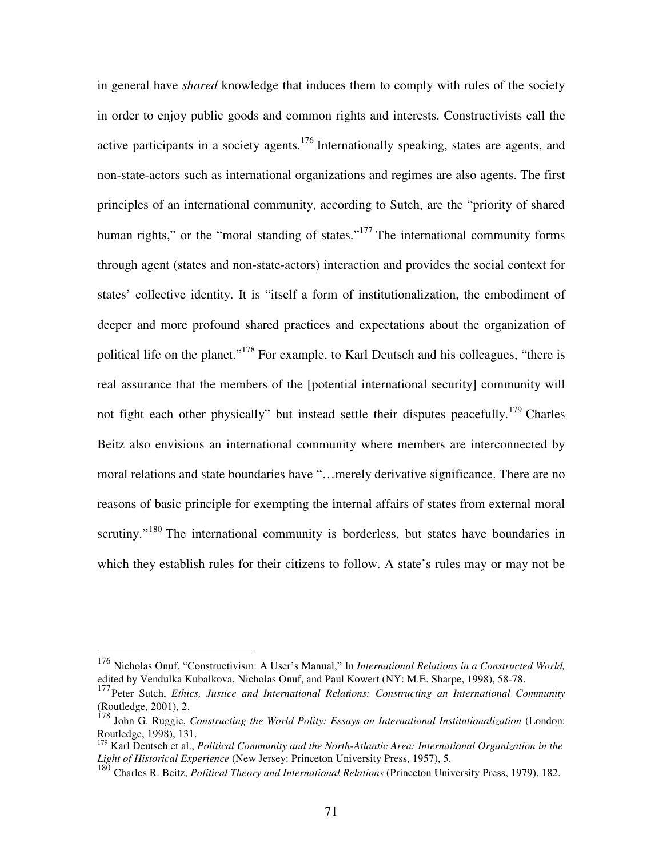in general have *shared* knowledge that induces them to comply with rules of the society in order to enjoy public goods and common rights and interests. Constructivists call the active participants in a society agents.<sup>176</sup> Internationally speaking, states are agents, and non-state-actors such as international organizations and regimes are also agents. The first principles of an international community, according to Sutch, are the "priority of shared human rights," or the "moral standing of states."<sup>177</sup> The international community forms through agent (states and non-state-actors) interaction and provides the social context for states' collective identity. It is "itself a form of institutionalization, the embodiment of deeper and more profound shared practices and expectations about the organization of political life on the planet."<sup>178</sup> For example, to Karl Deutsch and his colleagues, "there is real assurance that the members of the [potential international security] community will not fight each other physically" but instead settle their disputes peacefully.<sup>179</sup> Charles Beitz also envisions an international community where members are interconnected by moral relations and state boundaries have "…merely derivative significance. There are no reasons of basic principle for exempting the internal affairs of states from external moral scrutiny."<sup>180</sup> The international community is borderless, but states have boundaries in which they establish rules for their citizens to follow. A state's rules may or may not be

<sup>176</sup> Nicholas Onuf, "Constructivism: A User's Manual," In *International Relations in a Constructed World,* edited by Vendulka Kubalkova, Nicholas Onuf, and Paul Kowert (NY: M.E. Sharpe, 1998), 58-78.

<sup>177</sup> Peter Sutch, *Ethics, Justice and International Relations: Constructing an International Community* (Routledge, 2001), 2. 178 John G. Ruggie, *Constructing the World Polity: Essays on International Institutionalization* (London:

Routledge, 1998), 131.

<sup>179</sup> Karl Deutsch et al., *Political Community and the North-Atlantic Area: International Organization in the Light of Historical Experience* (New Jersey: Princeton University Press, 1957), 5.

<sup>180</sup> Charles R. Beitz, *Political Theory and International Relations* (Princeton University Press, 1979), 182.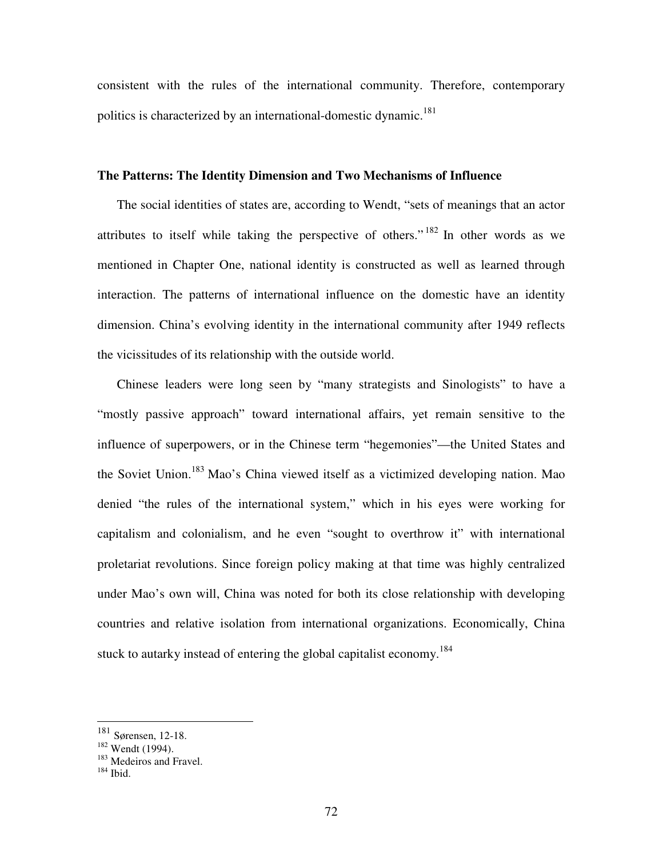consistent with the rules of the international community. Therefore, contemporary politics is characterized by an international-domestic dynamic.<sup>181</sup>

### **The Patterns: The Identity Dimension and Two Mechanisms of Influence**

The social identities of states are, according to Wendt, "sets of meanings that an actor attributes to itself while taking the perspective of others."<sup>182</sup> In other words as we mentioned in Chapter One, national identity is constructed as well as learned through interaction. The patterns of international influence on the domestic have an identity dimension. China's evolving identity in the international community after 1949 reflects the vicissitudes of its relationship with the outside world.

Chinese leaders were long seen by "many strategists and Sinologists" to have a "mostly passive approach" toward international affairs, yet remain sensitive to the influence of superpowers, or in the Chinese term "hegemonies"—the United States and the Soviet Union.<sup>183</sup> Mao's China viewed itself as a victimized developing nation. Mao denied "the rules of the international system," which in his eyes were working for capitalism and colonialism, and he even "sought to overthrow it" with international proletariat revolutions. Since foreign policy making at that time was highly centralized under Mao's own will, China was noted for both its close relationship with developing countries and relative isolation from international organizations. Economically, China stuck to autarky instead of entering the global capitalist economy.<sup>184</sup>

<sup>181</sup> Sørensen, 12-18.

<sup>182</sup> Wendt (1994).

<sup>&</sup>lt;sup>183</sup> Medeiros and Fravel.

<sup>184</sup> Ibid.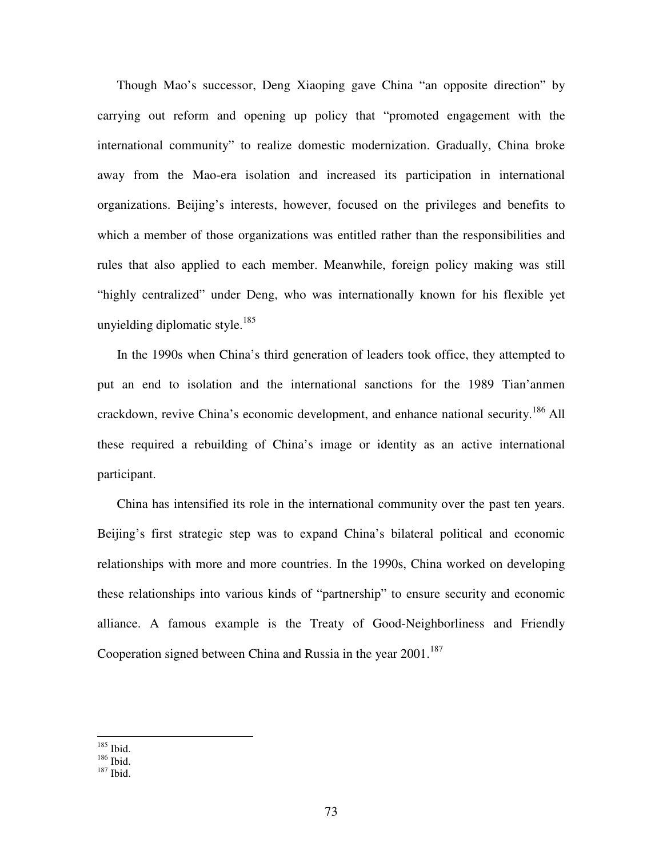Though Mao's successor, Deng Xiaoping gave China "an opposite direction" by carrying out reform and opening up policy that "promoted engagement with the international community" to realize domestic modernization. Gradually, China broke away from the Mao-era isolation and increased its participation in international organizations. Beijing's interests, however, focused on the privileges and benefits to which a member of those organizations was entitled rather than the responsibilities and rules that also applied to each member. Meanwhile, foreign policy making was still "highly centralized" under Deng, who was internationally known for his flexible yet unyielding diplomatic style. 185

In the 1990s when China's third generation of leaders took office, they attempted to put an end to isolation and the international sanctions for the 1989 Tian'anmen crackdown, revive China's economic development, and enhance national security.<sup>186</sup> All these required a rebuilding of China's image or identity as an active international participant.

China has intensified its role in the international community over the past ten years. Beijing's first strategic step was to expand China's bilateral political and economic relationships with more and more countries. In the 1990s, China worked on developing these relationships into various kinds of "partnership" to ensure security and economic alliance. A famous example is the Treaty of Good-Neighborliness and Friendly Cooperation signed between China and Russia in the year 2001.<sup>187</sup>

<sup>185</sup> Ibid.

<sup>186</sup> Ibid.

<sup>187</sup> Ibid.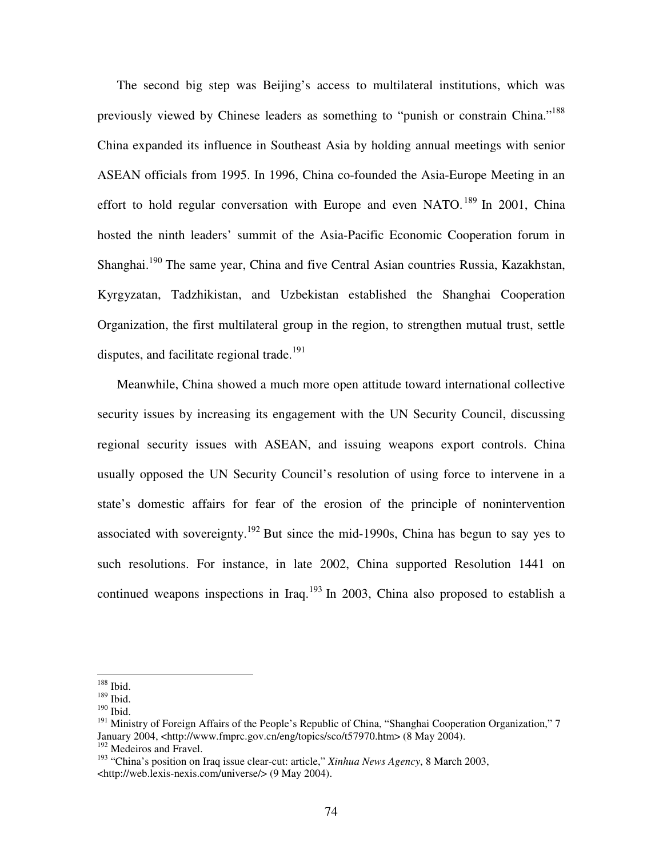The second big step was Beijing's access to multilateral institutions, which was previously viewed by Chinese leaders as something to "punish or constrain China."<sup>188</sup> China expanded its influence in Southeast Asia by holding annual meetings with senior ASEAN officials from 1995. In 1996, China co-founded the Asia-Europe Meeting in an effort to hold regular conversation with Europe and even NATO.<sup>189</sup> In 2001, China hosted the ninth leaders' summit of the Asia-Pacific Economic Cooperation forum in Shanghai.<sup>190</sup> The same year, China and five Central Asian countries Russia, Kazakhstan, Kyrgyzatan, Tadzhikistan, and Uzbekistan established the Shanghai Cooperation Organization, the first multilateral group in the region, to strengthen mutual trust, settle disputes, and facilitate regional trade.<sup>191</sup>

Meanwhile, China showed a much more open attitude toward international collective security issues by increasing its engagement with the UN Security Council, discussing regional security issues with ASEAN, and issuing weapons export controls. China usually opposed the UN Security Council's resolution of using force to intervene in a state's domestic affairs for fear of the erosion of the principle of nonintervention associated with sovereignty.<sup>192</sup> But since the mid-1990s, China has begun to say yes to such resolutions. For instance, in late 2002, China supported Resolution 1441 on continued weapons inspections in Iraq.<sup>193</sup> In 2003, China also proposed to establish a

<sup>188</sup> Ibid.

<sup>189</sup> Ibid.

<sup>190</sup> Ibid.

<sup>&</sup>lt;sup>191</sup> Ministry of Foreign Affairs of the People's Republic of China, "Shanghai Cooperation Organization." 7 January 2004, <http://www.fmprc.gov.cn/eng/topics/sco/t57970.htm> (8 May 2004). <sup>192</sup> Medeiros and Fravel.

<sup>193</sup> "China's position on Iraq issue clear-cut: article," *Xinhua News Agency*, 8 March 2003, <http://web.lexis-nexis.com/universe/> (9 May 2004).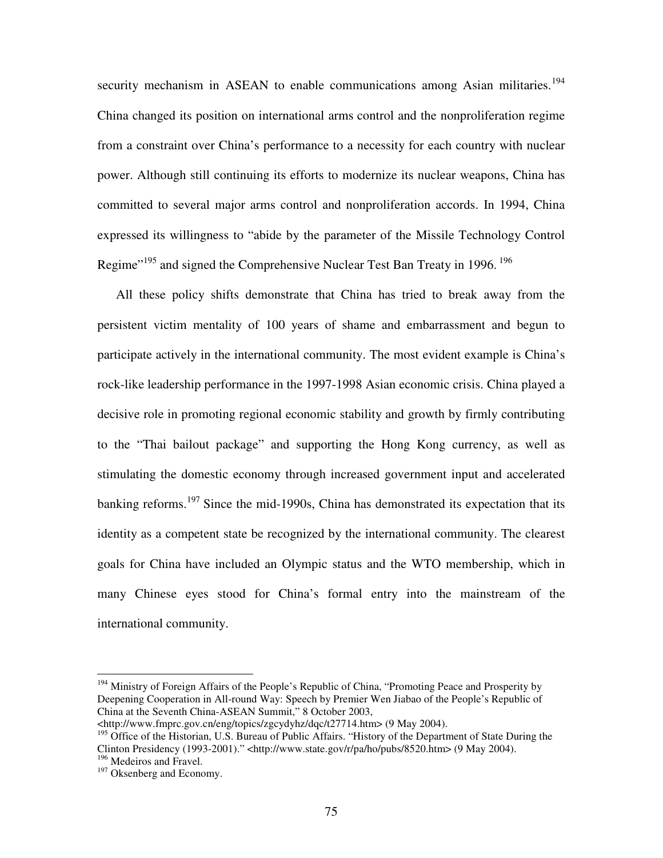security mechanism in ASEAN to enable communications among Asian militaries.<sup>194</sup> China changed its position on international arms control and the nonproliferation regime from a constraint over China's performance to a necessity for each country with nuclear power. Although still continuing its efforts to modernize its nuclear weapons, China has committed to several major arms control and nonproliferation accords. In 1994, China expressed its willingness to "abide by the parameter of the Missile Technology Control Regime"<sup>195</sup> and signed the Comprehensive Nuclear Test Ban Treaty in 1996.<sup>196</sup>

All these policy shifts demonstrate that China has tried to break away from the persistent victim mentality of 100 years of shame and embarrassment and begun to participate actively in the international community. The most evident example is China's rock-like leadership performance in the 1997-1998 Asian economic crisis. China played a decisive role in promoting regional economic stability and growth by firmly contributing to the "Thai bailout package" and supporting the Hong Kong currency, as well as stimulating the domestic economy through increased government input and accelerated banking reforms.<sup>197</sup> Since the mid-1990s, China has demonstrated its expectation that its identity as a competent state be recognized by the international community. The clearest goals for China have included an Olympic status and the WTO membership, which in many Chinese eyes stood for China's formal entry into the mainstream of the international community.

<sup>&</sup>lt;sup>194</sup> Ministry of Foreign Affairs of the People's Republic of China, "Promoting Peace and Prosperity by Deepening Cooperation in All-round Way: Speech by Premier Wen Jiabao of the People's Republic of China at the Seventh China-ASEAN Summit," 8 October 2003,

<sup>&</sup>lt;http://www.fmprc.gov.cn/eng/topics/zgcydyhz/dqc/t27714.htm> (9 May 2004).

<sup>&</sup>lt;sup>195</sup> Office of the Historian, U.S. Bureau of Public Affairs. "History of the Department of State During the Clinton Presidency (1993-2001)." <http://www.state.gov/r/pa/ho/pubs/8520.htm> (9 May 2004). <sup>196</sup> Medeiros and Fravel.

<sup>&</sup>lt;sup>197</sup> Oksenberg and Economy.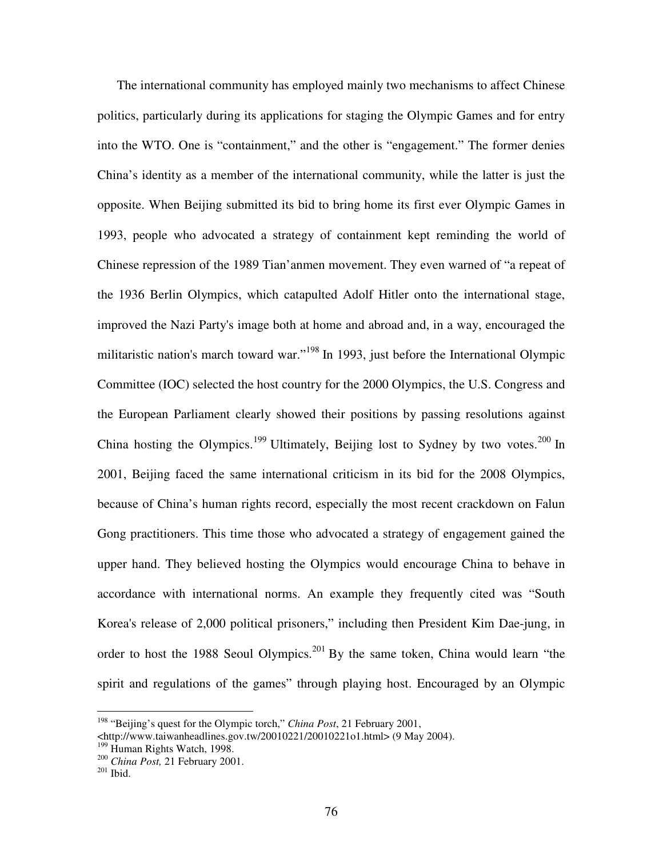The international community has employed mainly two mechanisms to affect Chinese politics, particularly during its applications for staging the Olympic Games and for entry into the WTO. One is "containment," and the other is "engagement." The former denies China's identity as a member of the international community, while the latter is just the opposite. When Beijing submitted its bid to bring home its first ever Olympic Games in 1993, people who advocated a strategy of containment kept reminding the world of Chinese repression of the 1989 Tian'anmen movement. They even warned of "a repeat of the 1936 Berlin Olympics, which catapulted Adolf Hitler onto the international stage, improved the Nazi Party's image both at home and abroad and, in a way, encouraged the militaristic nation's march toward war."<sup>198</sup> In 1993, just before the International Olympic Committee (IOC) selected the host country for the 2000 Olympics, the U.S. Congress and the European Parliament clearly showed their positions by passing resolutions against China hosting the Olympics.<sup>199</sup> Ultimately, Beijing lost to Sydney by two votes.<sup>200</sup> In 2001, Beijing faced the same international criticism in its bid for the 2008 Olympics, because of China's human rights record, especially the most recent crackdown on Falun Gong practitioners. This time those who advocated a strategy of engagement gained the upper hand. They believed hosting the Olympics would encourage China to behave in accordance with international norms. An example they frequently cited was "South Korea's release of 2,000 political prisoners," including then President Kim Dae-jung, in order to host the 1988 Seoul Olympics.<sup>201</sup> By the same token, China would learn "the spirit and regulations of the games" through playing host. Encouraged by an Olympic

<sup>198</sup> "Beijing's quest for the Olympic torch," *China Post*, 21 February 2001,

<sup>&</sup>lt;http://www.taiwanheadlines.gov.tw/20010221/20010221o1.html> (9 May 2004). <sup>199</sup> Human Rights Watch, 1998.

<sup>200</sup> *China Post,* 21 February 2001.

 $201$  Ibid.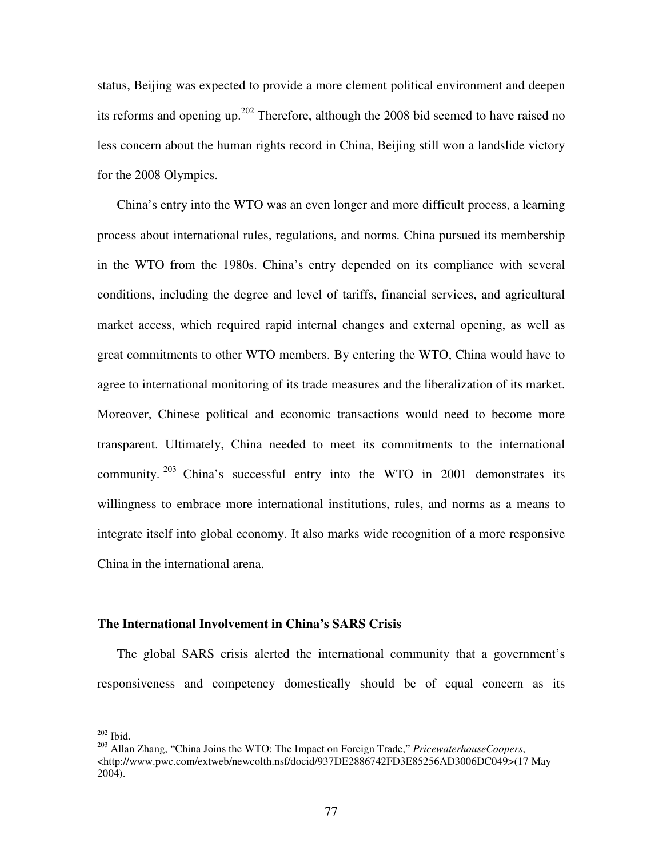status, Beijing was expected to provide a more clement political environment and deepen its reforms and opening up.<sup>202</sup> Therefore, although the 2008 bid seemed to have raised no less concern about the human rights record in China, Beijing still won a landslide victory for the 2008 Olympics.

China's entry into the WTO was an even longer and more difficult process, a learning process about international rules, regulations, and norms. China pursued its membership in the WTO from the 1980s. China's entry depended on its compliance with several conditions, including the degree and level of tariffs, financial services, and agricultural market access, which required rapid internal changes and external opening, as well as great commitments to other WTO members. By entering the WTO, China would have to agree to international monitoring of its trade measures and the liberalization of its market. Moreover, Chinese political and economic transactions would need to become more transparent. Ultimately, China needed to meet its commitments to the international community.  $203$  China's successful entry into the WTO in 2001 demonstrates its willingness to embrace more international institutions, rules, and norms as a means to integrate itself into global economy. It also marks wide recognition of a more responsive China in the international arena.

### **The International Involvement in China's SARS Crisis**

The global SARS crisis alerted the international community that a government's responsiveness and competency domestically should be of equal concern as its

 $202$  Ibid.

<sup>203</sup> Allan Zhang, "China Joins the WTO: The Impact on Foreign Trade," *PricewaterhouseCoopers*, <http://www.pwc.com/extweb/newcolth.nsf/docid/937DE2886742FD3E85256AD3006DC049>(17 May 2004).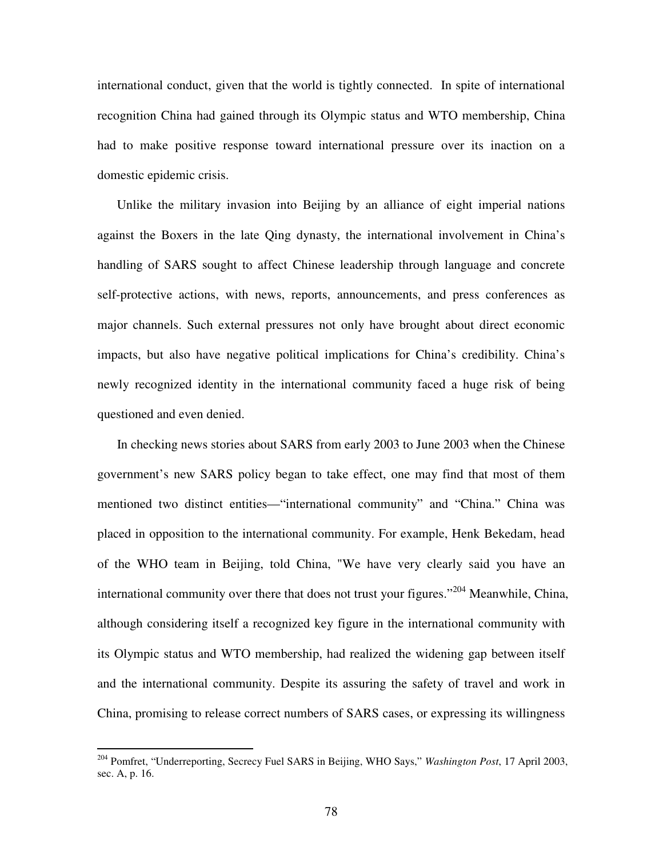international conduct, given that the world is tightly connected. In spite of international recognition China had gained through its Olympic status and WTO membership, China had to make positive response toward international pressure over its inaction on a domestic epidemic crisis.

Unlike the military invasion into Beijing by an alliance of eight imperial nations against the Boxers in the late Qing dynasty, the international involvement in China's handling of SARS sought to affect Chinese leadership through language and concrete self-protective actions, with news, reports, announcements, and press conferences as major channels. Such external pressures not only have brought about direct economic impacts, but also have negative political implications for China's credibility. China's newly recognized identity in the international community faced a huge risk of being questioned and even denied.

In checking news stories about SARS from early 2003 to June 2003 when the Chinese government's new SARS policy began to take effect, one may find that most of them mentioned two distinct entities—"international community" and "China." China was placed in opposition to the international community. For example, Henk Bekedam, head of the WHO team in Beijing, told China, "We have very clearly said you have an international community over there that does not trust your figures."<sup>204</sup> Meanwhile, China, although considering itself a recognized key figure in the international community with its Olympic status and WTO membership, had realized the widening gap between itself and the international community. Despite its assuring the safety of travel and work in China, promising to release correct numbers of SARS cases, or expressing its willingness

<sup>204</sup> Pomfret, "Underreporting, Secrecy Fuel SARS in Beijing, WHO Says," *Washington Post*, 17 April 2003, sec. A, p. 16.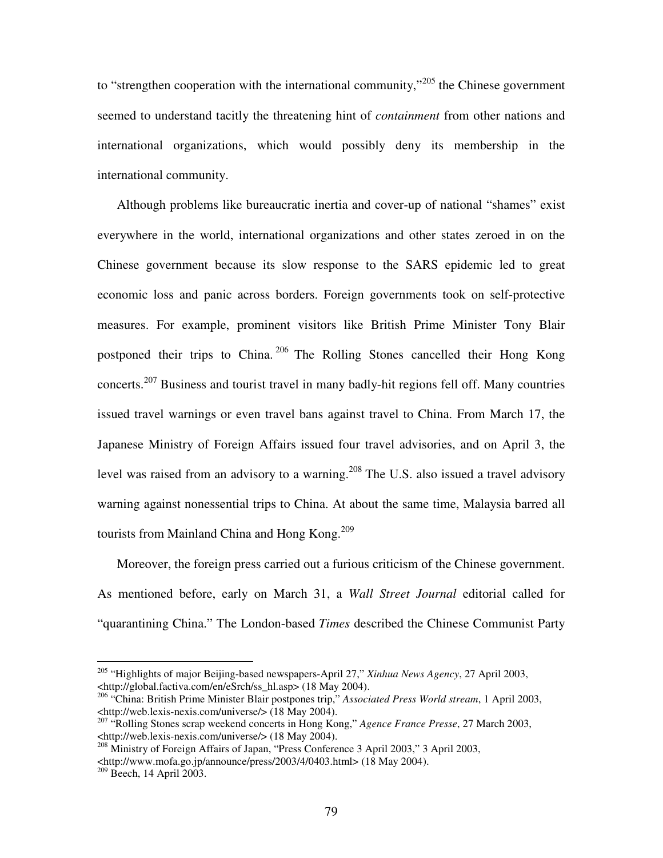to "strengthen cooperation with the international community,"<sup>205</sup> the Chinese government seemed to understand tacitly the threatening hint of *containment* from other nations and international organizations, which would possibly deny its membership in the international community.

Although problems like bureaucratic inertia and cover-up of national "shames" exist everywhere in the world, international organizations and other states zeroed in on the Chinese government because its slow response to the SARS epidemic led to great economic loss and panic across borders. Foreign governments took on self-protective measures. For example, prominent visitors like British Prime Minister Tony Blair postponed their trips to China.<sup>206</sup> The Rolling Stones cancelled their Hong Kong concerts.<sup>207</sup> Business and tourist travel in many badly-hit regions fell off. Many countries issued travel warnings or even travel bans against travel to China. From March 17, the Japanese Ministry of Foreign Affairs issued four travel advisories, and on April 3, the level was raised from an advisory to a warning.<sup>208</sup> The U.S. also issued a travel advisory warning against nonessential trips to China. At about the same time, Malaysia barred all tourists from Mainland China and Hong Kong.<sup>209</sup>

Moreover, the foreign press carried out a furious criticism of the Chinese government. As mentioned before, early on March 31, a *Wall Street Journal* editorial called for "quarantining China." The London-based *Times* described the Chinese Communist Party

<sup>205</sup> "Highlights of major Beijing-based newspapers-April 27," *Xinhua News Agency*, 27 April 2003, <http://global.factiva.com/en/eSrch/ss\_hl.asp> (18 May 2004).

<sup>206</sup> "China: British Prime Minister Blair postpones trip," *Associated Press World stream*, 1 April 2003, <http://web.lexis-nexis.com/universe/> (18 May 2004).

<sup>207</sup> "Rolling Stones scrap weekend concerts in Hong Kong," *Agence France Presse*, 27 March 2003, <http://web.lexis-nexis.com/universe/> (18 May 2004).

<sup>&</sup>lt;sup>208</sup> Ministry of Foreign Affairs of Japan, "Press Conference 3 April 2003," 3 April 2003, <http://www.mofa.go.jp/announce/press/2003/4/0403.html> (18 May 2004).

 $209$  Beech, 14 April 2003.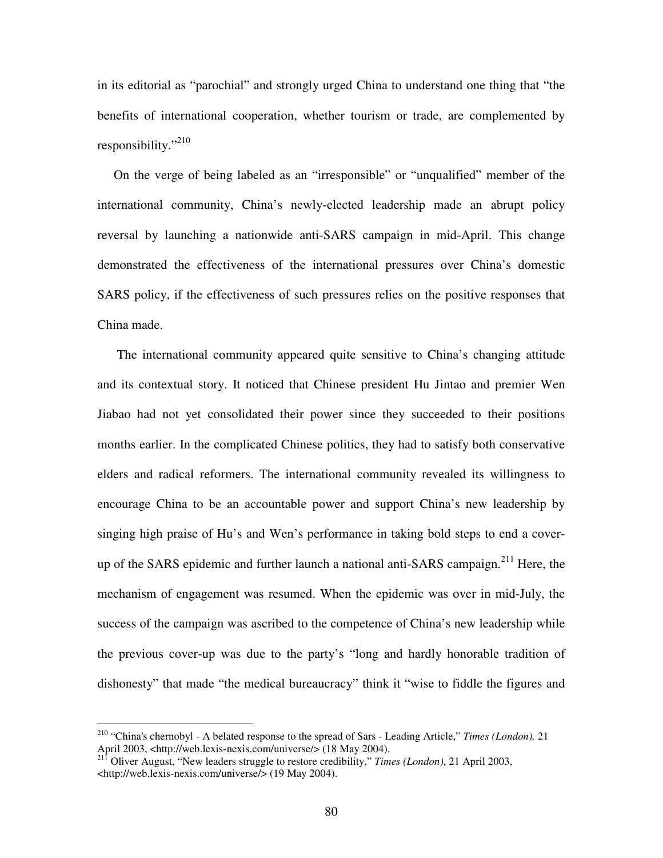in its editorial as "parochial" and strongly urged China to understand one thing that "the benefits of international cooperation, whether tourism or trade, are complemented by responsibility."<sup>210</sup>

On the verge of being labeled as an "irresponsible" or "unqualified" member of the international community, China's newly-elected leadership made an abrupt policy reversal by launching a nationwide anti-SARS campaign in mid-April. This change demonstrated the effectiveness of the international pressures over China's domestic SARS policy, if the effectiveness of such pressures relies on the positive responses that China made.

The international community appeared quite sensitive to China's changing attitude and its contextual story. It noticed that Chinese president Hu Jintao and premier Wen Jiabao had not yet consolidated their power since they succeeded to their positions months earlier. In the complicated Chinese politics, they had to satisfy both conservative elders and radical reformers. The international community revealed its willingness to encourage China to be an accountable power and support China's new leadership by singing high praise of Hu's and Wen's performance in taking bold steps to end a coverup of the SARS epidemic and further launch a national anti-SARS campaign.<sup>211</sup> Here, the mechanism of engagement was resumed. When the epidemic was over in mid-July, the success of the campaign was ascribed to the competence of China's new leadership while the previous cover-up was due to the party's "long and hardly honorable tradition of dishonesty" that made "the medical bureaucracy" think it "wise to fiddle the figures and

<sup>210</sup> "China's chernobyl - A belated response to the spread of Sars - Leading Article," *Times (London),* 21 April 2003, <http://web.lexis-nexis.com/universe/> (18 May 2004).

<sup>211</sup> Oliver August, "New leaders struggle to restore credibility," *Times (London)*, 21 April 2003, <http://web.lexis-nexis.com/universe/> (19 May 2004).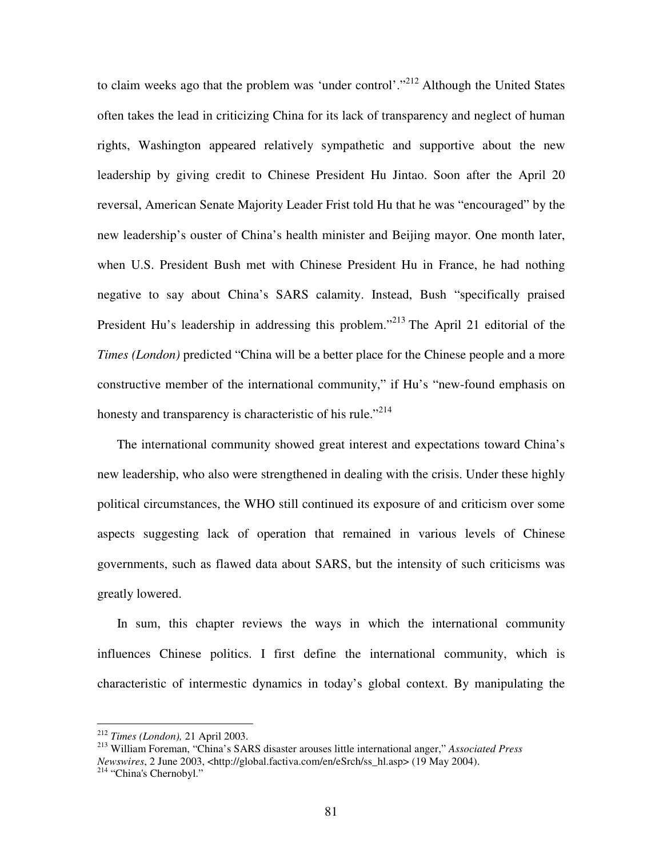to claim weeks ago that the problem was 'under control'."<sup>212</sup> Although the United States often takes the lead in criticizing China for its lack of transparency and neglect of human rights, Washington appeared relatively sympathetic and supportive about the new leadership by giving credit to Chinese President Hu Jintao. Soon after the April 20 reversal, American Senate Majority Leader Frist told Hu that he was "encouraged" by the new leadership's ouster of China's health minister and Beijing mayor. One month later, when U.S. President Bush met with Chinese President Hu in France, he had nothing negative to say about China's SARS calamity. Instead, Bush "specifically praised President Hu's leadership in addressing this problem."<sup>213</sup> The April 21 editorial of the *Times (London)* predicted "China will be a better place for the Chinese people and a more constructive member of the international community," if Hu's "new-found emphasis on honesty and transparency is characteristic of his rule."<sup>214</sup>

The international community showed great interest and expectations toward China's new leadership, who also were strengthened in dealing with the crisis. Under these highly political circumstances, the WHO still continued its exposure of and criticism over some aspects suggesting lack of operation that remained in various levels of Chinese governments, such as flawed data about SARS, but the intensity of such criticisms was greatly lowered.

In sum, this chapter reviews the ways in which the international community influences Chinese politics. I first define the international community, which is characteristic of intermestic dynamics in today's global context. By manipulating the

<sup>212</sup> *Times (London),* 21 April 2003.

<sup>213</sup> William Foreman, "China's SARS disaster arouses little international anger," *Associated Press Newswires*, 2 June 2003, <http://global.factiva.com/en/eSrch/ss\_hl.asp> (19 May 2004).<br><sup>214</sup> "China's Chernobyl."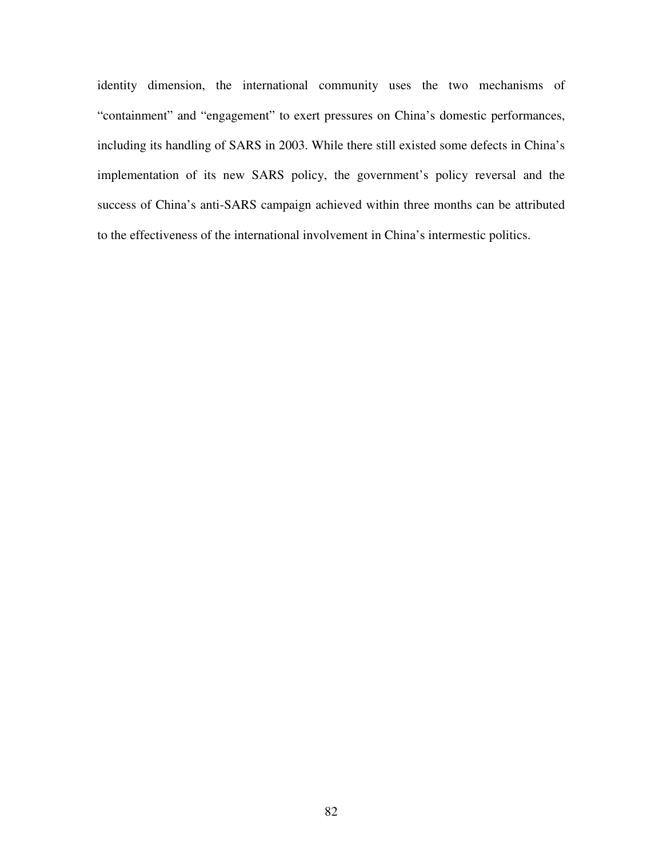identity dimension, the international community uses the two mechanisms of "containment" and "engagement" to exert pressures on China's domestic performances, including its handling of SARS in 2003. While there still existed some defects in China's implementation of its new SARS policy, the government's policy reversal and the success of China's anti-SARS campaign achieved within three months can be attributed to the effectiveness of the international involvement in China's intermestic politics.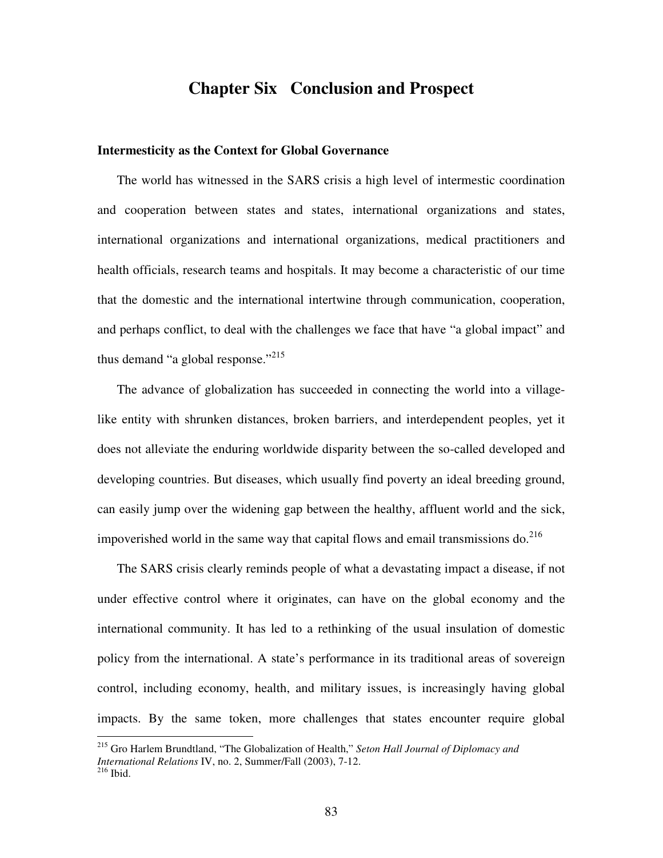## **Chapter Six Conclusion and Prospect**

### **Intermesticity as the Context for Global Governance**

The world has witnessed in the SARS crisis a high level of intermestic coordination and cooperation between states and states, international organizations and states, international organizations and international organizations, medical practitioners and health officials, research teams and hospitals. It may become a characteristic of our time that the domestic and the international intertwine through communication, cooperation, and perhaps conflict, to deal with the challenges we face that have "a global impact" and thus demand "a global response."<sup>215</sup>

The advance of globalization has succeeded in connecting the world into a villagelike entity with shrunken distances, broken barriers, and interdependent peoples, yet it does not alleviate the enduring worldwide disparity between the so-called developed and developing countries. But diseases, which usually find poverty an ideal breeding ground, can easily jump over the widening gap between the healthy, affluent world and the sick, impoverished world in the same way that capital flows and email transmissions do.<sup>216</sup>

The SARS crisis clearly reminds people of what a devastating impact a disease, if not under effective control where it originates, can have on the global economy and the international community. It has led to a rethinking of the usual insulation of domestic policy from the international. A state's performance in its traditional areas of sovereign control, including economy, health, and military issues, is increasingly having global impacts. By the same token, more challenges that states encounter require global

<sup>215</sup> Gro Harlem Brundtland, "The Globalization of Health," *Seton Hall Journal of Diplomacy and International Relations* IV, no. 2, Summer/Fall (2003), 7-12. 216 Ibid.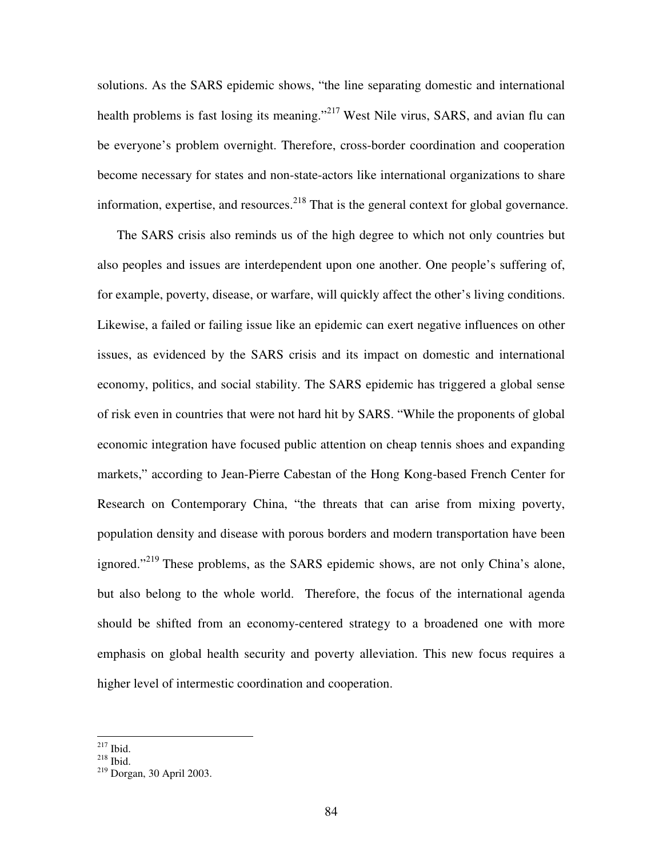solutions. As the SARS epidemic shows, "the line separating domestic and international health problems is fast losing its meaning."<sup>217</sup> West Nile virus, SARS, and avian flu can be everyone's problem overnight. Therefore, cross-border coordination and cooperation become necessary for states and non-state-actors like international organizations to share information, expertise, and resources.<sup>218</sup> That is the general context for global governance.

The SARS crisis also reminds us of the high degree to which not only countries but also peoples and issues are interdependent upon one another. One people's suffering of, for example, poverty, disease, or warfare, will quickly affect the other's living conditions. Likewise, a failed or failing issue like an epidemic can exert negative influences on other issues, as evidenced by the SARS crisis and its impact on domestic and international economy, politics, and social stability. The SARS epidemic has triggered a global sense of risk even in countries that were not hard hit by SARS. "While the proponents of global economic integration have focused public attention on cheap tennis shoes and expanding markets," according to Jean-Pierre Cabestan of the Hong Kong-based French Center for Research on Contemporary China, "the threats that can arise from mixing poverty, population density and disease with porous borders and modern transportation have been ignored."<sup>219</sup> These problems, as the SARS epidemic shows, are not only China's alone, but also belong to the whole world. Therefore, the focus of the international agenda should be shifted from an economy-centered strategy to a broadened one with more emphasis on global health security and poverty alleviation. This new focus requires a higher level of intermestic coordination and cooperation.

 $217$  Ibid.

 $^{218}$  Ibid.

<sup>219</sup> Dorgan, 30 April 2003.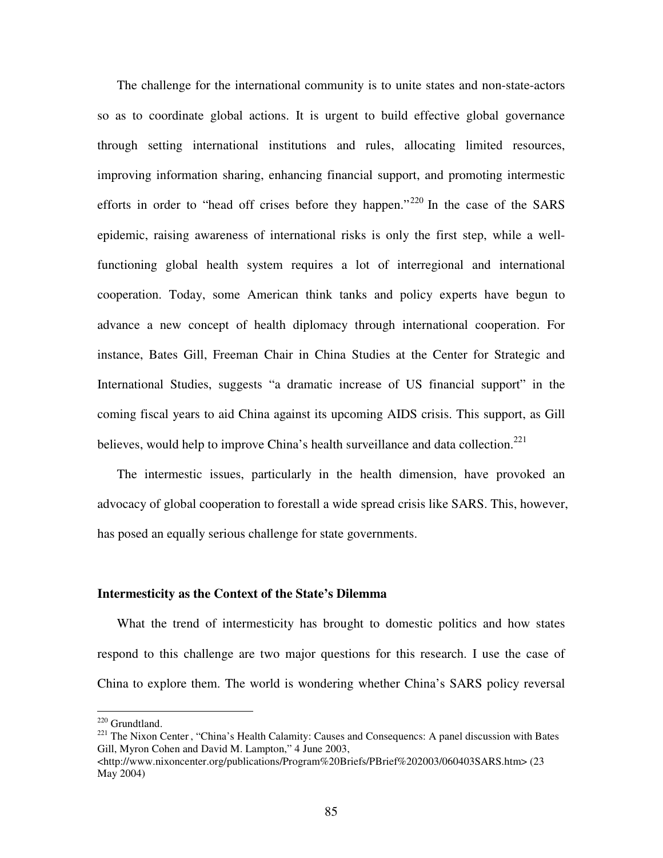The challenge for the international community is to unite states and non-state-actors so as to coordinate global actions. It is urgent to build effective global governance through setting international institutions and rules, allocating limited resources, improving information sharing, enhancing financial support, and promoting intermestic efforts in order to "head off crises before they happen."<sup>220</sup> In the case of the SARS epidemic, raising awareness of international risks is only the first step, while a wellfunctioning global health system requires a lot of interregional and international cooperation. Today, some American think tanks and policy experts have begun to advance a new concept of health diplomacy through international cooperation. For instance, Bates Gill, Freeman Chair in China Studies at the Center for Strategic and International Studies, suggests "a dramatic increase of US financial support" in the coming fiscal years to aid China against its upcoming AIDS crisis. This support, as Gill believes, would help to improve China's health surveillance and data collection.<sup>221</sup>

The intermestic issues, particularly in the health dimension, have provoked an advocacy of global cooperation to forestall a wide spread crisis like SARS. This, however, has posed an equally serious challenge for state governments.

#### **Intermesticity as the Context of the State's Dilemma**

What the trend of intermesticity has brought to domestic politics and how states respond to this challenge are two major questions for this research. I use the case of China to explore them. The world is wondering whether China's SARS policy reversal

<sup>220</sup> Grundtland.

<sup>&</sup>lt;sup>221</sup> The Nixon Center, "China's Health Calamity: Causes and Consequencs: A panel discussion with Bates Gill, Myron Cohen and David M. Lampton," 4 June 2003,

<sup>&</sup>lt;http://www.nixoncenter.org/publications/Program%20Briefs/PBrief%202003/060403SARS.htm> (23 May 2004)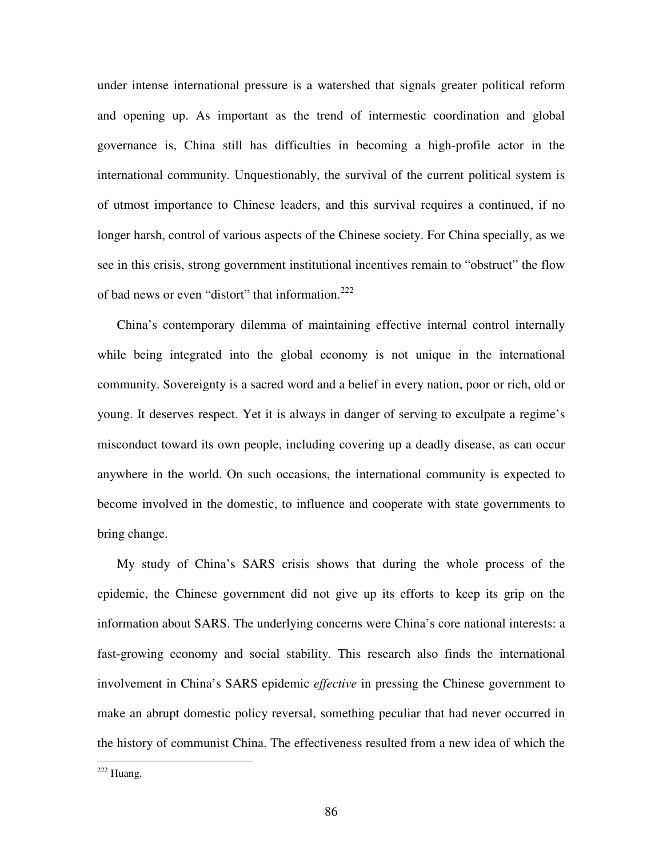under intense international pressure is a watershed that signals greater political reform and opening up. As important as the trend of intermestic coordination and global governance is, China still has difficulties in becoming a high-profile actor in the international community. Unquestionably, the survival of the current political system is of utmost importance to Chinese leaders, and this survival requires a continued, if no longer harsh, control of various aspects of the Chinese society. For China specially, as we see in this crisis, strong government institutional incentives remain to "obstruct" the flow of bad news or even "distort" that information.<sup>222</sup>

China's contemporary dilemma of maintaining effective internal control internally while being integrated into the global economy is not unique in the international community. Sovereignty is a sacred word and a belief in every nation, poor or rich, old or young. It deserves respect. Yet it is always in danger of serving to exculpate a regime's misconduct toward its own people, including covering up a deadly disease, as can occur anywhere in the world. On such occasions, the international community is expected to become involved in the domestic, to influence and cooperate with state governments to bring change.

My study of China's SARS crisis shows that during the whole process of the epidemic, the Chinese government did not give up its efforts to keep its grip on the information about SARS. The underlying concerns were China's core national interests: a fast-growing economy and social stability. This research also finds the international involvement in China's SARS epidemic *effective* in pressing the Chinese government to make an abrupt domestic policy reversal, something peculiar that had never occurred in the history of communist China. The effectiveness resulted from a new idea of which the

<sup>222</sup> Huang.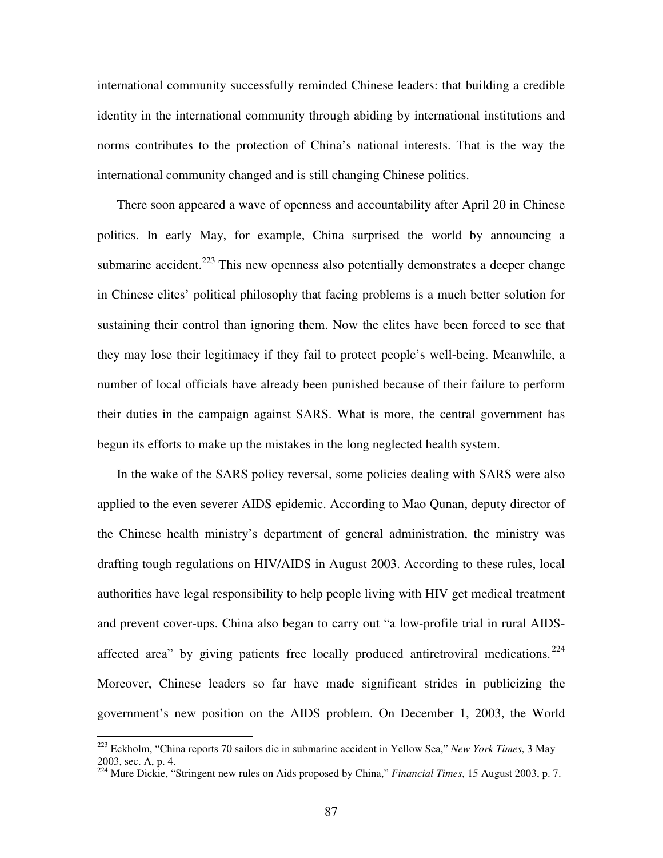international community successfully reminded Chinese leaders: that building a credible identity in the international community through abiding by international institutions and norms contributes to the protection of China's national interests. That is the way the international community changed and is still changing Chinese politics.

There soon appeared a wave of openness and accountability after April 20 in Chinese politics. In early May, for example, China surprised the world by announcing a submarine accident.<sup>223</sup> This new openness also potentially demonstrates a deeper change in Chinese elites' political philosophy that facing problems is a much better solution for sustaining their control than ignoring them. Now the elites have been forced to see that they may lose their legitimacy if they fail to protect people's well-being. Meanwhile, a number of local officials have already been punished because of their failure to perform their duties in the campaign against SARS. What is more, the central government has begun its efforts to make up the mistakes in the long neglected health system.

In the wake of the SARS policy reversal, some policies dealing with SARS were also applied to the even severer AIDS epidemic. According to Mao Qunan, deputy director of the Chinese health ministry's department of general administration, the ministry was drafting tough regulations on HIV/AIDS in August 2003. According to these rules, local authorities have legal responsibility to help people living with HIV get medical treatment and prevent cover-ups. China also began to carry out "a low-profile trial in rural AIDSaffected area" by giving patients free locally produced antiretroviral medications.<sup>224</sup> Moreover, Chinese leaders so far have made significant strides in publicizing the government's new position on the AIDS problem. On December 1, 2003, the World

<sup>223</sup> Eckholm, "China reports 70 sailors die in submarine accident in Yellow Sea," *New York Times*, 3 May 2003, sec. A, p. 4.

<sup>224</sup> Mure Dickie, "Stringent new rules on Aids proposed by China," *Financial Times*, 15 August 2003, p. 7.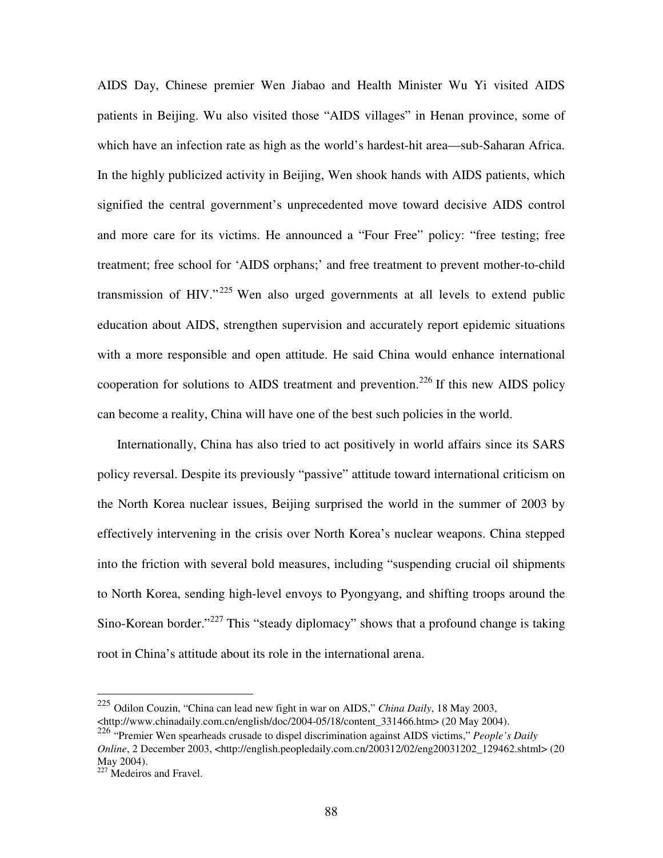AIDS Day, Chinese premier Wen Jiabao and Health Minister Wu Yi visited AIDS patients in Beijing. Wu also visited those "AIDS villages" in Henan province, some of which have an infection rate as high as the world's hardest-hit area—sub-Saharan Africa. In the highly publicized activity in Beijing, Wen shook hands with AIDS patients, which signified the central government's unprecedented move toward decisive AIDS control and more care for its victims. He announced a "Four Free" policy: "free testing; free treatment; free school for 'AIDS orphans;' and free treatment to prevent mother-to-child transmission of HIV."<sup>225</sup> Wen also urged governments at all levels to extend public education about AIDS, strengthen supervision and accurately report epidemic situations with a more responsible and open attitude. He said China would enhance international cooperation for solutions to AIDS treatment and prevention.<sup>226</sup> If this new AIDS policy can become a reality, China will have one of the best such policies in the world.

Internationally, China has also tried to act positively in world affairs since its SARS policy reversal. Despite its previously "passive" attitude toward international criticism on the North Korea nuclear issues, Beijing surprised the world in the summer of 2003 by effectively intervening in the crisis over North Korea's nuclear weapons. China stepped into the friction with several bold measures, including "suspending crucial oil shipments to North Korea, sending high-level envoys to Pyongyang, and shifting troops around the Sino-Korean border."<sup>227</sup> This "steady diplomacy" shows that a profound change is taking root in China's attitude about its role in the international arena.

<sup>225</sup> Odilon Couzin, "China can lead new fight in war on AIDS," *China Daily*, 18 May 2003, <http://www.chinadaily.com.cn/english/doc/2004-05/18/content\_331466.htm> (20 May 2004).

<sup>226</sup> "Premier Wen spearheads crusade to dispel discrimination against AIDS victims," *People's Daily Online*, 2 December 2003, <http://english.peopledaily.com.cn/200312/02/eng20031202\_129462.shtml> (20 May 2004).

<sup>&</sup>lt;sup>227</sup> Medeiros and Fravel.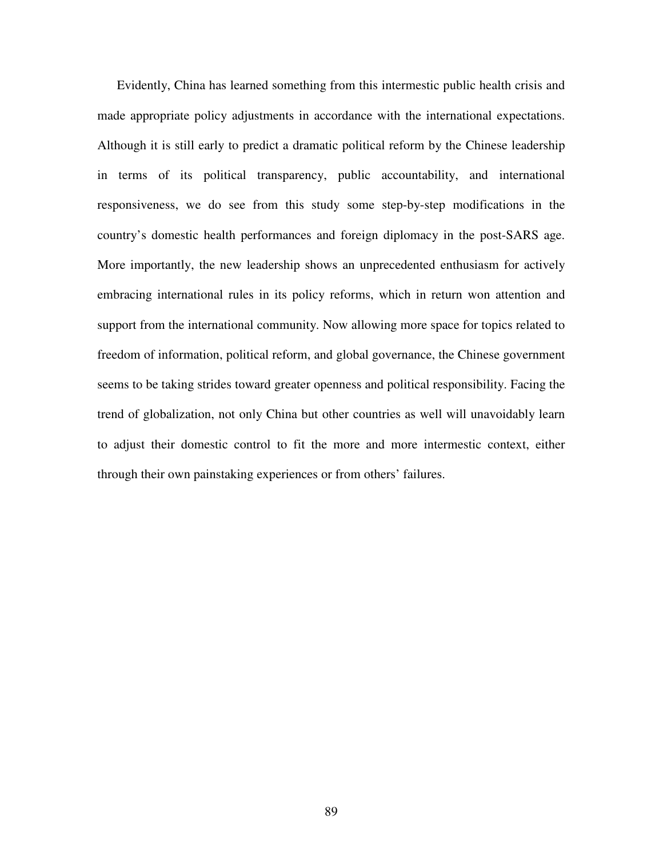Evidently, China has learned something from this intermestic public health crisis and made appropriate policy adjustments in accordance with the international expectations. Although it is still early to predict a dramatic political reform by the Chinese leadership in terms of its political transparency, public accountability, and international responsiveness, we do see from this study some step-by-step modifications in the country's domestic health performances and foreign diplomacy in the post-SARS age. More importantly, the new leadership shows an unprecedented enthusiasm for actively embracing international rules in its policy reforms, which in return won attention and support from the international community. Now allowing more space for topics related to freedom of information, political reform, and global governance, the Chinese government seems to be taking strides toward greater openness and political responsibility. Facing the trend of globalization, not only China but other countries as well will unavoidably learn to adjust their domestic control to fit the more and more intermestic context, either through their own painstaking experiences or from others' failures.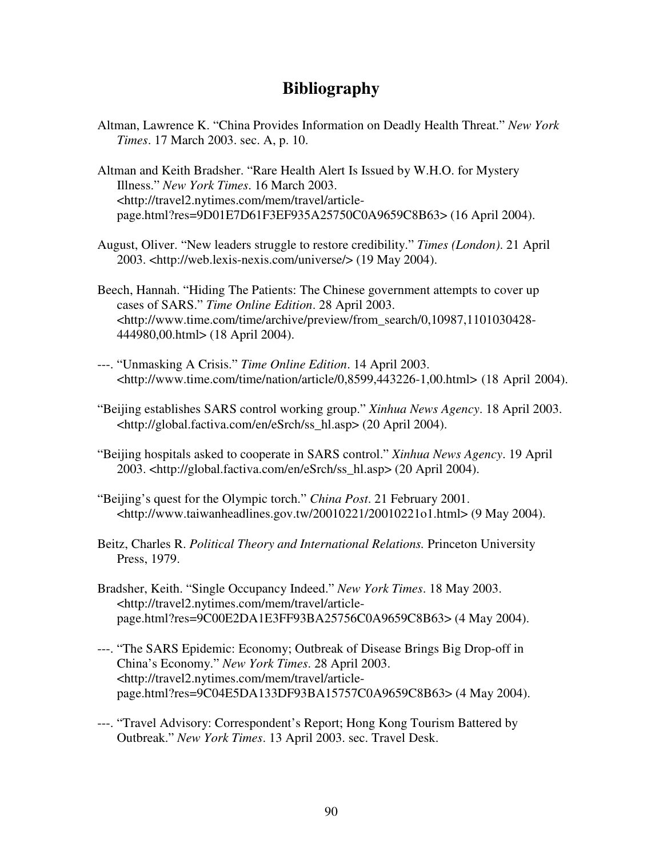# **Bibliography**

Altman, Lawrence K. "China Provides Information on Deadly Health Threat." *New York Times*. 17 March 2003. sec. A, p. 10.

Altman and Keith Bradsher. "Rare Health Alert Is Issued by W.H.O. for Mystery Illness." *New York Times*. 16 March 2003. <http://travel2.nytimes.com/mem/travel/articlepage.html?res=9D01E7D61F3EF935A25750C0A9659C8B63> (16 April 2004).

- August, Oliver. "New leaders struggle to restore credibility." *Times (London)*. 21 April 2003. <http://web.lexis-nexis.com/universe/> (19 May 2004).
- Beech, Hannah. "Hiding The Patients: The Chinese government attempts to cover up cases of SARS." *Time Online Edition*. 28 April 2003. <http://www.time.com/time/archive/preview/from\_search/0,10987,1101030428- 444980,00.html> (18 April 2004).
- ---. "Unmasking A Crisis." *Time Online Edition*. 14 April 2003. <http://www.time.com/time/nation/article/0,8599,443226-1,00.html> (18 April 2004).
- "Beijing establishes SARS control working group." *Xinhua News Agency*. 18 April 2003. <http://global.factiva.com/en/eSrch/ss\_hl.asp> (20 April 2004).
- "Beijing hospitals asked to cooperate in SARS control." *Xinhua News Agency*. 19 April 2003. <http://global.factiva.com/en/eSrch/ss\_hl.asp> (20 April 2004).
- "Beijing's quest for the Olympic torch." *China Post*. 21 February 2001. <http://www.taiwanheadlines.gov.tw/20010221/20010221o1.html> (9 May 2004).
- Beitz, Charles R. *Political Theory and International Relations.* Princeton University Press, 1979.
- Bradsher, Keith. "Single Occupancy Indeed." *New York Times*. 18 May 2003. <http://travel2.nytimes.com/mem/travel/articlepage.html?res=9C00E2DA1E3FF93BA25756C0A9659C8B63> (4 May 2004).
- ---. "The SARS Epidemic: Economy; Outbreak of Disease Brings Big Drop-off in China's Economy." *New York Times*. 28 April 2003. <http://travel2.nytimes.com/mem/travel/articlepage.html?res=9C04E5DA133DF93BA15757C0A9659C8B63> (4 May 2004).
- ---. "Travel Advisory: Correspondent's Report; Hong Kong Tourism Battered by Outbreak." *New York Times*. 13 April 2003. sec. Travel Desk.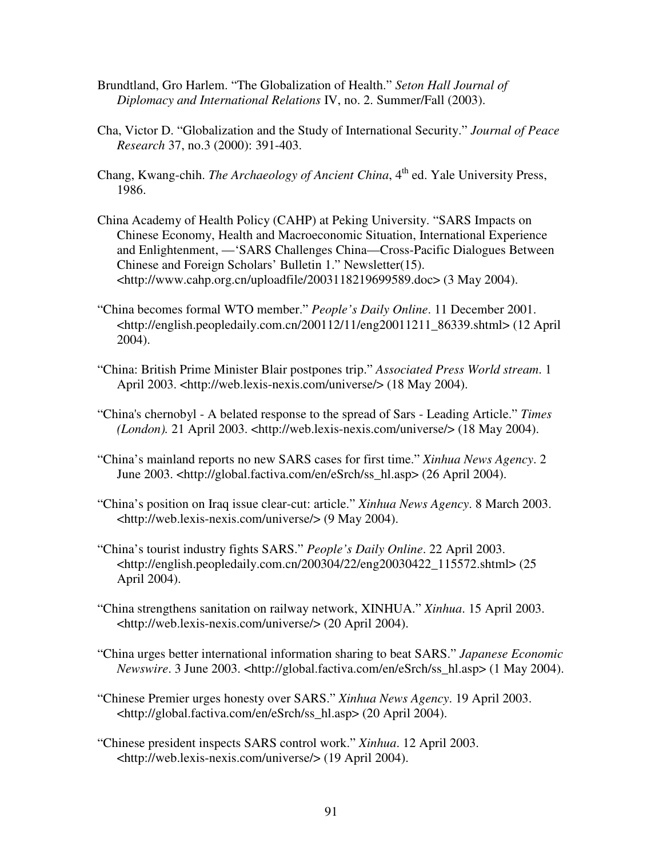- Brundtland, Gro Harlem. "The Globalization of Health." *Seton Hall Journal of Diplomacy and International Relations* IV, no. 2. Summer/Fall (2003).
- Cha, Victor D. "Globalization and the Study of International Security." *Journal of Peace Research* 37, no.3 (2000): 391-403.
- Chang, Kwang-chih. *The Archaeology of Ancient China*, 4 th ed. Yale University Press, 1986.
- China Academy of Health Policy (CAHP) at Peking University. "SARS Impacts on Chinese Economy, Health and Macroeconomic Situation, International Experience and Enlightenment, —'SARS Challenges China—Cross-Pacific Dialogues Between Chinese and Foreign Scholars' Bulletin 1." Newsletter(15). <http://www.cahp.org.cn/uploadfile/2003118219699589.doc> (3 May 2004).
- "China becomes formal WTO member." *People's Daily Online*. 11 December 2001. <http://english.peopledaily.com.cn/200112/11/eng20011211\_86339.shtml> (12 April 2004).
- "China: British Prime Minister Blair postpones trip." *Associated Press World stream*. 1 April 2003. <http://web.lexis-nexis.com/universe/> (18 May 2004).
- "China's chernobyl A belated response to the spread of Sars Leading Article." *Times (London).* 21 April 2003. <http://web.lexis-nexis.com/universe/> (18 May 2004).
- "China's mainland reports no new SARS cases for first time." *Xinhua News Agency*. 2 June 2003. <http://global.factiva.com/en/eSrch/ss\_hl.asp> (26 April 2004).
- "China's position on Iraq issue clear-cut: article." *Xinhua News Agency*. 8 March 2003. <http://web.lexis-nexis.com/universe/> (9 May 2004).
- "China's tourist industry fights SARS." *People's Daily Online*. 22 April 2003. <http://english.peopledaily.com.cn/200304/22/eng20030422\_115572.shtml> (25 April 2004).
- "China strengthens sanitation on railway network, XINHUA." *Xinhua*. 15 April 2003. <http://web.lexis-nexis.com/universe/> (20 April 2004).
- "China urges better international information sharing to beat SARS." *Japanese Economic Newswire*. 3 June 2003. <http://global.factiva.com/en/eSrch/ss\_hl.asp> (1 May 2004).
- "Chinese Premier urges honesty over SARS." *Xinhua News Agency*. 19 April 2003. <http://global.factiva.com/en/eSrch/ss\_hl.asp> (20 April 2004).
- "Chinese president inspects SARS control work." *Xinhua*. 12 April 2003. <http://web.lexis-nexis.com/universe/> (19 April 2004).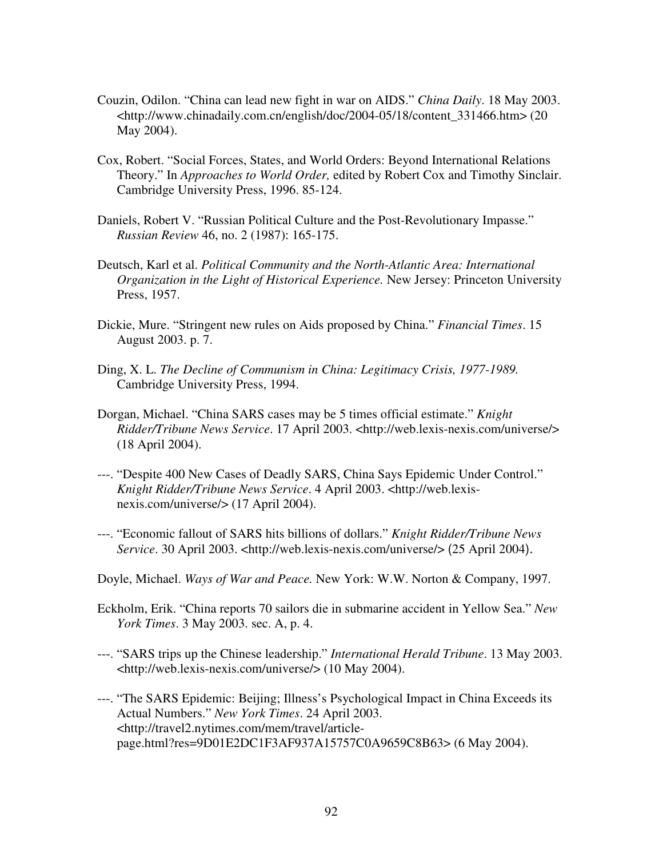- Couzin, Odilon. "China can lead new fight in war on AIDS." *China Daily*. 18 May 2003. <http://www.chinadaily.com.cn/english/doc/2004-05/18/content\_331466.htm> (20 May 2004).
- Cox, Robert. "Social Forces, States, and World Orders: Beyond International Relations Theory." In *Approaches to World Order,* edited by Robert Cox and Timothy Sinclair. Cambridge University Press, 1996. 85-124.
- Daniels, Robert V. "Russian Political Culture and the Post-Revolutionary Impasse." *Russian Review* 46, no. 2 (1987): 165-175.
- Deutsch, Karl et al. *Political Community and the North-Atlantic Area: International Organization in the Light of Historical Experience.* New Jersey: Princeton University Press, 1957.
- Dickie, Mure. "Stringent new rules on Aids proposed by China." *Financial Times*. 15 August 2003. p. 7.
- Ding, X. L. *The Decline of Communism in China: Legitimacy Crisis, 1977-1989.* Cambridge University Press, 1994.
- Dorgan, Michael. "China SARS cases may be 5 times official estimate." *Knight Ridder/Tribune News Service*. 17 April 2003. <http://web.lexis-nexis.com/universe/> (18 April 2004).
- ---. "Despite 400 New Cases of Deadly SARS, China Says Epidemic Under Control." *Knight Ridder/Tribune News Service*. 4 April 2003. <http://web.lexisnexis.com/universe/> (17 April 2004).
- ---. "Economic fallout of SARS hits billions of dollars." *Knight Ridder/Tribune News Service*. 30 April 2003. <http://web.lexis-nexis.com/universe/> (25 April 2004).
- Doyle, Michael. *Ways of War and Peace.* New York: W.W. Norton & Company, 1997.
- Eckholm, Erik. "China reports 70 sailors die in submarine accident in Yellow Sea." *New York Times*. 3 May 2003. sec. A, p. 4.
- ---. "SARS trips up the Chinese leadership." *International Herald Tribune*. 13 May 2003. <http://web.lexis-nexis.com/universe/> (10 May 2004).
- ---. "The SARS Epidemic: Beijing; Illness's Psychological Impact in China Exceeds its Actual Numbers." *New York Times*. 24 April 2003. <http://travel2.nytimes.com/mem/travel/articlepage.html?res=9D01E2DC1F3AF937A15757C0A9659C8B63> (6 May 2004).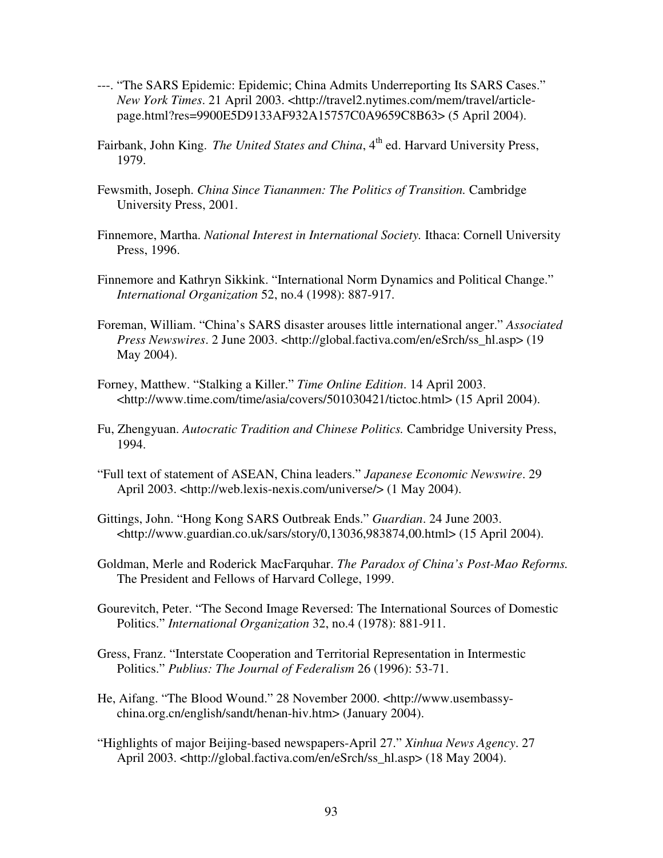- ---. "The SARS Epidemic: Epidemic; China Admits Underreporting Its SARS Cases." *New York Times*. 21 April 2003. <http://travel2.nytimes.com/mem/travel/articlepage.html?res=9900E5D9133AF932A15757C0A9659C8B63> (5 April 2004).
- Fairbank, John King. *The United States and China*, 4<sup>th</sup> ed. Harvard University Press, 1979.
- Fewsmith, Joseph. *China Since Tiananmen: The Politics of Transition.* Cambridge University Press, 2001.
- Finnemore, Martha. *National Interest in International Society.* Ithaca: Cornell University Press, 1996.
- Finnemore and Kathryn Sikkink. "International Norm Dynamics and Political Change." *International Organization* 52, no.4 (1998): 887-917.
- Foreman, William. "China's SARS disaster arouses little international anger." *Associated Press Newswires*. 2 June 2003. <http://global.factiva.com/en/eSrch/ss\_hl.asp> (19 May 2004).
- Forney, Matthew. "Stalking a Killer." *Time Online Edition*. 14 April 2003. <http://www.time.com/time/asia/covers/501030421/tictoc.html> (15 April 2004).
- Fu, Zhengyuan. *Autocratic Tradition and Chinese Politics.* Cambridge University Press, 1994.
- "Full text of statement of ASEAN, China leaders." *Japanese Economic Newswire*. 29 April 2003. <http://web.lexis-nexis.com/universe/> (1 May 2004).
- Gittings, John. "Hong Kong SARS Outbreak Ends." *Guardian*. 24 June 2003. <http://www.guardian.co.uk/sars/story/0,13036,983874,00.html> (15 April 2004).
- Goldman, Merle and Roderick MacFarquhar. *The Paradox of China's Post-Mao Reforms.* The President and Fellows of Harvard College, 1999.
- Gourevitch, Peter. "The Second Image Reversed: The International Sources of Domestic Politics." *International Organization* 32, no.4 (1978): 881-911.
- Gress, Franz. "Interstate Cooperation and Territorial Representation in Intermestic Politics." *Publius: The Journal of Federalism* 26 (1996): 53-71.
- He, Aifang. "The Blood Wound." 28 November 2000. <http://www.usembassychina.org.cn/english/sandt/henan-hiv.htm> (January 2004).
- "Highlights of major Beijing-based newspapers-April 27." *Xinhua News Agency*. 27 April 2003. <http://global.factiva.com/en/eSrch/ss\_hl.asp> (18 May 2004).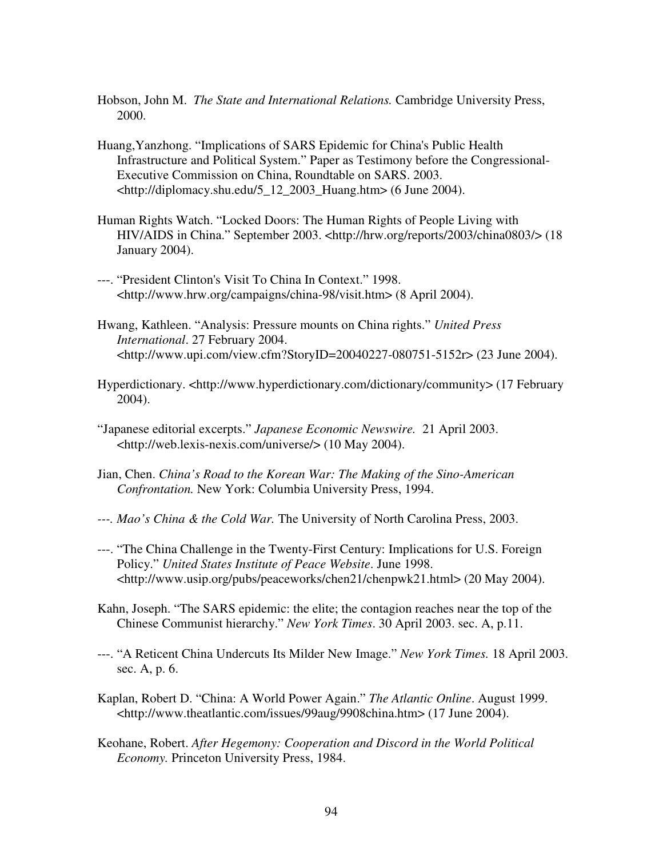- Hobson, John M. *The State and International Relations.* Cambridge University Press, 2000.
- Huang,Yanzhong. "Implications of SARS Epidemic for China's Public Health Infrastructure and Political System." Paper as Testimony before the Congressional-Executive Commission on China, Roundtable on SARS. 2003. <http://diplomacy.shu.edu/5\_12\_2003\_Huang.htm> (6 June 2004).
- Human Rights Watch. "Locked Doors: The Human Rights of People Living with HIV/AIDS in China." September 2003. <http://hrw.org/reports/2003/china0803/> (18 January 2004).
- ---. "President Clinton's Visit To China In Context." 1998. <http://www.hrw.org/campaigns/china-98/visit.htm> (8 April 2004).
- Hwang, Kathleen. "Analysis: Pressure mounts on China rights." *United Press International*. 27 February 2004. <http://www.upi.com/view.cfm?StoryID=20040227-080751-5152r> (23 June 2004).
- Hyperdictionary. <http://www.hyperdictionary.com/dictionary/community> (17 February 2004).
- "Japanese editorial excerpts." *Japanese Economic Newswire.* 21 April 2003. <http://web.lexis-nexis.com/universe/> (10 May 2004).
- Jian, Chen. *China's Road to the Korean War: The Making of the Sino-American Confrontation.* New York: Columbia University Press, 1994.
- *---. Mao's China & the Cold War.* The University of North Carolina Press, 2003.
- ---. "The China Challenge in the Twenty-First Century: Implications for U.S. Foreign Policy." *United States Institute of Peace Website*. June 1998. <http://www.usip.org/pubs/peaceworks/chen21/chenpwk21.html> (20 May 2004).
- Kahn, Joseph. "The SARS epidemic: the elite; the contagion reaches near the top of the Chinese Communist hierarchy." *New York Times*. 30 April 2003. sec. A, p.11.
- ---. "A Reticent China Undercuts Its Milder New Image." *New York Times.* 18 April 2003. sec. A, p. 6.
- Kaplan, Robert D. "China: A World Power Again." *The Atlantic Online*. August 1999. <http://www.theatlantic.com/issues/99aug/9908china.htm> (17 June 2004).
- Keohane, Robert. *After Hegemony: Cooperation and Discord in the World Political Economy.* Princeton University Press, 1984.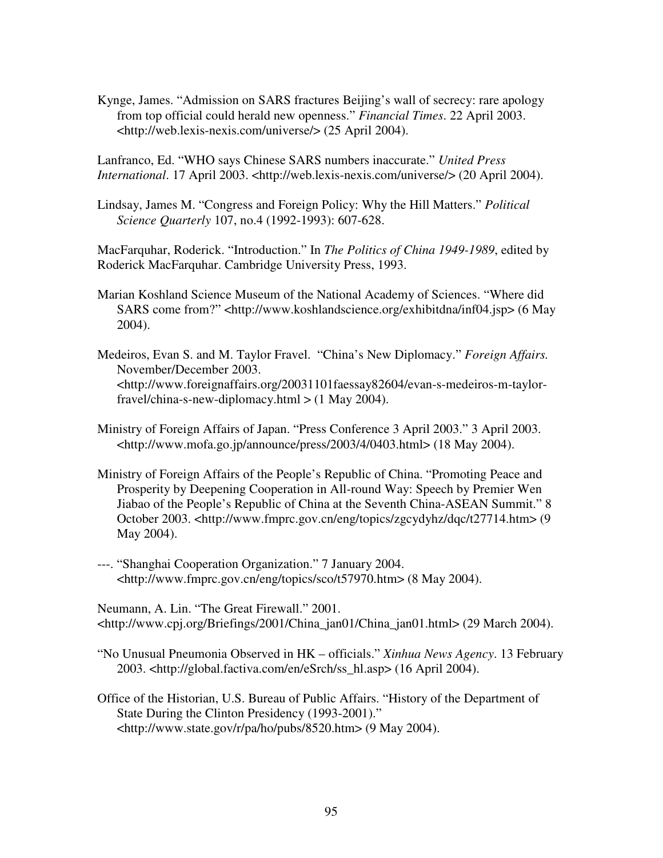Kynge, James. "Admission on SARS fractures Beijing's wall of secrecy: rare apology from top official could herald new openness." *Financial Times*. 22 April 2003. <http://web.lexis-nexis.com/universe/> (25 April 2004).

Lanfranco, Ed. "WHO says Chinese SARS numbers inaccurate." *United Press International.* 17 April 2003. <http://web.lexis-nexis.com/universe/> (20 April 2004).

Lindsay, James M. "Congress and Foreign Policy: Why the Hill Matters." *Political Science Quarterly* 107, no.4 (1992-1993): 607-628.

MacFarquhar, Roderick. "Introduction." In *The Politics of China 1949-1989*, edited by Roderick MacFarquhar. Cambridge University Press, 1993.

Marian Koshland Science Museum of the National Academy of Sciences. "Where did SARS come from?" <http://www.koshlandscience.org/exhibitdna/inf04.jsp> (6 May 2004).

Medeiros, Evan S. and M. Taylor Fravel. "China's New Diplomacy." *Foreign Affairs.* November/December 2003. <http://www.foreignaffairs.org/20031101faessay82604/evan-s-medeiros-m-taylorfravel/china-s-new-diplomacy.html  $>$  (1 May 2004).

Ministry of Foreign Affairs of Japan. "Press Conference 3 April 2003." 3 April 2003. <http://www.mofa.go.jp/announce/press/2003/4/0403.html> (18 May 2004).

- Ministry of Foreign Affairs of the People's Republic of China. "Promoting Peace and Prosperity by Deepening Cooperation in All-round Way: Speech by Premier Wen Jiabao of the People's Republic of China at the Seventh China-ASEAN Summit." 8 October 2003. <http://www.fmprc.gov.cn/eng/topics/zgcydyhz/dqc/t27714.htm> (9 May 2004).
- ---. "Shanghai Cooperation Organization." 7 January 2004. <http://www.fmprc.gov.cn/eng/topics/sco/t57970.htm> (8 May 2004).

Neumann, A. Lin. "The Great Firewall." 2001. <http://www.cpj.org/Briefings/2001/China\_jan01/China\_jan01.html> (29 March 2004).

"No Unusual Pneumonia Observed in HK – officials." *Xinhua News Agency*. 13 February 2003. <http://global.factiva.com/en/eSrch/ss\_hl.asp> (16 April 2004).

Office of the Historian, U.S. Bureau of Public Affairs. "History of the Department of State During the Clinton Presidency (1993-2001)." <http://www.state.gov/r/pa/ho/pubs/8520.htm> (9 May 2004).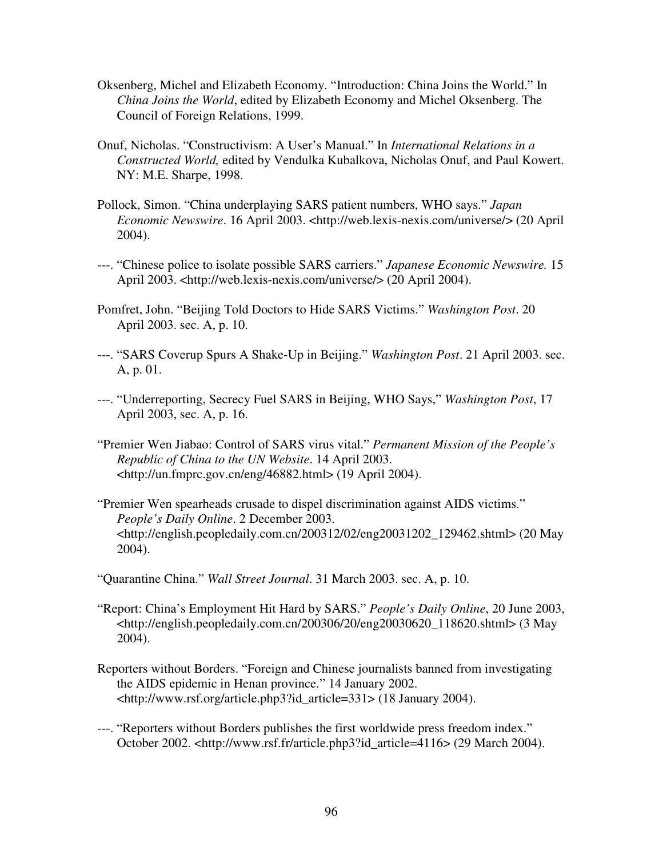- Oksenberg, Michel and Elizabeth Economy. "Introduction: China Joins the World." In *China Joins the World*, edited by Elizabeth Economy and Michel Oksenberg. The Council of Foreign Relations, 1999.
- Onuf, Nicholas. "Constructivism: A User's Manual." In *International Relations in a Constructed World,* edited by Vendulka Kubalkova, Nicholas Onuf, and Paul Kowert. NY: M.E. Sharpe, 1998.
- Pollock, Simon. "China underplaying SARS patient numbers, WHO says." *Japan Economic Newswire*. 16 April 2003. <http://web.lexis-nexis.com/universe/> (20 April 2004).
- ---. "Chinese police to isolate possible SARS carriers." *Japanese Economic Newswire.* 15 April 2003. <http://web.lexis-nexis.com/universe/> (20 April 2004).
- Pomfret, John. "Beijing Told Doctors to Hide SARS Victims." *Washington Post*. 20 April 2003. sec. A, p. 10.
- ---. "SARS Coverup Spurs A Shake-Up in Beijing." *Washington Post*. 21 April 2003. sec. A, p. 01.
- ---. "Underreporting, Secrecy Fuel SARS in Beijing, WHO Says," *Washington Post*, 17 April 2003, sec. A, p. 16.
- "Premier Wen Jiabao: Control of SARS virus vital." *Permanent Mission of the People's Republic of China to the UN Website*. 14 April 2003. <http://un.fmprc.gov.cn/eng/46882.html> (19 April 2004).
- "Premier Wen spearheads crusade to dispel discrimination against AIDS victims." *People's Daily Online*. 2 December 2003. <http://english.peopledaily.com.cn/200312/02/eng20031202\_129462.shtml> (20 May 2004).

"Quarantine China." *Wall Street Journal*. 31 March 2003. sec. A, p. 10.

- "Report: China's Employment Hit Hard by SARS." *People's Daily Online*, 20 June 2003, <http://english.peopledaily.com.cn/200306/20/eng20030620\_118620.shtml> (3 May 2004).
- Reporters without Borders. "Foreign and Chinese journalists banned from investigating the AIDS epidemic in Henan province." 14 January 2002. <http://www.rsf.org/article.php3?id\_article=331> (18 January 2004).
- ---. "Reporters without Borders publishes the first worldwide press freedom index." October 2002. <http://www.rsf.fr/article.php3?id\_article=4116> (29 March 2004).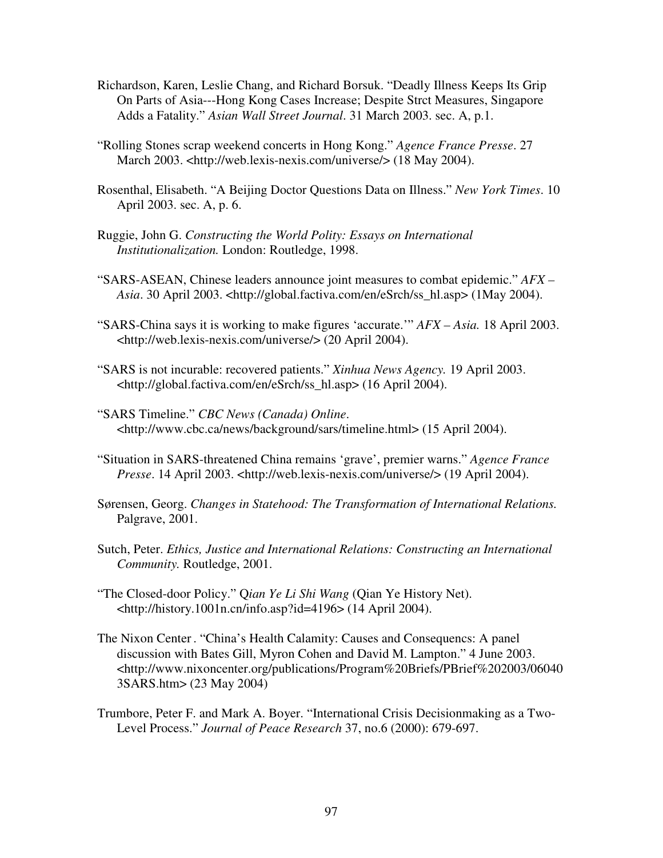- Richardson, Karen, Leslie Chang, and Richard Borsuk. "Deadly Illness Keeps Its Grip On Parts of Asia---Hong Kong Cases Increase; Despite Strct Measures, Singapore Adds a Fatality." *Asian Wall Street Journal*. 31 March 2003. sec. A, p.1.
- "Rolling Stones scrap weekend concerts in Hong Kong." *Agence France Presse*. 27 March 2003. <http://web.lexis-nexis.com/universe/> (18 May 2004).
- Rosenthal, Elisabeth. "A Beijing Doctor Questions Data on Illness." *New York Times*. 10 April 2003. sec. A, p. 6.
- Ruggie, John G. *Constructing the World Polity: Essays on International Institutionalization.* London: Routledge, 1998.
- "SARS-ASEAN, Chinese leaders announce joint measures to combat epidemic." *AFX – Asia*. 30 April 2003. <http://global.factiva.com/en/eSrch/ss\_hl.asp> (1May 2004).
- "SARS-China says it is working to make figures 'accurate.'" *AFX – Asia.* 18 April 2003. <http://web.lexis-nexis.com/universe/> (20 April 2004).
- "SARS is not incurable: recovered patients." *Xinhua News Agency.* 19 April 2003. <http://global.factiva.com/en/eSrch/ss\_hl.asp> (16 April 2004).
- "SARS Timeline." *CBC News (Canada) Online*. <http://www.cbc.ca/news/background/sars/timeline.html> (15 April 2004).
- "Situation in SARS-threatened China remains 'grave', premier warns." *Agence France Presse*. 14 April 2003. <http://web.lexis-nexis.com/universe/> (19 April 2004).
- Sørensen, Georg. *Changes in Statehood: The Transformation of International Relations.* Palgrave, 2001.
- Sutch, Peter. *Ethics, Justice and International Relations: Constructing an International Community.* Routledge, 2001.
- "The Closed-door Policy." Q*ian Ye Li Shi Wang* (Qian Ye History Net). <http://history.1001n.cn/info.asp?id=4196> (14 April 2004).
- The Nixon Center . "China's Health Calamity: Causes and Consequencs: A panel discussion with Bates Gill, Myron Cohen and David M. Lampton." 4 June 2003. <http://www.nixoncenter.org/publications/Program%20Briefs/PBrief%202003/06040 3SARS.htm> (23 May 2004)
- Trumbore, Peter F. and Mark A. Boyer. "International Crisis Decisionmaking as a Two-Level Process." *Journal of Peace Research* 37, no.6 (2000): 679-697.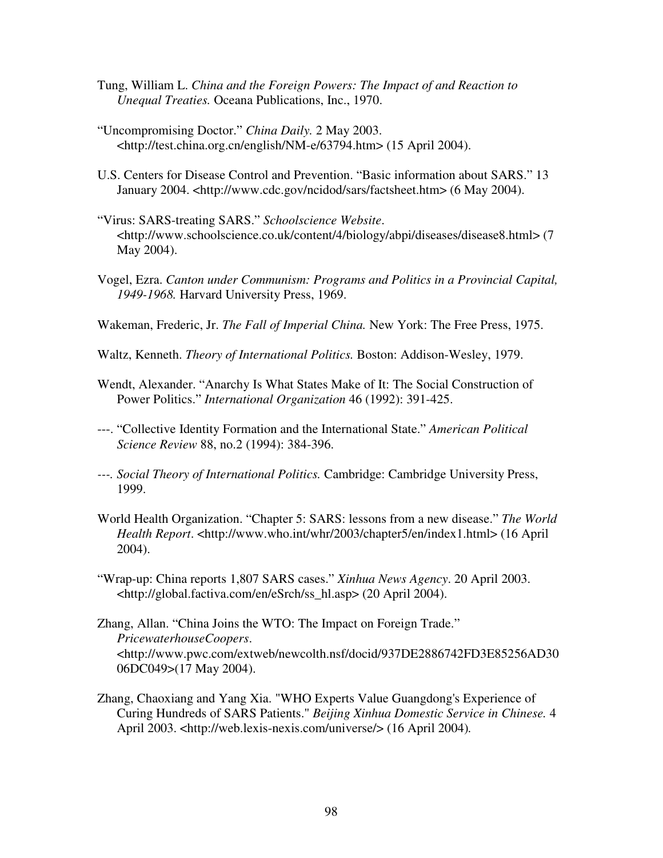- Tung, William L. *China and the Foreign Powers: The Impact of and Reaction to Unequal Treaties.* Oceana Publications, Inc., 1970.
- "Uncompromising Doctor." *China Daily.* 2 May 2003. <http://test.china.org.cn/english/NM-e/63794.htm> (15 April 2004).
- U.S. Centers for Disease Control and Prevention. "Basic information about SARS." 13 January 2004. <http://www.cdc.gov/ncidod/sars/factsheet.htm> (6 May 2004).
- "Virus: SARS-treating SARS." *Schoolscience Website*. <http://www.schoolscience.co.uk/content/4/biology/abpi/diseases/disease8.html> (7 May 2004).
- Vogel, Ezra. *Canton under Communism: Programs and Politics in a Provincial Capital, 1949-1968.* Harvard University Press, 1969.
- Wakeman, Frederic, Jr. *The Fall of Imperial China.* New York: The Free Press, 1975.
- Waltz, Kenneth. *Theory of International Politics.* Boston: Addison-Wesley, 1979.
- Wendt, Alexander. "Anarchy Is What States Make of It: The Social Construction of Power Politics." *International Organization* 46 (1992): 391-425.
- ---. "Collective Identity Formation and the International State." *American Political Science Review* 88, no.2 (1994): 384-396.
- *---. Social Theory of International Politics.* Cambridge: Cambridge University Press, 1999.
- World Health Organization. "Chapter 5: SARS: lessons from a new disease." *The World Health Report*. <http://www.who.int/whr/2003/chapter5/en/index1.html> (16 April 2004).
- "Wrap-up: China reports 1,807 SARS cases." *Xinhua News Agency*. 20 April 2003. <http://global.factiva.com/en/eSrch/ss\_hl.asp> (20 April 2004).
- Zhang, Allan. "China Joins the WTO: The Impact on Foreign Trade." *PricewaterhouseCoopers*. <http://www.pwc.com/extweb/newcolth.nsf/docid/937DE2886742FD3E85256AD30 06DC049>(17 May 2004).
- Zhang, Chaoxiang and Yang Xia. "WHO Experts Value Guangdong's Experience of Curing Hundreds of SARS Patients." *Beijing Xinhua Domestic Service in Chinese.* 4 April 2003. <http://web.lexis-nexis.com/universe/> (16 April 2004)*.*